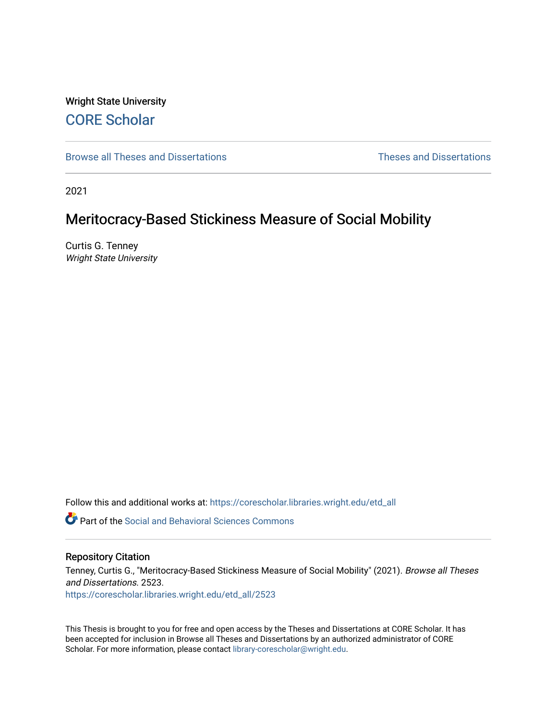# Wright State University [CORE Scholar](https://corescholar.libraries.wright.edu/)

[Browse all Theses and Dissertations](https://corescholar.libraries.wright.edu/etd_all) [Theses and Dissertations](https://corescholar.libraries.wright.edu/etd_comm) 

2021

# Meritocracy-Based Stickiness Measure of Social Mobility

Curtis G. Tenney Wright State University

Follow this and additional works at: [https://corescholar.libraries.wright.edu/etd\\_all](https://corescholar.libraries.wright.edu/etd_all?utm_source=corescholar.libraries.wright.edu%2Fetd_all%2F2523&utm_medium=PDF&utm_campaign=PDFCoverPages) 

**P** Part of the Social and Behavioral Sciences Commons

### Repository Citation

Tenney, Curtis G., "Meritocracy-Based Stickiness Measure of Social Mobility" (2021). Browse all Theses and Dissertations. 2523.

[https://corescholar.libraries.wright.edu/etd\\_all/2523](https://corescholar.libraries.wright.edu/etd_all/2523?utm_source=corescholar.libraries.wright.edu%2Fetd_all%2F2523&utm_medium=PDF&utm_campaign=PDFCoverPages)

This Thesis is brought to you for free and open access by the Theses and Dissertations at CORE Scholar. It has been accepted for inclusion in Browse all Theses and Dissertations by an authorized administrator of CORE Scholar. For more information, please contact [library-corescholar@wright.edu](mailto:library-corescholar@wright.edu).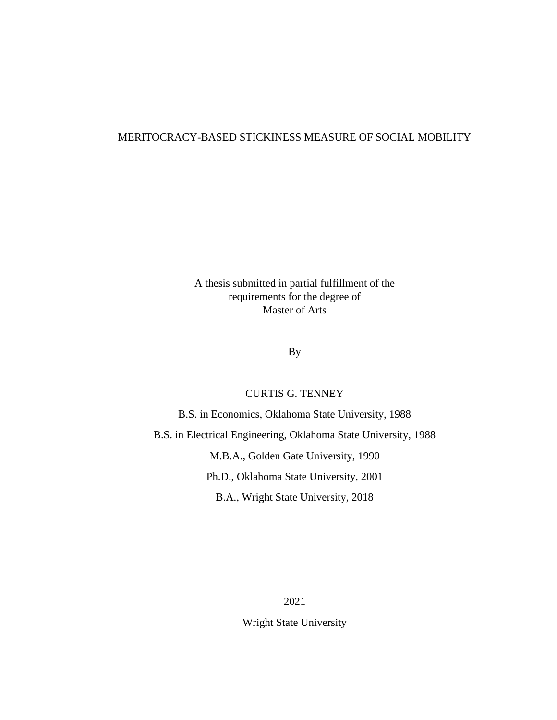A thesis submitted in partial fulfillment of the requirements for the degree of Master of Arts

# By

# CURTIS G. TENNEY

B.S. in Economics, Oklahoma State University, 1988 B.S. in Electrical Engineering, Oklahoma State University, 1988 M.B.A., Golden Gate University, 1990 Ph.D., Oklahoma State University, 2001 B.A., Wright State University, 2018

> 2021 Wright State University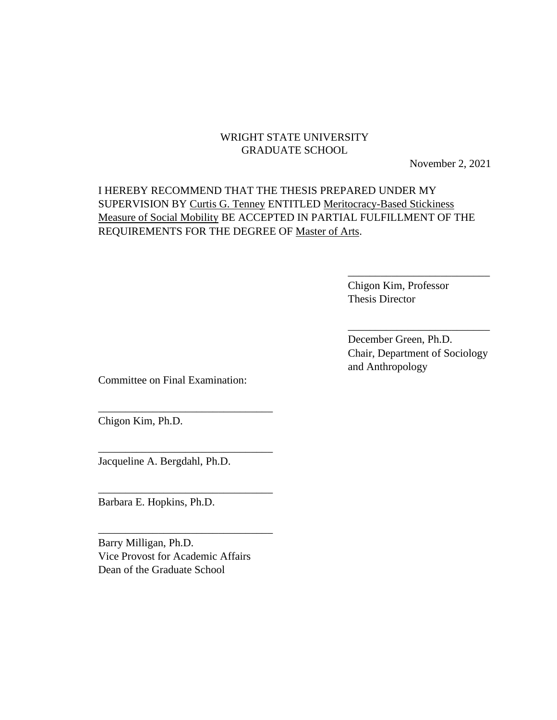# WRIGHT STATE UNIVERSITY GRADUATE SCHOOL

November 2, 2021

# I HEREBY RECOMMEND THAT THE THESIS PREPARED UNDER MY SUPERVISION BY Curtis G. Tenney ENTITLED Meritocracy-Based Stickiness Measure of Social Mobility BE ACCEPTED IN PARTIAL FULFILLMENT OF THE REQUIREMENTS FOR THE DEGREE OF Master of Arts.

Chigon Kim, Professor Thesis Director

December Green, Ph.D. Chair, Department of Sociology and Anthropology

\_\_\_\_\_\_\_\_\_\_\_\_\_\_\_\_\_\_\_\_\_\_\_\_\_\_

\_\_\_\_\_\_\_\_\_\_\_\_\_\_\_\_\_\_\_\_\_\_\_\_\_\_

Committee on Final Examination:

\_\_\_\_\_\_\_\_\_\_\_\_\_\_\_\_\_\_\_\_\_\_\_\_\_\_\_\_\_\_\_\_

\_\_\_\_\_\_\_\_\_\_\_\_\_\_\_\_\_\_\_\_\_\_\_\_\_\_\_\_\_\_\_\_

\_\_\_\_\_\_\_\_\_\_\_\_\_\_\_\_\_\_\_\_\_\_\_\_\_\_\_\_\_\_\_\_

\_\_\_\_\_\_\_\_\_\_\_\_\_\_\_\_\_\_\_\_\_\_\_\_\_\_\_\_\_\_\_\_

Chigon Kim, Ph.D.

Jacqueline A. Bergdahl, Ph.D.

Barbara E. Hopkins, Ph.D.

Barry Milligan, Ph.D. Vice Provost for Academic Affairs Dean of the Graduate School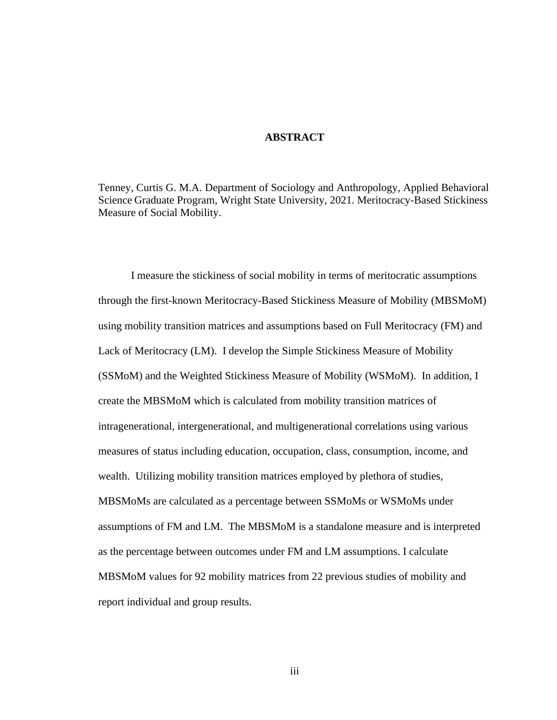### **ABSTRACT**

Tenney, Curtis G. M.A. Department of Sociology and Anthropology, Applied Behavioral Science Graduate Program, Wright State University, 2021. Meritocracy-Based Stickiness Measure of Social Mobility.

I measure the stickiness of social mobility in terms of meritocratic assumptions through the first-known Meritocracy-Based Stickiness Measure of Mobility (MBSMoM) using mobility transition matrices and assumptions based on Full Meritocracy (FM) and Lack of Meritocracy (LM). I develop the Simple Stickiness Measure of Mobility (SSMoM) and the Weighted Stickiness Measure of Mobility (WSMoM). In addition, I create the MBSMoM which is calculated from mobility transition matrices of intragenerational, intergenerational, and multigenerational correlations using various measures of status including education, occupation, class, consumption, income, and wealth. Utilizing mobility transition matrices employed by plethora of studies, MBSMoMs are calculated as a percentage between SSMoMs or WSMoMs under assumptions of FM and LM. The MBSMoM is a standalone measure and is interpreted as the percentage between outcomes under FM and LM assumptions. I calculate MBSMoM values for 92 mobility matrices from 22 previous studies of mobility and report individual and group results.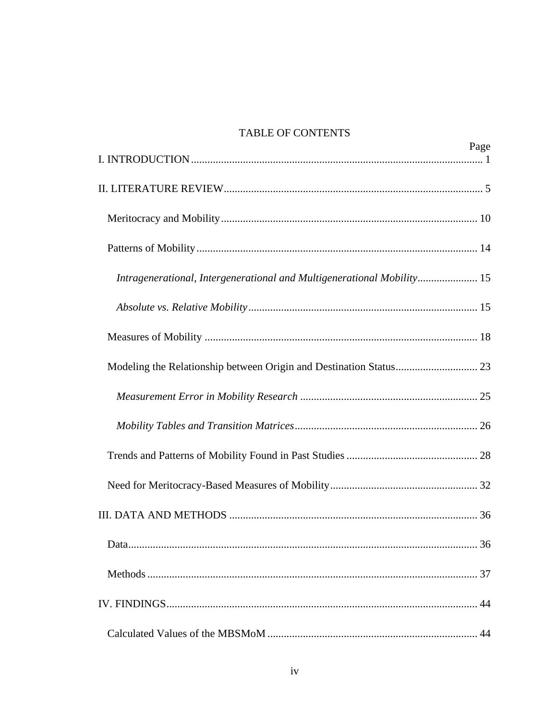# TABLE OF CONTENTS

|                                                                        | Page |
|------------------------------------------------------------------------|------|
|                                                                        |      |
|                                                                        |      |
|                                                                        |      |
| Intragenerational, Intergenerational and Multigenerational Mobility 15 |      |
|                                                                        |      |
|                                                                        |      |
|                                                                        |      |
|                                                                        |      |
|                                                                        |      |
|                                                                        |      |
|                                                                        |      |
|                                                                        |      |
| Data                                                                   | 36   |
|                                                                        |      |
|                                                                        |      |
|                                                                        | 44   |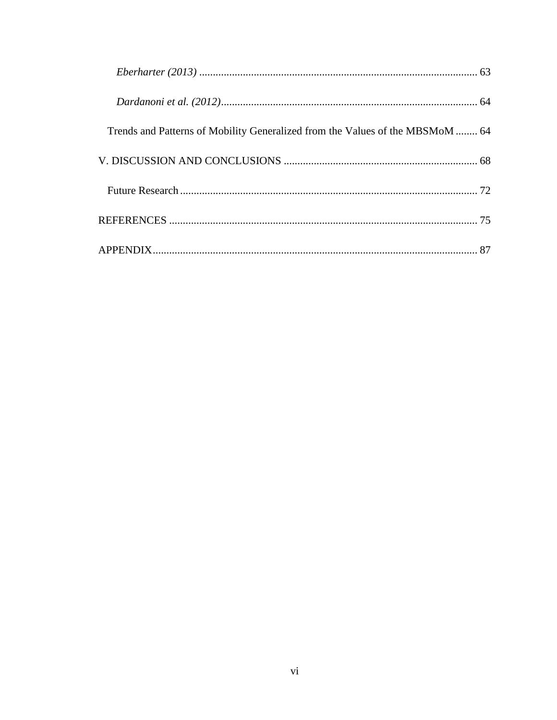| Trends and Patterns of Mobility Generalized from the Values of the MBSMoM  64 |  |
|-------------------------------------------------------------------------------|--|
|                                                                               |  |
|                                                                               |  |
|                                                                               |  |
|                                                                               |  |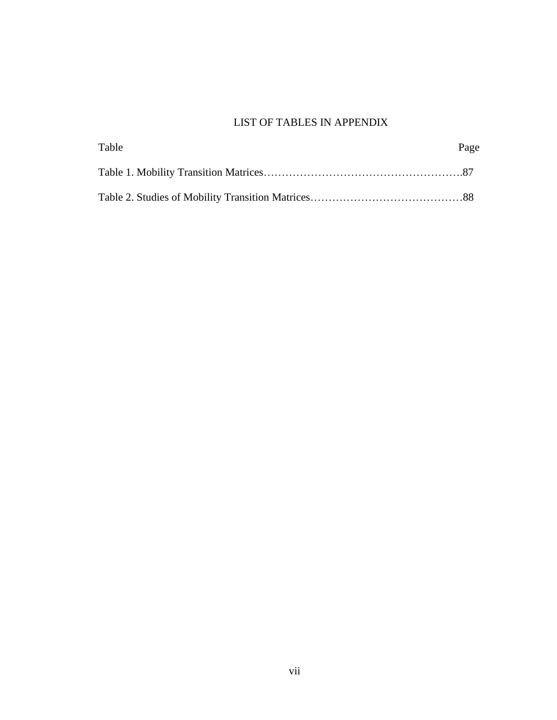# LIST OF TABLES IN APPENDIX

| Table | Page |
|-------|------|
|       |      |
|       |      |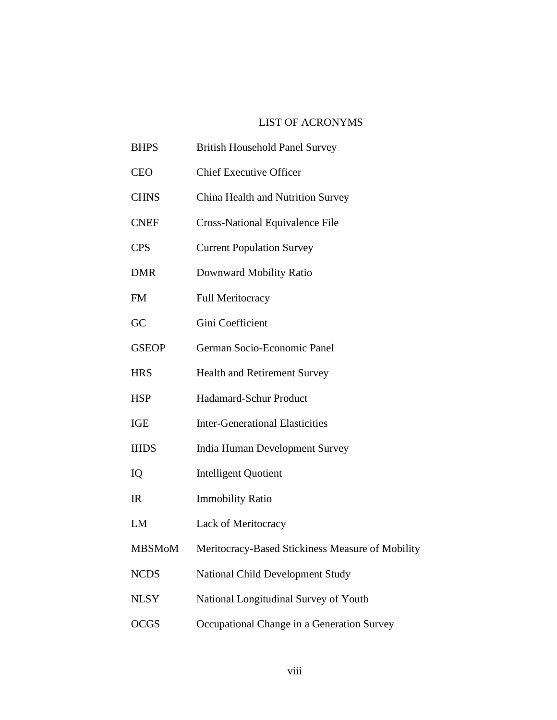# LIST OF ACRONYMS

| <b>BHPS</b>   | <b>British Household Panel Survey</b>            |
|---------------|--------------------------------------------------|
| <b>CEO</b>    | <b>Chief Executive Officer</b>                   |
| <b>CHNS</b>   | China Health and Nutrition Survey                |
| <b>CNEF</b>   | <b>Cross-National Equivalence File</b>           |
| <b>CPS</b>    | <b>Current Population Survey</b>                 |
| <b>DMR</b>    | Downward Mobility Ratio                          |
| <b>FM</b>     | <b>Full Meritocracy</b>                          |
| GC            | Gini Coefficient                                 |
| <b>GSEOP</b>  | German Socio-Economic Panel                      |
| <b>HRS</b>    | <b>Health and Retirement Survey</b>              |
| <b>HSP</b>    | Hadamard-Schur Product                           |
| <b>IGE</b>    | <b>Inter-Generational Elasticities</b>           |
| <b>IHDS</b>   | India Human Development Survey                   |
| IQ            | <b>Intelligent Quotient</b>                      |
| IR            | <b>Immobility Ratio</b>                          |
| LM            | <b>Lack of Meritocracy</b>                       |
| <b>MBSMoM</b> | Meritocracy-Based Stickiness Measure of Mobility |
| <b>NCDS</b>   | National Child Development Study                 |
| <b>NLSY</b>   | National Longitudinal Survey of Youth            |
| <b>OCGS</b>   | Occupational Change in a Generation Survey       |
|               |                                                  |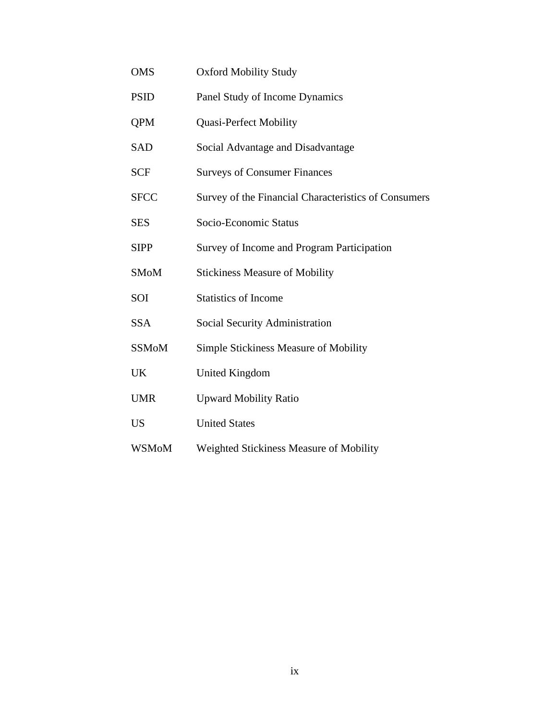| <b>OMS</b>   | <b>Oxford Mobility Study</b>                         |
|--------------|------------------------------------------------------|
| <b>PSID</b>  | Panel Study of Income Dynamics                       |
| <b>QPM</b>   | <b>Quasi-Perfect Mobility</b>                        |
| <b>SAD</b>   | Social Advantage and Disadvantage                    |
| <b>SCF</b>   | <b>Surveys of Consumer Finances</b>                  |
| <b>SFCC</b>  | Survey of the Financial Characteristics of Consumers |
| <b>SES</b>   | Socio-Economic Status                                |
| <b>SIPP</b>  | Survey of Income and Program Participation           |
| <b>SMoM</b>  | <b>Stickiness Measure of Mobility</b>                |
| SOI          | <b>Statistics of Income</b>                          |
| <b>SSA</b>   | <b>Social Security Administration</b>                |
| <b>SSMoM</b> | Simple Stickiness Measure of Mobility                |
| UK           | <b>United Kingdom</b>                                |
| <b>UMR</b>   | <b>Upward Mobility Ratio</b>                         |
| <b>US</b>    | <b>United States</b>                                 |
| <b>WSMoM</b> | Weighted Stickiness Measure of Mobility              |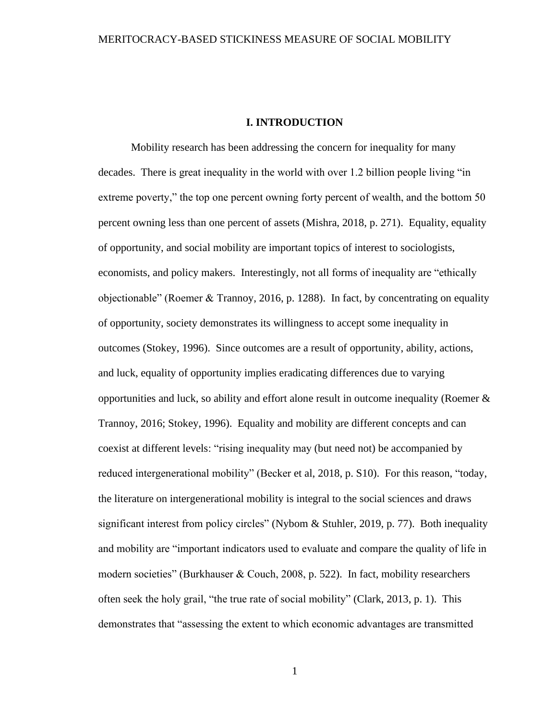#### **I. INTRODUCTION**

<span id="page-10-0"></span>Mobility research has been addressing the concern for inequality for many decades. There is great inequality in the world with over 1.2 billion people living "in extreme poverty," the top one percent owning forty percent of wealth, and the bottom 50 percent owning less than one percent of assets (Mishra, 2018, p. 271). Equality, equality of opportunity, and social mobility are important topics of interest to sociologists, economists, and policy makers. Interestingly, not all forms of inequality are "ethically objectionable" (Roemer & Trannoy, 2016, p. 1288). In fact, by concentrating on equality of opportunity, society demonstrates its willingness to accept some inequality in outcomes (Stokey, 1996). Since outcomes are a result of opportunity, ability, actions, and luck, equality of opportunity implies eradicating differences due to varying opportunities and luck, so ability and effort alone result in outcome inequality (Roemer & Trannoy, 2016; Stokey, 1996). Equality and mobility are different concepts and can coexist at different levels: "rising inequality may (but need not) be accompanied by reduced intergenerational mobility" (Becker et al, 2018, p. S10). For this reason, "today, the literature on intergenerational mobility is integral to the social sciences and draws significant interest from policy circles" (Nybom & Stuhler, 2019, p. 77). Both inequality and mobility are "important indicators used to evaluate and compare the quality of life in modern societies" (Burkhauser & Couch, 2008, p. 522). In fact, mobility researchers often seek the holy grail, "the true rate of social mobility" (Clark, 2013, p. 1). This demonstrates that "assessing the extent to which economic advantages are transmitted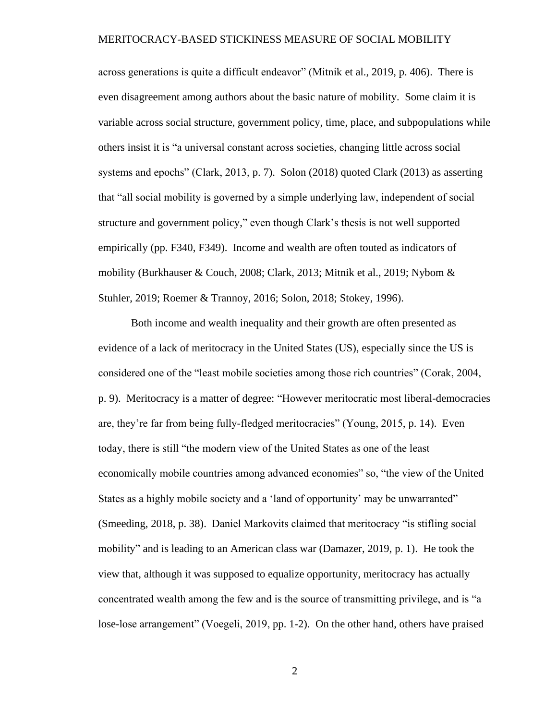across generations is quite a difficult endeavor" (Mitnik et al., 2019, p. 406). There is even disagreement among authors about the basic nature of mobility. Some claim it is variable across social structure, government policy, time, place, and subpopulations while others insist it is "a universal constant across societies, changing little across social systems and epochs" (Clark, 2013, p. 7). Solon (2018) quoted Clark (2013) as asserting that "all social mobility is governed by a simple underlying law, independent of social structure and government policy," even though Clark's thesis is not well supported empirically (pp. F340, F349). Income and wealth are often touted as indicators of mobility (Burkhauser & Couch, 2008; Clark, 2013; Mitnik et al., 2019; Nybom & Stuhler, 2019; Roemer & Trannoy, 2016; Solon, 2018; Stokey, 1996).

Both income and wealth inequality and their growth are often presented as evidence of a lack of meritocracy in the United States (US), especially since the US is considered one of the "least mobile societies among those rich countries" (Corak, 2004, p. 9). Meritocracy is a matter of degree: "However meritocratic most liberal-democracies are, they're far from being fully-fledged meritocracies" (Young, 2015, p. 14). Even today, there is still "the modern view of the United States as one of the least economically mobile countries among advanced economies" so, "the view of the United States as a highly mobile society and a 'land of opportunity' may be unwarranted" (Smeeding, 2018, p. 38). Daniel Markovits claimed that meritocracy "is stifling social mobility" and is leading to an American class war (Damazer, 2019, p. 1). He took the view that, although it was supposed to equalize opportunity, meritocracy has actually concentrated wealth among the few and is the source of transmitting privilege, and is "a lose-lose arrangement" (Voegeli, 2019, pp. 1-2). On the other hand, others have praised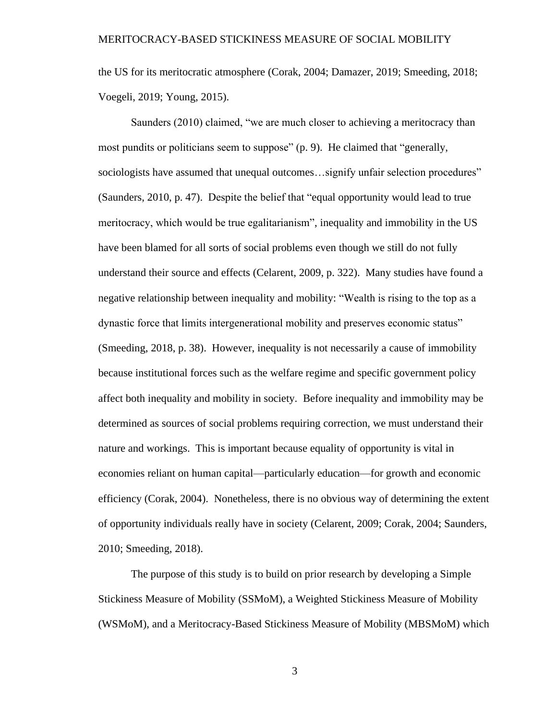the US for its meritocratic atmosphere (Corak, 2004; Damazer, 2019; Smeeding, 2018; Voegeli, 2019; Young, 2015).

Saunders (2010) claimed, "we are much closer to achieving a meritocracy than most pundits or politicians seem to suppose" (p. 9). He claimed that "generally, sociologists have assumed that unequal outcomes...signify unfair selection procedures" (Saunders, 2010, p. 47). Despite the belief that "equal opportunity would lead to true meritocracy, which would be true egalitarianism", inequality and immobility in the US have been blamed for all sorts of social problems even though we still do not fully understand their source and effects (Celarent, 2009, p. 322). Many studies have found a negative relationship between inequality and mobility: "Wealth is rising to the top as a dynastic force that limits intergenerational mobility and preserves economic status" (Smeeding, 2018, p. 38). However, inequality is not necessarily a cause of immobility because institutional forces such as the welfare regime and specific government policy affect both inequality and mobility in society. Before inequality and immobility may be determined as sources of social problems requiring correction, we must understand their nature and workings. This is important because equality of opportunity is vital in economies reliant on human capital—particularly education—for growth and economic efficiency (Corak, 2004). Nonetheless, there is no obvious way of determining the extent of opportunity individuals really have in society (Celarent, 2009; Corak, 2004; Saunders, 2010; Smeeding, 2018).

The purpose of this study is to build on prior research by developing a Simple Stickiness Measure of Mobility (SSMoM), a Weighted Stickiness Measure of Mobility (WSMoM), and a Meritocracy-Based Stickiness Measure of Mobility (MBSMoM) which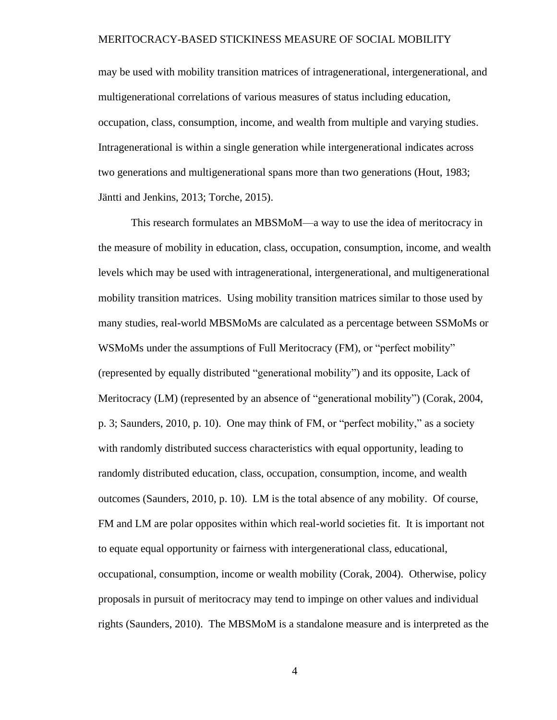may be used with mobility transition matrices of intragenerational, intergenerational, and multigenerational correlations of various measures of status including education, occupation, class, consumption, income, and wealth from multiple and varying studies. Intragenerational is within a single generation while intergenerational indicates across two generations and multigenerational spans more than two generations (Hout, 1983; Jäntti and Jenkins, 2013; Torche, 2015).

This research formulates an MBSMoM—a way to use the idea of meritocracy in the measure of mobility in education, class, occupation, consumption, income, and wealth levels which may be used with intragenerational, intergenerational, and multigenerational mobility transition matrices. Using mobility transition matrices similar to those used by many studies, real-world MBSMoMs are calculated as a percentage between SSMoMs or WSMoMs under the assumptions of Full Meritocracy (FM), or "perfect mobility" (represented by equally distributed "generational mobility") and its opposite, Lack of Meritocracy (LM) (represented by an absence of "generational mobility") (Corak, 2004, p. 3; Saunders, 2010, p. 10). One may think of FM, or "perfect mobility," as a society with randomly distributed success characteristics with equal opportunity, leading to randomly distributed education, class, occupation, consumption, income, and wealth outcomes (Saunders, 2010, p. 10). LM is the total absence of any mobility. Of course, FM and LM are polar opposites within which real-world societies fit. It is important not to equate equal opportunity or fairness with intergenerational class, educational, occupational, consumption, income or wealth mobility (Corak, 2004). Otherwise, policy proposals in pursuit of meritocracy may tend to impinge on other values and individual rights (Saunders, 2010). The MBSMoM is a standalone measure and is interpreted as the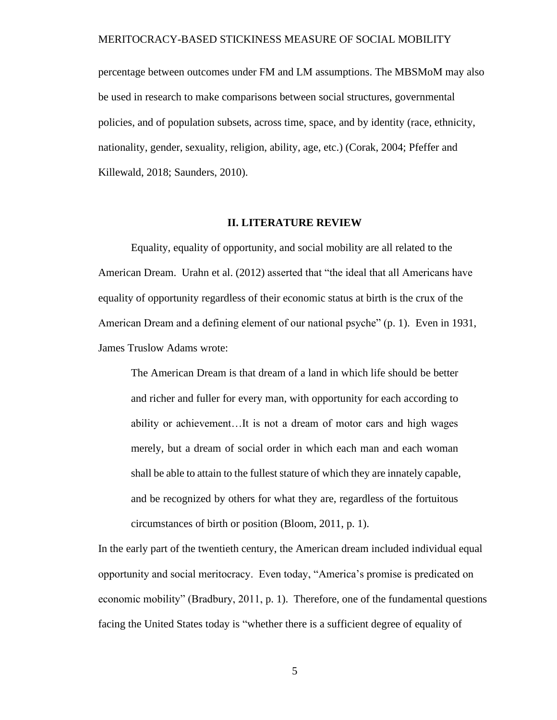percentage between outcomes under FM and LM assumptions. The MBSMoM may also be used in research to make comparisons between social structures, governmental policies, and of population subsets, across time, space, and by identity (race, ethnicity, nationality, gender, sexuality, religion, ability, age, etc.) (Corak, 2004; Pfeffer and Killewald, 2018; Saunders, 2010).

#### **II. LITERATURE REVIEW**

<span id="page-14-0"></span>Equality, equality of opportunity, and social mobility are all related to the American Dream. Urahn et al. (2012) asserted that "the ideal that all Americans have equality of opportunity regardless of their economic status at birth is the crux of the American Dream and a defining element of our national psyche" (p. 1). Even in 1931, James Truslow Adams wrote:

The American Dream is that dream of a land in which life should be better and richer and fuller for every man, with opportunity for each according to ability or achievement…It is not a dream of motor cars and high wages merely, but a dream of social order in which each man and each woman shall be able to attain to the fullest stature of which they are innately capable, and be recognized by others for what they are, regardless of the fortuitous circumstances of birth or position (Bloom, 2011, p. 1).

In the early part of the twentieth century, the American dream included individual equal opportunity and social meritocracy. Even today, "America's promise is predicated on economic mobility" (Bradbury, 2011, p. 1). Therefore, one of the fundamental questions facing the United States today is "whether there is a sufficient degree of equality of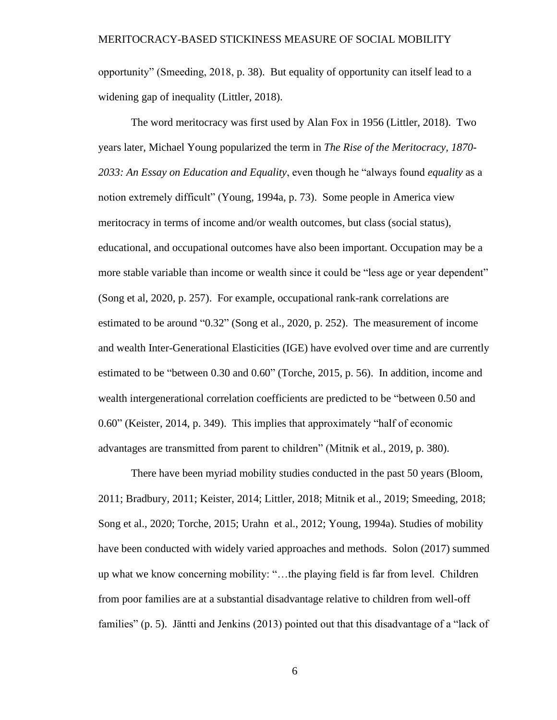opportunity" (Smeeding, 2018, p. 38). But equality of opportunity can itself lead to a widening gap of inequality (Littler, 2018).

The word meritocracy was first used by Alan Fox in 1956 (Littler, 2018). Two years later, Michael Young popularized the term in *The Rise of the Meritocracy, 1870- 2033: An Essay on Education and Equality*, even though he "always found *equality* as a notion extremely difficult" (Young, 1994a, p. 73). Some people in America view meritocracy in terms of income and/or wealth outcomes, but class (social status), educational, and occupational outcomes have also been important. Occupation may be a more stable variable than income or wealth since it could be "less age or year dependent" (Song et al, 2020, p. 257). For example, occupational rank-rank correlations are estimated to be around "0.32" (Song et al., 2020, p. 252). The measurement of income and wealth Inter-Generational Elasticities (IGE) have evolved over time and are currently estimated to be "between 0.30 and 0.60" (Torche, 2015, p. 56). In addition, income and wealth intergenerational correlation coefficients are predicted to be "between 0.50 and 0.60" (Keister, 2014, p. 349). This implies that approximately "half of economic advantages are transmitted from parent to children" (Mitnik et al., 2019, p. 380).

There have been myriad mobility studies conducted in the past 50 years (Bloom, 2011; Bradbury, 2011; Keister, 2014; Littler, 2018; Mitnik et al., 2019; Smeeding, 2018; Song et al., 2020; Torche, 2015; Urahn et al., 2012; Young, 1994a). Studies of mobility have been conducted with widely varied approaches and methods. Solon (2017) summed up what we know concerning mobility: "…the playing field is far from level. Children from poor families are at a substantial disadvantage relative to children from well-off families" (p. 5). Jäntti and Jenkins (2013) pointed out that this disadvantage of a "lack of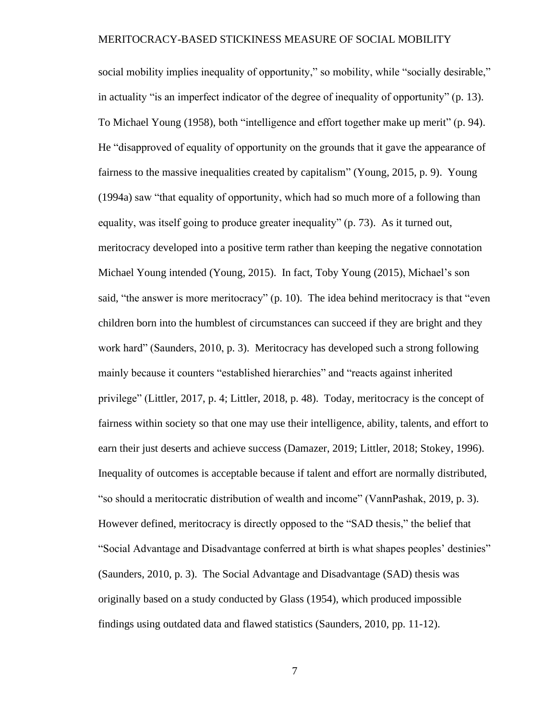social mobility implies inequality of opportunity," so mobility, while "socially desirable," in actuality "is an imperfect indicator of the degree of inequality of opportunity" (p. 13). To Michael Young (1958), both "intelligence and effort together make up merit" (p. 94). He "disapproved of equality of opportunity on the grounds that it gave the appearance of fairness to the massive inequalities created by capitalism" (Young, 2015, p. 9). Young (1994a) saw "that equality of opportunity, which had so much more of a following than equality, was itself going to produce greater inequality" (p. 73). As it turned out, meritocracy developed into a positive term rather than keeping the negative connotation Michael Young intended (Young, 2015). In fact, Toby Young (2015), Michael's son said, "the answer is more meritocracy" (p. 10). The idea behind meritocracy is that "even children born into the humblest of circumstances can succeed if they are bright and they work hard" (Saunders, 2010, p. 3). Meritocracy has developed such a strong following mainly because it counters "established hierarchies" and "reacts against inherited privilege" (Littler, 2017, p. 4; Littler, 2018, p. 48). Today, meritocracy is the concept of fairness within society so that one may use their intelligence, ability, talents, and effort to earn their just deserts and achieve success (Damazer, 2019; Littler, 2018; Stokey, 1996). Inequality of outcomes is acceptable because if talent and effort are normally distributed, "so should a meritocratic distribution of wealth and income" (VannPashak, 2019, p. 3). However defined, meritocracy is directly opposed to the "SAD thesis," the belief that "Social Advantage and Disadvantage conferred at birth is what shapes peoples' destinies" (Saunders, 2010, p. 3). The Social Advantage and Disadvantage (SAD) thesis was originally based on a study conducted by Glass (1954), which produced impossible findings using outdated data and flawed statistics (Saunders, 2010, pp. 11-12).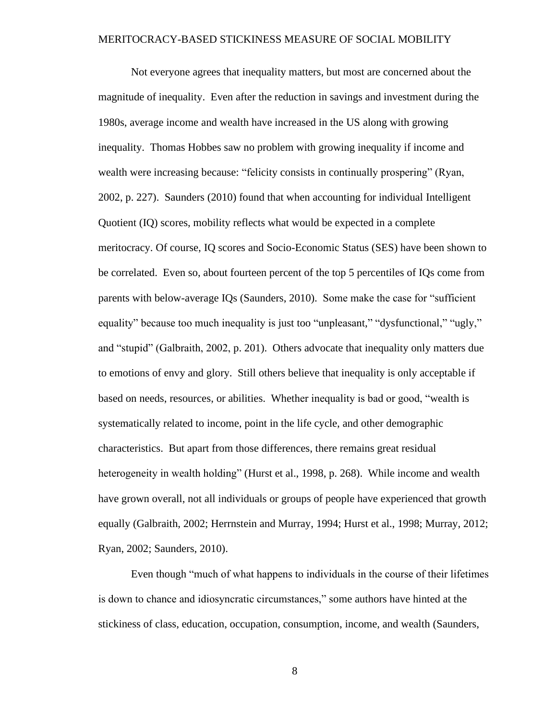Not everyone agrees that inequality matters, but most are concerned about the magnitude of inequality. Even after the reduction in savings and investment during the 1980s, average income and wealth have increased in the US along with growing inequality. Thomas Hobbes saw no problem with growing inequality if income and wealth were increasing because: "felicity consists in continually prospering" (Ryan, 2002, p. 227). Saunders (2010) found that when accounting for individual Intelligent Quotient (IQ) scores, mobility reflects what would be expected in a complete meritocracy. Of course, IQ scores and Socio-Economic Status (SES) have been shown to be correlated. Even so, about fourteen percent of the top 5 percentiles of IQs come from parents with below-average IQs (Saunders, 2010). Some make the case for "sufficient equality" because too much inequality is just too "unpleasant," "dysfunctional," "ugly," and "stupid" (Galbraith, 2002, p. 201). Others advocate that inequality only matters due to emotions of envy and glory. Still others believe that inequality is only acceptable if based on needs, resources, or abilities. Whether inequality is bad or good, "wealth is systematically related to income, point in the life cycle, and other demographic characteristics. But apart from those differences, there remains great residual heterogeneity in wealth holding" (Hurst et al., 1998, p. 268). While income and wealth have grown overall, not all individuals or groups of people have experienced that growth equally (Galbraith, 2002; Herrnstein and Murray, 1994; Hurst et al., 1998; Murray, 2012; Ryan, 2002; Saunders, 2010).

Even though "much of what happens to individuals in the course of their lifetimes is down to chance and idiosyncratic circumstances," some authors have hinted at the stickiness of class, education, occupation, consumption, income, and wealth (Saunders,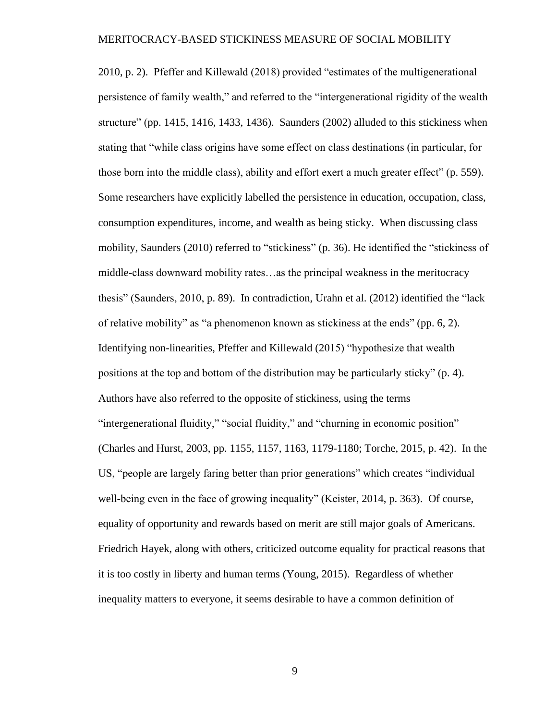2010, p. 2). Pfeffer and Killewald (2018) provided "estimates of the multigenerational persistence of family wealth," and referred to the "intergenerational rigidity of the wealth structure" (pp. 1415, 1416, 1433, 1436). Saunders (2002) alluded to this stickiness when stating that "while class origins have some effect on class destinations (in particular, for those born into the middle class), ability and effort exert a much greater effect" (p. 559). Some researchers have explicitly labelled the persistence in education, occupation, class, consumption expenditures, income, and wealth as being sticky. When discussing class mobility, Saunders (2010) referred to "stickiness" (p. 36). He identified the "stickiness of middle-class downward mobility rates…as the principal weakness in the meritocracy thesis" (Saunders, 2010, p. 89). In contradiction, Urahn et al. (2012) identified the "lack of relative mobility" as "a phenomenon known as stickiness at the ends" (pp. 6, 2). Identifying non-linearities, Pfeffer and Killewald (2015) "hypothesize that wealth positions at the top and bottom of the distribution may be particularly sticky" (p. 4). Authors have also referred to the opposite of stickiness, using the terms "intergenerational fluidity," "social fluidity," and "churning in economic position" (Charles and Hurst, 2003, pp. 1155, 1157, 1163, 1179-1180; Torche, 2015, p. 42). In the US, "people are largely faring better than prior generations" which creates "individual well-being even in the face of growing inequality" (Keister, 2014, p. 363). Of course, equality of opportunity and rewards based on merit are still major goals of Americans. Friedrich Hayek, along with others, criticized outcome equality for practical reasons that it is too costly in liberty and human terms (Young, 2015). Regardless of whether inequality matters to everyone, it seems desirable to have a common definition of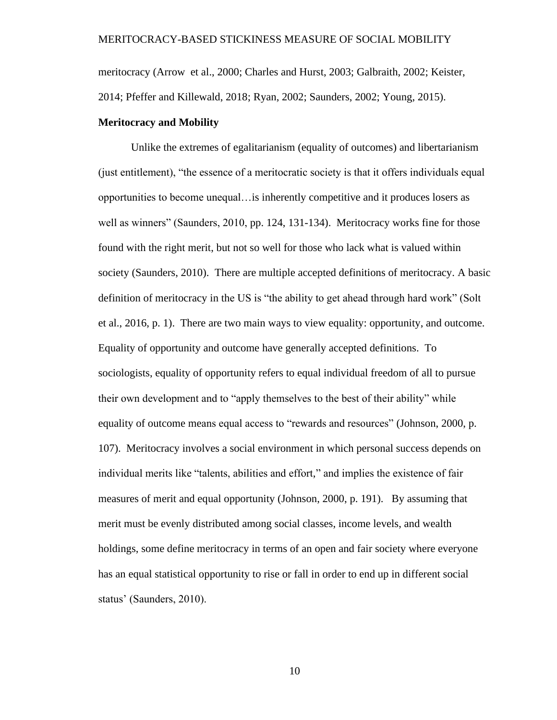meritocracy (Arrow et al., 2000; Charles and Hurst, 2003; Galbraith, 2002; Keister, 2014; Pfeffer and Killewald, 2018; Ryan, 2002; Saunders, 2002; Young, 2015).

#### <span id="page-19-0"></span>**Meritocracy and Mobility**

Unlike the extremes of egalitarianism (equality of outcomes) and libertarianism (just entitlement), "the essence of a meritocratic society is that it offers individuals equal opportunities to become unequal…is inherently competitive and it produces losers as well as winners" (Saunders, 2010, pp. 124, 131-134). Meritocracy works fine for those found with the right merit, but not so well for those who lack what is valued within society (Saunders, 2010). There are multiple accepted definitions of meritocracy. A basic definition of meritocracy in the US is "the ability to get ahead through hard work" (Solt et al., 2016, p. 1). There are two main ways to view equality: opportunity, and outcome. Equality of opportunity and outcome have generally accepted definitions. To sociologists, equality of opportunity refers to equal individual freedom of all to pursue their own development and to "apply themselves to the best of their ability" while equality of outcome means equal access to "rewards and resources" (Johnson, 2000, p. 107). Meritocracy involves a social environment in which personal success depends on individual merits like "talents, abilities and effort," and implies the existence of fair measures of merit and equal opportunity (Johnson, 2000, p. 191). By assuming that merit must be evenly distributed among social classes, income levels, and wealth holdings, some define meritocracy in terms of an open and fair society where everyone has an equal statistical opportunity to rise or fall in order to end up in different social status' (Saunders, 2010).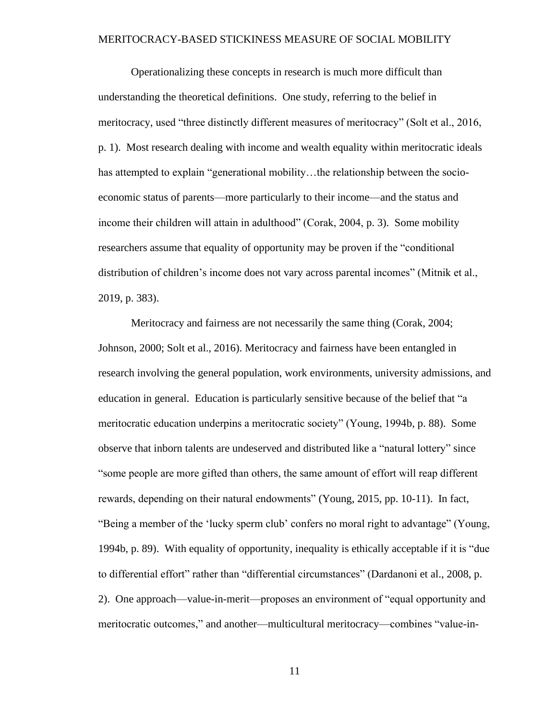Operationalizing these concepts in research is much more difficult than understanding the theoretical definitions. One study, referring to the belief in meritocracy, used "three distinctly different measures of meritocracy" (Solt et al., 2016, p. 1). Most research dealing with income and wealth equality within meritocratic ideals has attempted to explain "generational mobility...the relationship between the socioeconomic status of parents—more particularly to their income—and the status and income their children will attain in adulthood" (Corak, 2004, p. 3). Some mobility researchers assume that equality of opportunity may be proven if the "conditional distribution of children's income does not vary across parental incomes" (Mitnik et al., 2019, p. 383).

Meritocracy and fairness are not necessarily the same thing (Corak, 2004; Johnson, 2000; Solt et al., 2016). Meritocracy and fairness have been entangled in research involving the general population, work environments, university admissions, and education in general. Education is particularly sensitive because of the belief that "a meritocratic education underpins a meritocratic society" (Young, 1994b, p. 88). Some observe that inborn talents are undeserved and distributed like a "natural lottery" since "some people are more gifted than others, the same amount of effort will reap different rewards, depending on their natural endowments" (Young, 2015, pp. 10-11). In fact, "Being a member of the 'lucky sperm club' confers no moral right to advantage" (Young, 1994b, p. 89). With equality of opportunity, inequality is ethically acceptable if it is "due to differential effort" rather than "differential circumstances" (Dardanoni et al., 2008, p. 2). One approach—value-in-merit—proposes an environment of "equal opportunity and meritocratic outcomes," and another—multicultural meritocracy—combines "value-in-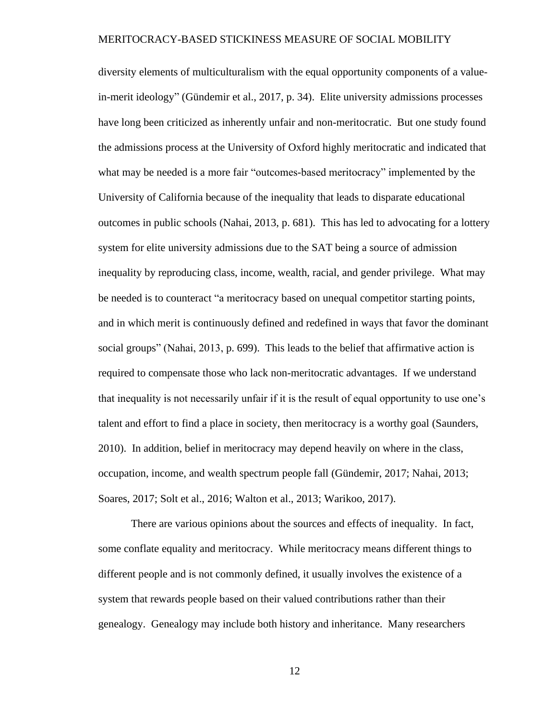diversity elements of multiculturalism with the equal opportunity components of a valuein-merit ideology" (Gündemir et al., 2017, p. 34). Elite university admissions processes have long been criticized as inherently unfair and non-meritocratic. But one study found the admissions process at the University of Oxford highly meritocratic and indicated that what may be needed is a more fair "outcomes-based meritocracy" implemented by the University of California because of the inequality that leads to disparate educational outcomes in public schools (Nahai, 2013, p. 681). This has led to advocating for a lottery system for elite university admissions due to the SAT being a source of admission inequality by reproducing class, income, wealth, racial, and gender privilege. What may be needed is to counteract "a meritocracy based on unequal competitor starting points, and in which merit is continuously defined and redefined in ways that favor the dominant social groups" (Nahai, 2013, p. 699). This leads to the belief that affirmative action is required to compensate those who lack non-meritocratic advantages. If we understand that inequality is not necessarily unfair if it is the result of equal opportunity to use one's talent and effort to find a place in society, then meritocracy is a worthy goal (Saunders, 2010). In addition, belief in meritocracy may depend heavily on where in the class, occupation, income, and wealth spectrum people fall (Gündemir, 2017; Nahai, 2013; Soares, 2017; Solt et al., 2016; Walton et al., 2013; Warikoo, 2017).

There are various opinions about the sources and effects of inequality. In fact, some conflate equality and meritocracy. While meritocracy means different things to different people and is not commonly defined, it usually involves the existence of a system that rewards people based on their valued contributions rather than their genealogy. Genealogy may include both history and inheritance. Many researchers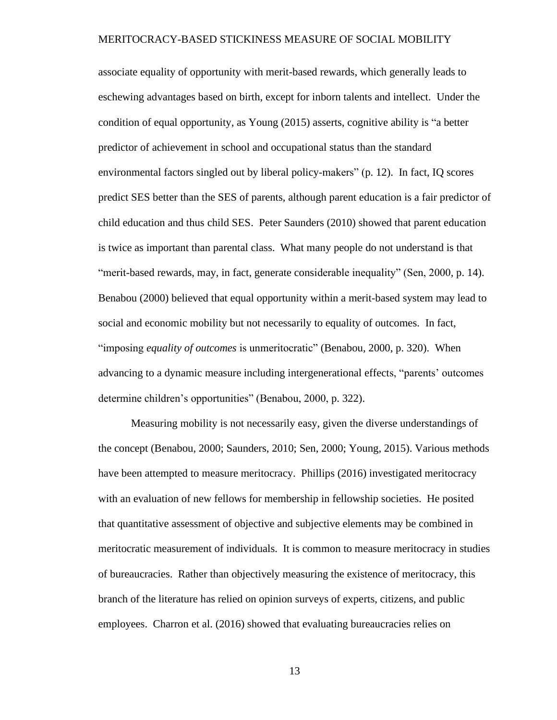associate equality of opportunity with merit-based rewards, which generally leads to eschewing advantages based on birth, except for inborn talents and intellect. Under the condition of equal opportunity, as Young (2015) asserts, cognitive ability is "a better predictor of achievement in school and occupational status than the standard environmental factors singled out by liberal policy-makers" (p. 12). In fact, IQ scores predict SES better than the SES of parents, although parent education is a fair predictor of child education and thus child SES. Peter Saunders (2010) showed that parent education is twice as important than parental class. What many people do not understand is that "merit-based rewards, may, in fact, generate considerable inequality" (Sen, 2000, p. 14). Benabou (2000) believed that equal opportunity within a merit-based system may lead to social and economic mobility but not necessarily to equality of outcomes. In fact, "imposing *equality of outcomes* is unmeritocratic" (Benabou, 2000, p. 320). When advancing to a dynamic measure including intergenerational effects, "parents' outcomes determine children's opportunities" (Benabou, 2000, p. 322).

Measuring mobility is not necessarily easy, given the diverse understandings of the concept (Benabou, 2000; Saunders, 2010; Sen, 2000; Young, 2015). Various methods have been attempted to measure meritocracy. Phillips (2016) investigated meritocracy with an evaluation of new fellows for membership in fellowship societies. He posited that quantitative assessment of objective and subjective elements may be combined in meritocratic measurement of individuals. It is common to measure meritocracy in studies of bureaucracies. Rather than objectively measuring the existence of meritocracy, this branch of the literature has relied on opinion surveys of experts, citizens, and public employees. Charron et al. (2016) showed that evaluating bureaucracies relies on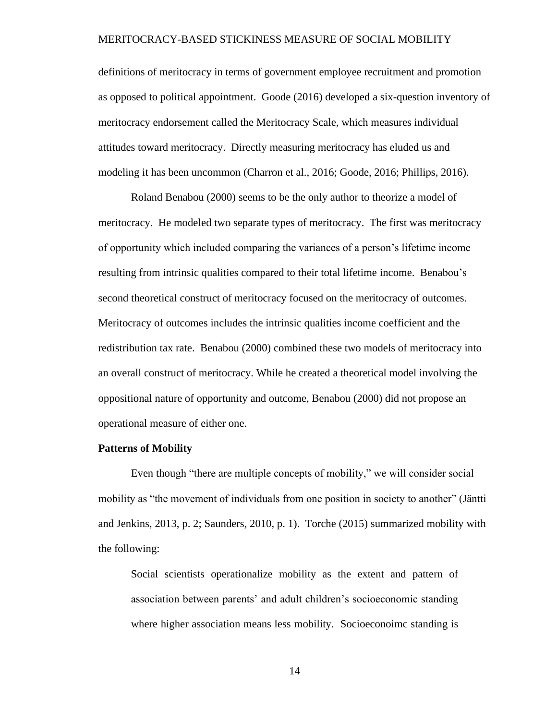definitions of meritocracy in terms of government employee recruitment and promotion as opposed to political appointment. Goode (2016) developed a six-question inventory of meritocracy endorsement called the Meritocracy Scale, which measures individual attitudes toward meritocracy. Directly measuring meritocracy has eluded us and modeling it has been uncommon (Charron et al., 2016; Goode, 2016; Phillips, 2016).

Roland Benabou (2000) seems to be the only author to theorize a model of meritocracy. He modeled two separate types of meritocracy. The first was meritocracy of opportunity which included comparing the variances of a person's lifetime income resulting from intrinsic qualities compared to their total lifetime income. Benabou's second theoretical construct of meritocracy focused on the meritocracy of outcomes. Meritocracy of outcomes includes the intrinsic qualities income coefficient and the redistribution tax rate. Benabou (2000) combined these two models of meritocracy into an overall construct of meritocracy. While he created a theoretical model involving the oppositional nature of opportunity and outcome, Benabou (2000) did not propose an operational measure of either one.

#### <span id="page-23-0"></span>**Patterns of Mobility**

Even though "there are multiple concepts of mobility," we will consider social mobility as "the movement of individuals from one position in society to another" (Jäntti and Jenkins, 2013, p. 2; Saunders, 2010, p. 1). Torche (2015) summarized mobility with the following:

Social scientists operationalize mobility as the extent and pattern of association between parents' and adult children's socioeconomic standing where higher association means less mobility. Socioeconoimc standing is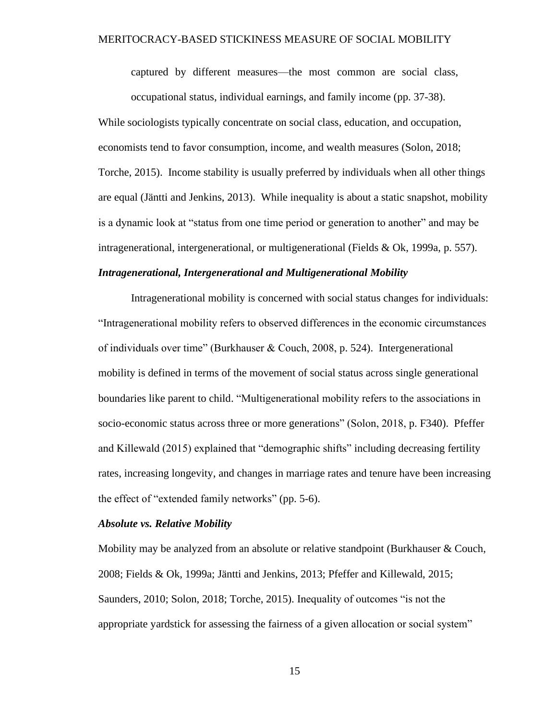captured by different measures—the most common are social class, occupational status, individual earnings, and family income (pp. 37-38).

While sociologists typically concentrate on social class, education, and occupation, economists tend to favor consumption, income, and wealth measures (Solon, 2018; Torche, 2015). Income stability is usually preferred by individuals when all other things are equal (Jäntti and Jenkins, 2013). While inequality is about a static snapshot, mobility is a dynamic look at "status from one time period or generation to another" and may be intragenerational, intergenerational, or multigenerational (Fields & Ok, 1999a, p. 557).

#### <span id="page-24-0"></span>*Intragenerational, Intergenerational and Multigenerational Mobility*

Intragenerational mobility is concerned with social status changes for individuals: "Intragenerational mobility refers to observed differences in the economic circumstances of individuals over time" (Burkhauser & Couch, 2008, p. 524). Intergenerational mobility is defined in terms of the movement of social status across single generational boundaries like parent to child. "Multigenerational mobility refers to the associations in socio-economic status across three or more generations" (Solon, 2018, p. F340). Pfeffer and Killewald (2015) explained that "demographic shifts" including decreasing fertility rates, increasing longevity, and changes in marriage rates and tenure have been increasing the effect of "extended family networks" (pp. 5-6).

#### <span id="page-24-1"></span>*Absolute vs. Relative Mobility*

Mobility may be analyzed from an absolute or relative standpoint (Burkhauser  $&$  Couch, 2008; Fields & Ok, 1999a; Jäntti and Jenkins, 2013; Pfeffer and Killewald, 2015; Saunders, 2010; Solon, 2018; Torche, 2015). Inequality of outcomes "is not the appropriate yardstick for assessing the fairness of a given allocation or social system"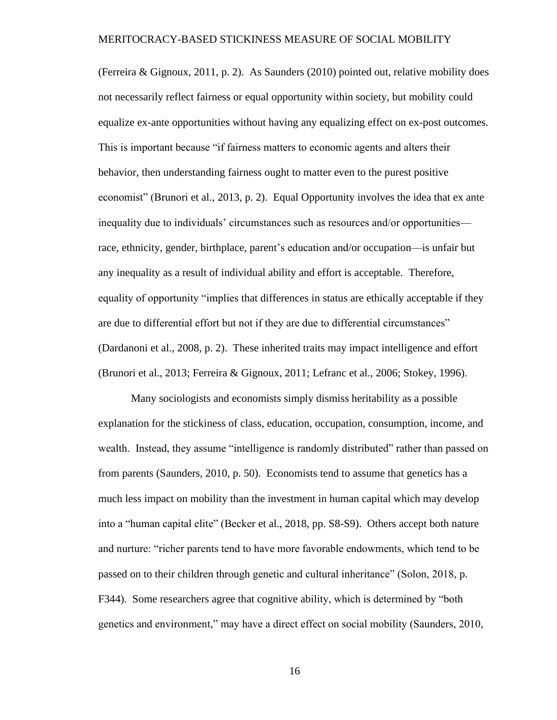(Ferreira & Gignoux, 2011, p. 2). As Saunders (2010) pointed out, relative mobility does not necessarily reflect fairness or equal opportunity within society, but mobility could equalize ex-ante opportunities without having any equalizing effect on ex-post outcomes. This is important because "if fairness matters to economic agents and alters their behavior, then understanding fairness ought to matter even to the purest positive economist" (Brunori et al., 2013, p. 2). Equal Opportunity involves the idea that ex ante inequality due to individuals' circumstances such as resources and/or opportunities race, ethnicity, gender, birthplace, parent's education and/or occupation—is unfair but any inequality as a result of individual ability and effort is acceptable. Therefore, equality of opportunity "implies that differences in status are ethically acceptable if they are due to differential effort but not if they are due to differential circumstances" (Dardanoni et al., 2008, p. 2). These inherited traits may impact intelligence and effort (Brunori et al., 2013; Ferreira & Gignoux, 2011; Lefranc et al., 2006; Stokey, 1996).

Many sociologists and economists simply dismiss heritability as a possible explanation for the stickiness of class, education, occupation, consumption, income, and wealth. Instead, they assume "intelligence is randomly distributed" rather than passed on from parents (Saunders, 2010, p. 50). Economists tend to assume that genetics has a much less impact on mobility than the investment in human capital which may develop into a "human capital elite" (Becker et al., 2018, pp. S8-S9). Others accept both nature and nurture: "richer parents tend to have more favorable endowments, which tend to be passed on to their children through genetic and cultural inheritance" (Solon, 2018, p. F344). Some researchers agree that cognitive ability, which is determined by "both genetics and environment," may have a direct effect on social mobility (Saunders, 2010,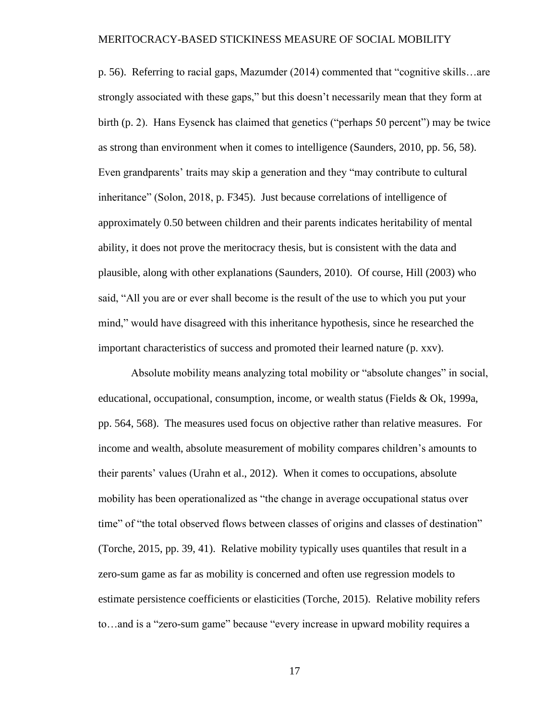p. 56). Referring to racial gaps, Mazumder (2014) commented that "cognitive skills…are strongly associated with these gaps," but this doesn't necessarily mean that they form at birth (p. 2). Hans Eysenck has claimed that genetics ("perhaps 50 percent") may be twice as strong than environment when it comes to intelligence (Saunders, 2010, pp. 56, 58). Even grandparents' traits may skip a generation and they "may contribute to cultural inheritance" (Solon, 2018, p. F345). Just because correlations of intelligence of approximately 0.50 between children and their parents indicates heritability of mental ability, it does not prove the meritocracy thesis, but is consistent with the data and plausible, along with other explanations (Saunders, 2010). Of course, Hill (2003) who said, "All you are or ever shall become is the result of the use to which you put your mind," would have disagreed with this inheritance hypothesis, since he researched the important characteristics of success and promoted their learned nature (p. xxv).

Absolute mobility means analyzing total mobility or "absolute changes" in social, educational, occupational, consumption, income, or wealth status (Fields & Ok, 1999a, pp. 564, 568). The measures used focus on objective rather than relative measures. For income and wealth, absolute measurement of mobility compares children's amounts to their parents' values (Urahn et al., 2012). When it comes to occupations, absolute mobility has been operationalized as "the change in average occupational status over time" of "the total observed flows between classes of origins and classes of destination" (Torche, 2015, pp. 39, 41). Relative mobility typically uses quantiles that result in a zero-sum game as far as mobility is concerned and often use regression models to estimate persistence coefficients or elasticities (Torche, 2015). Relative mobility refers to…and is a "zero-sum game" because "every increase in upward mobility requires a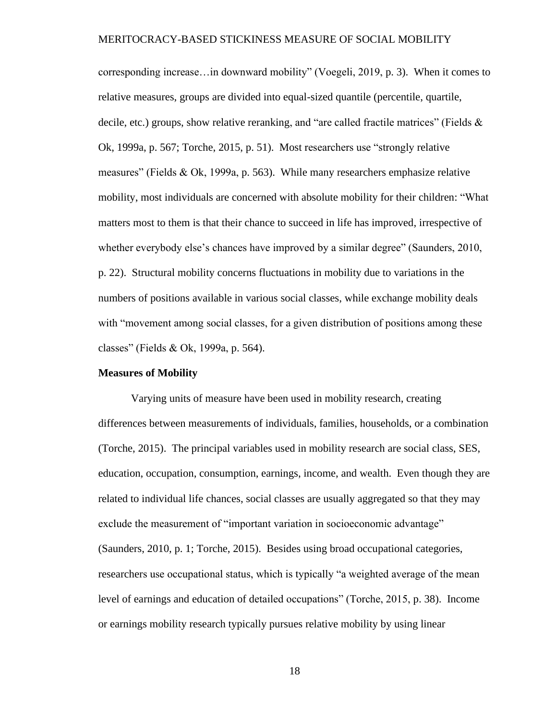corresponding increase…in downward mobility" (Voegeli, 2019, p. 3). When it comes to relative measures, groups are divided into equal-sized quantile (percentile, quartile, decile, etc.) groups, show relative reranking, and "are called fractile matrices" (Fields & Ok, 1999a, p. 567; Torche, 2015, p. 51). Most researchers use "strongly relative measures" (Fields & Ok, 1999a, p. 563). While many researchers emphasize relative mobility, most individuals are concerned with absolute mobility for their children: "What matters most to them is that their chance to succeed in life has improved, irrespective of whether everybody else's chances have improved by a similar degree" (Saunders, 2010, p. 22). Structural mobility concerns fluctuations in mobility due to variations in the numbers of positions available in various social classes, while exchange mobility deals with "movement among social classes, for a given distribution of positions among these classes" (Fields & Ok, 1999a, p. 564).

#### <span id="page-27-0"></span>**Measures of Mobility**

Varying units of measure have been used in mobility research, creating differences between measurements of individuals, families, households, or a combination (Torche, 2015). The principal variables used in mobility research are social class, SES, education, occupation, consumption, earnings, income, and wealth. Even though they are related to individual life chances, social classes are usually aggregated so that they may exclude the measurement of "important variation in socioeconomic advantage" (Saunders, 2010, p. 1; Torche, 2015). Besides using broad occupational categories, researchers use occupational status, which is typically "a weighted average of the mean level of earnings and education of detailed occupations" (Torche, 2015, p. 38). Income or earnings mobility research typically pursues relative mobility by using linear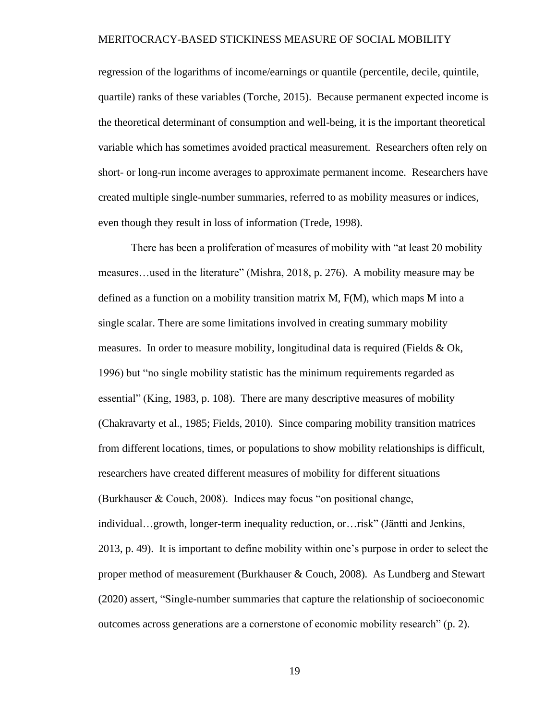regression of the logarithms of income/earnings or quantile (percentile, decile, quintile, quartile) ranks of these variables (Torche, 2015). Because permanent expected income is the theoretical determinant of consumption and well-being, it is the important theoretical variable which has sometimes avoided practical measurement. Researchers often rely on short- or long-run income averages to approximate permanent income. Researchers have created multiple single-number summaries, referred to as mobility measures or indices, even though they result in loss of information (Trede, 1998).

There has been a proliferation of measures of mobility with "at least 20 mobility measures…used in the literature" (Mishra, 2018, p. 276). A mobility measure may be defined as a function on a mobility transition matrix  $M$ ,  $F(M)$ , which maps M into a single scalar. There are some limitations involved in creating summary mobility measures. In order to measure mobility, longitudinal data is required (Fields & Ok, 1996) but "no single mobility statistic has the minimum requirements regarded as essential" (King, 1983, p. 108). There are many descriptive measures of mobility (Chakravarty et al., 1985; Fields, 2010). Since comparing mobility transition matrices from different locations, times, or populations to show mobility relationships is difficult, researchers have created different measures of mobility for different situations (Burkhauser & Couch, 2008). Indices may focus "on positional change, individual…growth, longer-term inequality reduction, or…risk" (Jäntti and Jenkins, 2013, p. 49). It is important to define mobility within one's purpose in order to select the proper method of measurement (Burkhauser & Couch, 2008). As Lundberg and Stewart (2020) assert, "Single-number summaries that capture the relationship of socioeconomic outcomes across generations are a cornerstone of economic mobility research" (p. 2).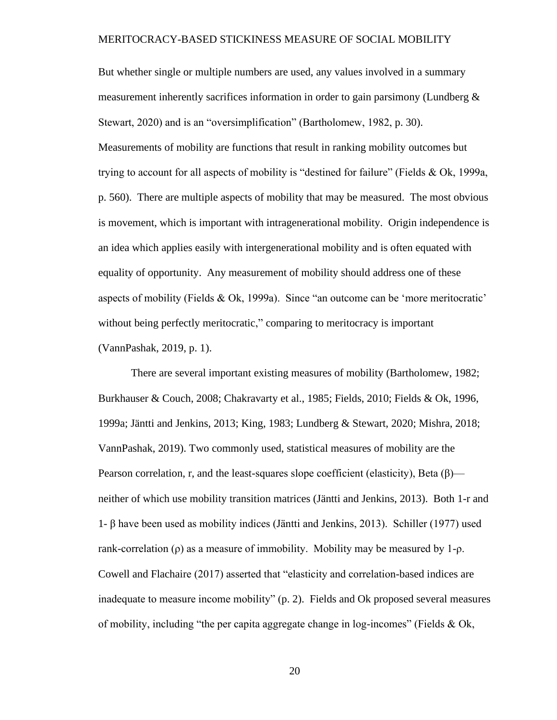But whether single or multiple numbers are used, any values involved in a summary measurement inherently sacrifices information in order to gain parsimony (Lundberg  $\&$ Stewart, 2020) and is an "oversimplification" (Bartholomew, 1982, p. 30). Measurements of mobility are functions that result in ranking mobility outcomes but trying to account for all aspects of mobility is "destined for failure" (Fields & Ok, 1999a, p. 560). There are multiple aspects of mobility that may be measured. The most obvious is movement, which is important with intragenerational mobility. Origin independence is an idea which applies easily with intergenerational mobility and is often equated with equality of opportunity. Any measurement of mobility should address one of these aspects of mobility (Fields & Ok, 1999a). Since "an outcome can be 'more meritocratic' without being perfectly meritocratic," comparing to meritocracy is important (VannPashak, 2019, p. 1).

There are several important existing measures of mobility (Bartholomew, 1982; Burkhauser & Couch, 2008; Chakravarty et al., 1985; Fields, 2010; Fields & Ok, 1996, 1999a; Jäntti and Jenkins, 2013; King, 1983; Lundberg & Stewart, 2020; Mishra, 2018; VannPashak, 2019). Two commonly used, statistical measures of mobility are the Pearson correlation, r, and the least-squares slope coefficient (elasticity), Beta  $(\beta)$  neither of which use mobility transition matrices (Jäntti and Jenkins, 2013). Both 1-r and 1- β have been used as mobility indices (Jäntti and Jenkins, 2013). Schiller (1977) used rank-correlation ( $\rho$ ) as a measure of immobility. Mobility may be measured by 1- $\rho$ . Cowell and Flachaire (2017) asserted that "elasticity and correlation-based indices are inadequate to measure income mobility" (p. 2). Fields and Ok proposed several measures of mobility, including "the per capita aggregate change in log-incomes" (Fields & Ok,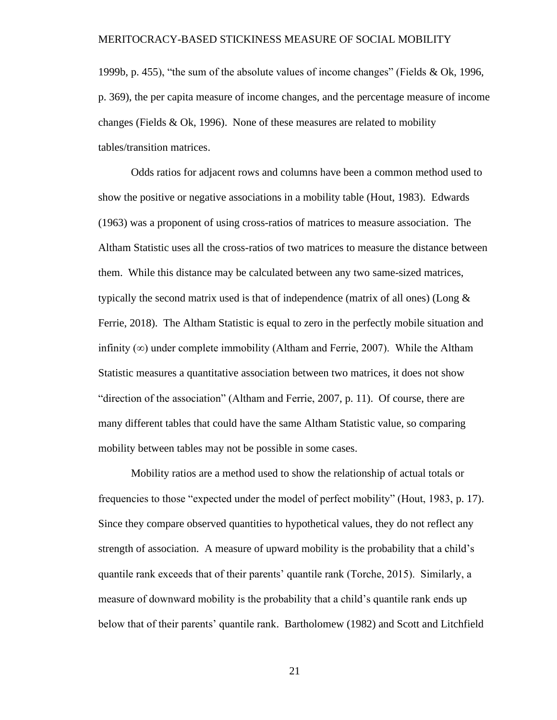1999b, p. 455), "the sum of the absolute values of income changes" (Fields & Ok, 1996, p. 369), the per capita measure of income changes, and the percentage measure of income changes (Fields  $& Ok, 1996$ ). None of these measures are related to mobility tables/transition matrices.

Odds ratios for adjacent rows and columns have been a common method used to show the positive or negative associations in a mobility table (Hout, 1983). Edwards (1963) was a proponent of using cross-ratios of matrices to measure association. The Altham Statistic uses all the cross-ratios of two matrices to measure the distance between them. While this distance may be calculated between any two same-sized matrices, typically the second matrix used is that of independence (matrix of all ones) (Long  $\&$ Ferrie, 2018). The Altham Statistic is equal to zero in the perfectly mobile situation and infinity  $(\infty)$  under complete immobility (Altham and Ferrie, 2007). While the Altham Statistic measures a quantitative association between two matrices, it does not show "direction of the association" (Altham and Ferrie, 2007, p. 11). Of course, there are many different tables that could have the same Altham Statistic value, so comparing mobility between tables may not be possible in some cases.

Mobility ratios are a method used to show the relationship of actual totals or frequencies to those "expected under the model of perfect mobility" (Hout, 1983, p. 17). Since they compare observed quantities to hypothetical values, they do not reflect any strength of association. A measure of upward mobility is the probability that a child's quantile rank exceeds that of their parents' quantile rank (Torche, 2015). Similarly, a measure of downward mobility is the probability that a child's quantile rank ends up below that of their parents' quantile rank. Bartholomew (1982) and Scott and Litchfield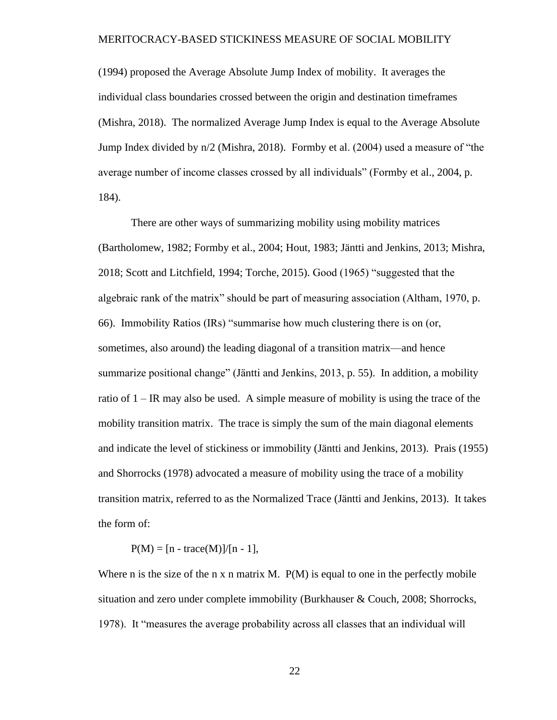(1994) proposed the Average Absolute Jump Index of mobility. It averages the individual class boundaries crossed between the origin and destination timeframes (Mishra, 2018). The normalized Average Jump Index is equal to the Average Absolute Jump Index divided by n/2 (Mishra, 2018). Formby et al. (2004) used a measure of "the average number of income classes crossed by all individuals" (Formby et al., 2004, p. 184).

There are other ways of summarizing mobility using mobility matrices (Bartholomew, 1982; Formby et al., 2004; Hout, 1983; Jäntti and Jenkins, 2013; Mishra, 2018; Scott and Litchfield, 1994; Torche, 2015). Good (1965) "suggested that the algebraic rank of the matrix" should be part of measuring association (Altham, 1970, p. 66). Immobility Ratios (IRs) "summarise how much clustering there is on (or, sometimes, also around) the leading diagonal of a transition matrix—and hence summarize positional change" (Jäntti and Jenkins, 2013, p. 55). In addition, a mobility ratio of 1 – IR may also be used. A simple measure of mobility is using the trace of the mobility transition matrix. The trace is simply the sum of the main diagonal elements and indicate the level of stickiness or immobility (Jäntti and Jenkins, 2013). Prais (1955) and Shorrocks (1978) advocated a measure of mobility using the trace of a mobility transition matrix, referred to as the Normalized Trace (Jäntti and Jenkins, 2013). It takes the form of:

 $P(M) = [n - trace(M)]/[n - 1],$ 

Where n is the size of the n x n matrix M.  $P(M)$  is equal to one in the perfectly mobile situation and zero under complete immobility (Burkhauser & Couch, 2008; Shorrocks, 1978). It "measures the average probability across all classes that an individual will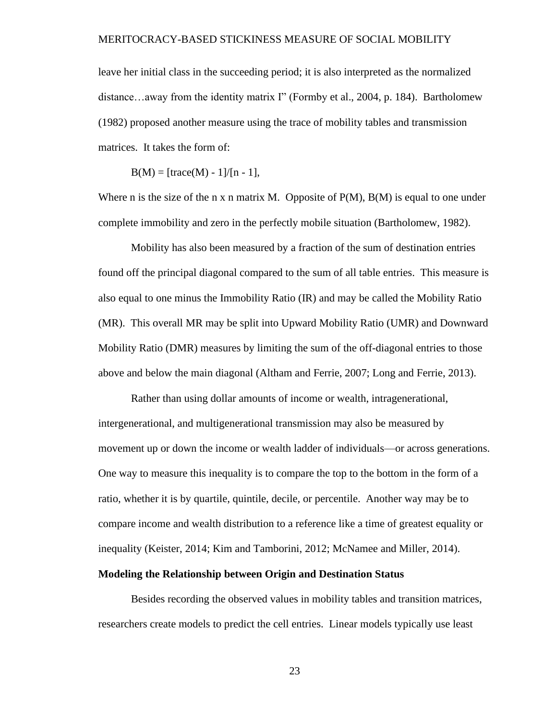leave her initial class in the succeeding period; it is also interpreted as the normalized distance…away from the identity matrix I" (Formby et al., 2004, p. 184). Bartholomew (1982) proposed another measure using the trace of mobility tables and transmission matrices. It takes the form of:

 $B(M) = [trace(M) - 1]/[n - 1],$ 

Where n is the size of the n x n matrix M. Opposite of  $P(M)$ ,  $B(M)$  is equal to one under complete immobility and zero in the perfectly mobile situation (Bartholomew, 1982).

Mobility has also been measured by a fraction of the sum of destination entries found off the principal diagonal compared to the sum of all table entries. This measure is also equal to one minus the Immobility Ratio (IR) and may be called the Mobility Ratio (MR). This overall MR may be split into Upward Mobility Ratio (UMR) and Downward Mobility Ratio (DMR) measures by limiting the sum of the off-diagonal entries to those above and below the main diagonal (Altham and Ferrie, 2007; Long and Ferrie, 2013).

Rather than using dollar amounts of income or wealth, intragenerational, intergenerational, and multigenerational transmission may also be measured by movement up or down the income or wealth ladder of individuals—or across generations. One way to measure this inequality is to compare the top to the bottom in the form of a ratio, whether it is by quartile, quintile, decile, or percentile. Another way may be to compare income and wealth distribution to a reference like a time of greatest equality or inequality (Keister, 2014; Kim and Tamborini, 2012; McNamee and Miller, 2014).

#### <span id="page-32-0"></span>**Modeling the Relationship between Origin and Destination Status**

Besides recording the observed values in mobility tables and transition matrices, researchers create models to predict the cell entries. Linear models typically use least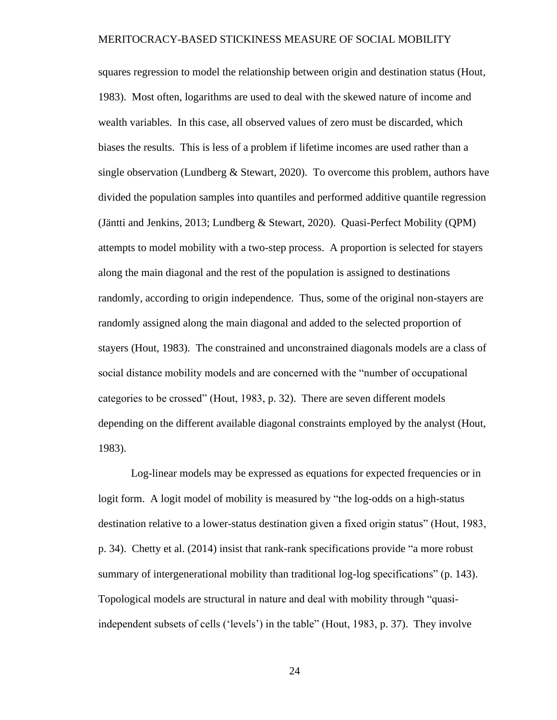squares regression to model the relationship between origin and destination status (Hout, 1983). Most often, logarithms are used to deal with the skewed nature of income and wealth variables. In this case, all observed values of zero must be discarded, which biases the results. This is less of a problem if lifetime incomes are used rather than a single observation (Lundberg & Stewart, 2020). To overcome this problem, authors have divided the population samples into quantiles and performed additive quantile regression (Jäntti and Jenkins, 2013; Lundberg & Stewart, 2020). Quasi-Perfect Mobility (QPM) attempts to model mobility with a two-step process. A proportion is selected for stayers along the main diagonal and the rest of the population is assigned to destinations randomly, according to origin independence. Thus, some of the original non-stayers are randomly assigned along the main diagonal and added to the selected proportion of stayers (Hout, 1983). The constrained and unconstrained diagonals models are a class of social distance mobility models and are concerned with the "number of occupational categories to be crossed" (Hout, 1983, p. 32). There are seven different models depending on the different available diagonal constraints employed by the analyst (Hout, 1983).

Log-linear models may be expressed as equations for expected frequencies or in logit form. A logit model of mobility is measured by "the log-odds on a high-status destination relative to a lower-status destination given a fixed origin status" (Hout, 1983, p. 34). Chetty et al. (2014) insist that rank-rank specifications provide "a more robust summary of intergenerational mobility than traditional log-log specifications" (p. 143). Topological models are structural in nature and deal with mobility through "quasiindependent subsets of cells ('levels') in the table" (Hout, 1983, p. 37). They involve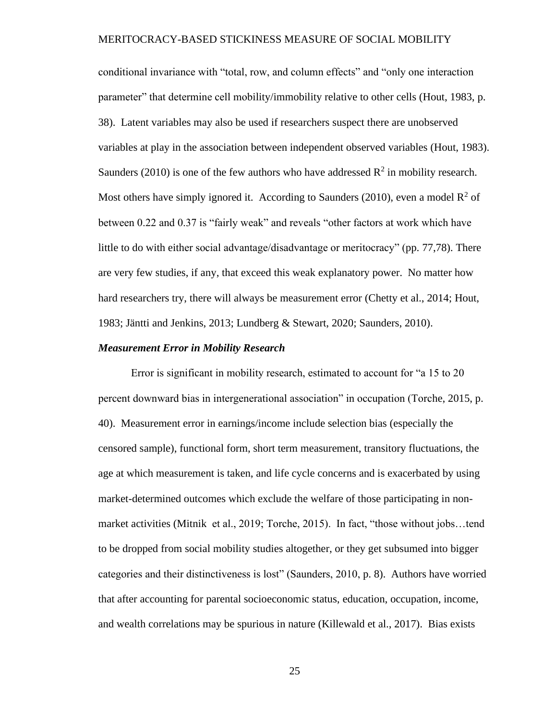conditional invariance with "total, row, and column effects" and "only one interaction parameter" that determine cell mobility/immobility relative to other cells (Hout, 1983, p. 38). Latent variables may also be used if researchers suspect there are unobserved variables at play in the association between independent observed variables (Hout, 1983). Saunders (2010) is one of the few authors who have addressed  $\mathbb{R}^2$  in mobility research. Most others have simply ignored it. According to Saunders (2010), even a model  $\mathbb{R}^2$  of between 0.22 and 0.37 is "fairly weak" and reveals "other factors at work which have little to do with either social advantage/disadvantage or meritocracy" (pp. 77,78). There are very few studies, if any, that exceed this weak explanatory power. No matter how hard researchers try, there will always be measurement error (Chetty et al., 2014; Hout, 1983; Jäntti and Jenkins, 2013; Lundberg & Stewart, 2020; Saunders, 2010).

#### <span id="page-34-0"></span>*Measurement Error in Mobility Research*

Error is significant in mobility research, estimated to account for "a 15 to 20 percent downward bias in intergenerational association" in occupation (Torche, 2015, p. 40). Measurement error in earnings/income include selection bias (especially the censored sample), functional form, short term measurement, transitory fluctuations, the age at which measurement is taken, and life cycle concerns and is exacerbated by using market-determined outcomes which exclude the welfare of those participating in nonmarket activities (Mitnik et al., 2019; Torche, 2015). In fact, "those without jobs…tend to be dropped from social mobility studies altogether, or they get subsumed into bigger categories and their distinctiveness is lost" (Saunders, 2010, p. 8). Authors have worried that after accounting for parental socioeconomic status, education, occupation, income, and wealth correlations may be spurious in nature (Killewald et al., 2017). Bias exists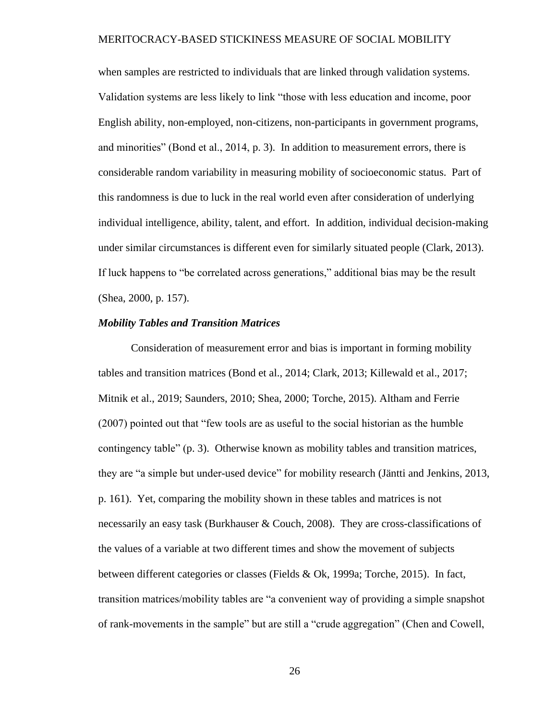when samples are restricted to individuals that are linked through validation systems. Validation systems are less likely to link "those with less education and income, poor English ability, non-employed, non-citizens, non-participants in government programs, and minorities" (Bond et al., 2014, p. 3). In addition to measurement errors, there is considerable random variability in measuring mobility of socioeconomic status. Part of this randomness is due to luck in the real world even after consideration of underlying individual intelligence, ability, talent, and effort. In addition, individual decision-making under similar circumstances is different even for similarly situated people (Clark, 2013). If luck happens to "be correlated across generations," additional bias may be the result (Shea, 2000, p. 157).

#### <span id="page-35-0"></span>*Mobility Tables and Transition Matrices*

Consideration of measurement error and bias is important in forming mobility tables and transition matrices (Bond et al., 2014; Clark, 2013; Killewald et al., 2017; Mitnik et al., 2019; Saunders, 2010; Shea, 2000; Torche, 2015). Altham and Ferrie (2007) pointed out that "few tools are as useful to the social historian as the humble contingency table" (p. 3). Otherwise known as mobility tables and transition matrices, they are "a simple but under-used device" for mobility research (Jäntti and Jenkins, 2013, p. 161). Yet, comparing the mobility shown in these tables and matrices is not necessarily an easy task (Burkhauser & Couch, 2008). They are cross-classifications of the values of a variable at two different times and show the movement of subjects between different categories or classes (Fields & Ok, 1999a; Torche, 2015). In fact, transition matrices/mobility tables are "a convenient way of providing a simple snapshot of rank-movements in the sample" but are still a "crude aggregation" (Chen and Cowell,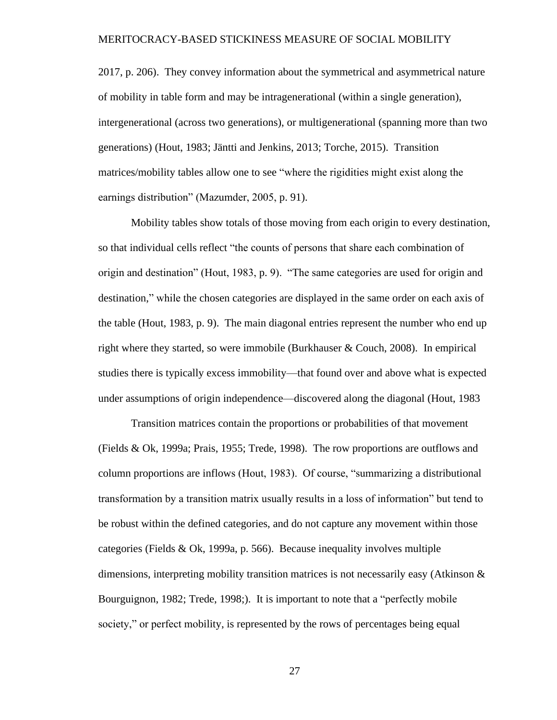2017, p. 206). They convey information about the symmetrical and asymmetrical nature of mobility in table form and may be intragenerational (within a single generation), intergenerational (across two generations), or multigenerational (spanning more than two generations) (Hout, 1983; Jäntti and Jenkins, 2013; Torche, 2015). Transition matrices/mobility tables allow one to see "where the rigidities might exist along the earnings distribution" (Mazumder, 2005, p. 91).

Mobility tables show totals of those moving from each origin to every destination, so that individual cells reflect "the counts of persons that share each combination of origin and destination" (Hout, 1983, p. 9). "The same categories are used for origin and destination," while the chosen categories are displayed in the same order on each axis of the table (Hout, 1983, p. 9). The main diagonal entries represent the number who end up right where they started, so were immobile (Burkhauser & Couch, 2008). In empirical studies there is typically excess immobility—that found over and above what is expected under assumptions of origin independence—discovered along the diagonal (Hout, 1983

Transition matrices contain the proportions or probabilities of that movement (Fields & Ok, 1999a; Prais, 1955; Trede, 1998). The row proportions are outflows and column proportions are inflows (Hout, 1983). Of course, "summarizing a distributional transformation by a transition matrix usually results in a loss of information" but tend to be robust within the defined categories, and do not capture any movement within those categories (Fields & Ok, 1999a, p. 566). Because inequality involves multiple dimensions, interpreting mobility transition matrices is not necessarily easy (Atkinson  $\&$ Bourguignon, 1982; Trede, 1998;). It is important to note that a "perfectly mobile society," or perfect mobility, is represented by the rows of percentages being equal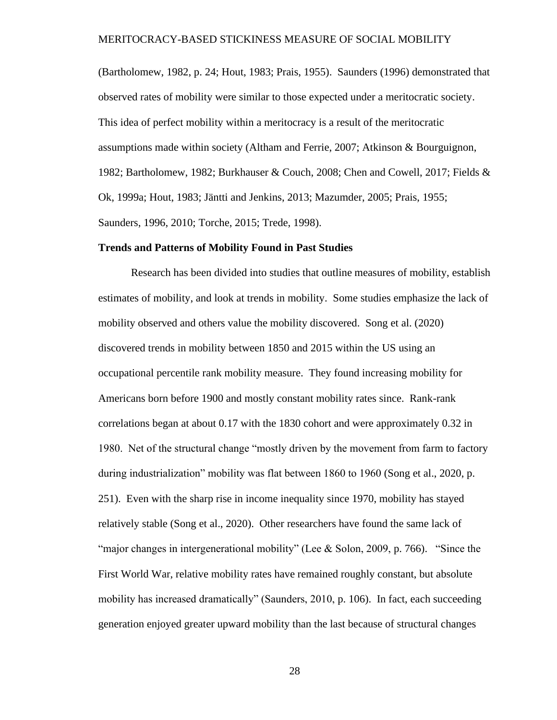(Bartholomew, 1982, p. 24; Hout, 1983; Prais, 1955). Saunders (1996) demonstrated that observed rates of mobility were similar to those expected under a meritocratic society. This idea of perfect mobility within a meritocracy is a result of the meritocratic assumptions made within society (Altham and Ferrie, 2007; Atkinson & Bourguignon, 1982; Bartholomew, 1982; Burkhauser & Couch, 2008; Chen and Cowell, 2017; Fields & Ok, 1999a; Hout, 1983; Jäntti and Jenkins, 2013; Mazumder, 2005; Prais, 1955; Saunders, 1996, 2010; Torche, 2015; Trede, 1998).

#### **Trends and Patterns of Mobility Found in Past Studies**

Research has been divided into studies that outline measures of mobility, establish estimates of mobility, and look at trends in mobility. Some studies emphasize the lack of mobility observed and others value the mobility discovered. Song et al. (2020) discovered trends in mobility between 1850 and 2015 within the US using an occupational percentile rank mobility measure. They found increasing mobility for Americans born before 1900 and mostly constant mobility rates since. Rank-rank correlations began at about 0.17 with the 1830 cohort and were approximately 0.32 in 1980. Net of the structural change "mostly driven by the movement from farm to factory during industrialization" mobility was flat between 1860 to 1960 (Song et al., 2020, p. 251). Even with the sharp rise in income inequality since 1970, mobility has stayed relatively stable (Song et al., 2020). Other researchers have found the same lack of "major changes in intergenerational mobility" (Lee & Solon, 2009, p. 766). "Since the First World War, relative mobility rates have remained roughly constant, but absolute mobility has increased dramatically" (Saunders, 2010, p. 106). In fact, each succeeding generation enjoyed greater upward mobility than the last because of structural changes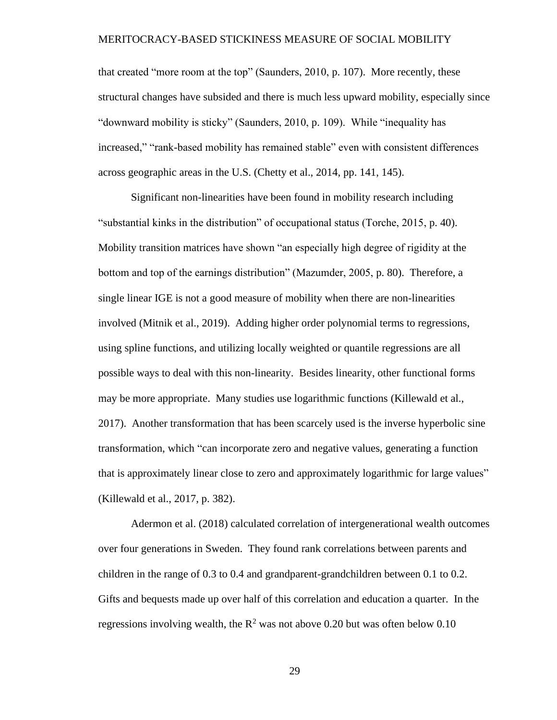that created "more room at the top" (Saunders, 2010, p. 107). More recently, these structural changes have subsided and there is much less upward mobility, especially since "downward mobility is sticky" (Saunders, 2010, p. 109). While "inequality has increased," "rank-based mobility has remained stable" even with consistent differences across geographic areas in the U.S. (Chetty et al., 2014, pp. 141, 145).

Significant non-linearities have been found in mobility research including "substantial kinks in the distribution" of occupational status (Torche, 2015, p. 40). Mobility transition matrices have shown "an especially high degree of rigidity at the bottom and top of the earnings distribution" (Mazumder, 2005, p. 80). Therefore, a single linear IGE is not a good measure of mobility when there are non-linearities involved (Mitnik et al., 2019). Adding higher order polynomial terms to regressions, using spline functions, and utilizing locally weighted or quantile regressions are all possible ways to deal with this non-linearity. Besides linearity, other functional forms may be more appropriate. Many studies use logarithmic functions (Killewald et al., 2017). Another transformation that has been scarcely used is the inverse hyperbolic sine transformation, which "can incorporate zero and negative values, generating a function that is approximately linear close to zero and approximately logarithmic for large values" (Killewald et al., 2017, p. 382).

Adermon et al. (2018) calculated correlation of intergenerational wealth outcomes over four generations in Sweden. They found rank correlations between parents and children in the range of 0.3 to 0.4 and grandparent-grandchildren between 0.1 to 0.2. Gifts and bequests made up over half of this correlation and education a quarter. In the regressions involving wealth, the  $R^2$  was not above 0.20 but was often below 0.10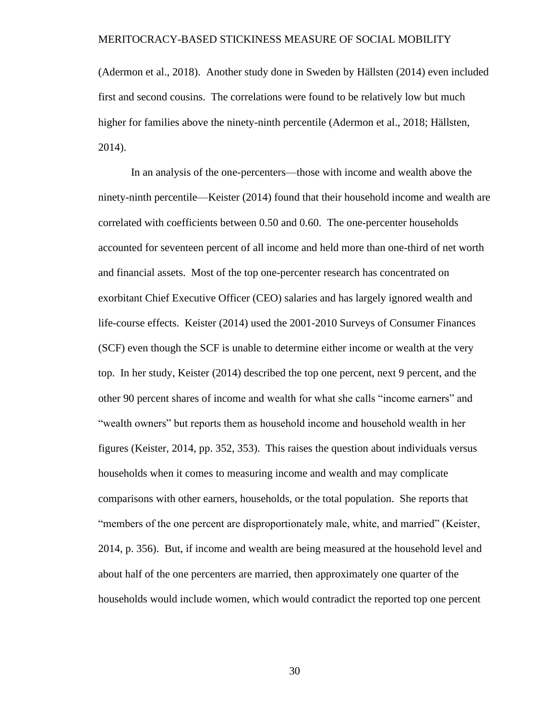(Adermon et al., 2018). Another study done in Sweden by Hällsten (2014) even included first and second cousins. The correlations were found to be relatively low but much higher for families above the ninety-ninth percentile (Adermon et al., 2018; Hällsten, 2014).

In an analysis of the one-percenters—those with income and wealth above the ninety-ninth percentile—Keister (2014) found that their household income and wealth are correlated with coefficients between 0.50 and 0.60. The one-percenter households accounted for seventeen percent of all income and held more than one-third of net worth and financial assets. Most of the top one-percenter research has concentrated on exorbitant Chief Executive Officer (CEO) salaries and has largely ignored wealth and life-course effects. Keister (2014) used the 2001-2010 Surveys of Consumer Finances (SCF) even though the SCF is unable to determine either income or wealth at the very top. In her study, Keister (2014) described the top one percent, next 9 percent, and the other 90 percent shares of income and wealth for what she calls "income earners" and "wealth owners" but reports them as household income and household wealth in her figures (Keister, 2014, pp. 352, 353). This raises the question about individuals versus households when it comes to measuring income and wealth and may complicate comparisons with other earners, households, or the total population. She reports that "members of the one percent are disproportionately male, white, and married" (Keister, 2014, p. 356). But, if income and wealth are being measured at the household level and about half of the one percenters are married, then approximately one quarter of the households would include women, which would contradict the reported top one percent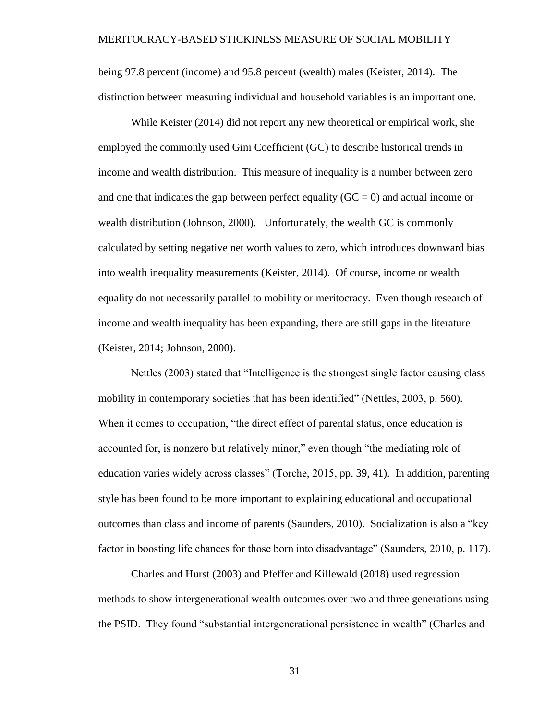being 97.8 percent (income) and 95.8 percent (wealth) males (Keister, 2014). The distinction between measuring individual and household variables is an important one.

While Keister (2014) did not report any new theoretical or empirical work, she employed the commonly used Gini Coefficient (GC) to describe historical trends in income and wealth distribution. This measure of inequality is a number between zero and one that indicates the gap between perfect equality ( $GC = 0$ ) and actual income or wealth distribution (Johnson, 2000). Unfortunately, the wealth GC is commonly calculated by setting negative net worth values to zero, which introduces downward bias into wealth inequality measurements (Keister, 2014). Of course, income or wealth equality do not necessarily parallel to mobility or meritocracy. Even though research of income and wealth inequality has been expanding, there are still gaps in the literature (Keister, 2014; Johnson, 2000).

Nettles (2003) stated that "Intelligence is the strongest single factor causing class mobility in contemporary societies that has been identified" (Nettles, 2003, p. 560). When it comes to occupation, "the direct effect of parental status, once education is accounted for, is nonzero but relatively minor," even though "the mediating role of education varies widely across classes" (Torche, 2015, pp. 39, 41). In addition, parenting style has been found to be more important to explaining educational and occupational outcomes than class and income of parents (Saunders, 2010). Socialization is also a "key factor in boosting life chances for those born into disadvantage" (Saunders, 2010, p. 117).

Charles and Hurst (2003) and Pfeffer and Killewald (2018) used regression methods to show intergenerational wealth outcomes over two and three generations using the PSID. They found "substantial intergenerational persistence in wealth" (Charles and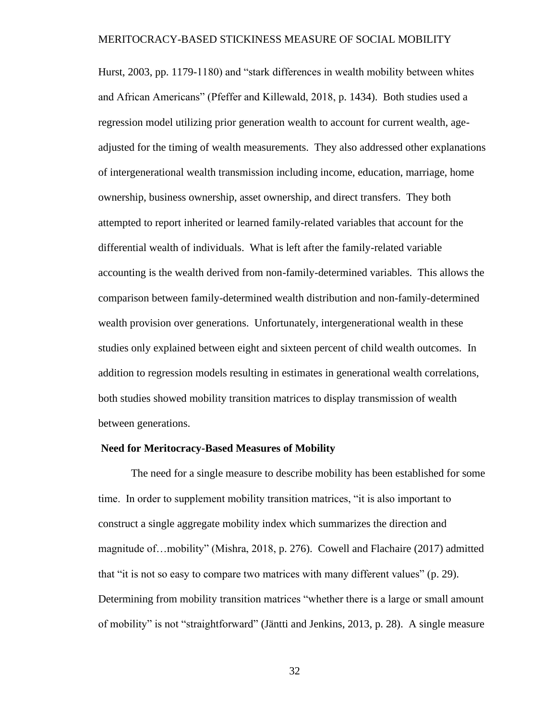Hurst, 2003, pp. 1179-1180) and "stark differences in wealth mobility between whites and African Americans" (Pfeffer and Killewald, 2018, p. 1434). Both studies used a regression model utilizing prior generation wealth to account for current wealth, ageadjusted for the timing of wealth measurements. They also addressed other explanations of intergenerational wealth transmission including income, education, marriage, home ownership, business ownership, asset ownership, and direct transfers. They both attempted to report inherited or learned family-related variables that account for the differential wealth of individuals. What is left after the family-related variable accounting is the wealth derived from non-family-determined variables. This allows the comparison between family-determined wealth distribution and non-family-determined wealth provision over generations. Unfortunately, intergenerational wealth in these studies only explained between eight and sixteen percent of child wealth outcomes. In addition to regression models resulting in estimates in generational wealth correlations, both studies showed mobility transition matrices to display transmission of wealth between generations.

#### **Need for Meritocracy-Based Measures of Mobility**

The need for a single measure to describe mobility has been established for some time. In order to supplement mobility transition matrices, "it is also important to construct a single aggregate mobility index which summarizes the direction and magnitude of…mobility" (Mishra, 2018, p. 276). Cowell and Flachaire (2017) admitted that "it is not so easy to compare two matrices with many different values" (p. 29). Determining from mobility transition matrices "whether there is a large or small amount of mobility" is not "straightforward" (Jäntti and Jenkins, 2013, p. 28). A single measure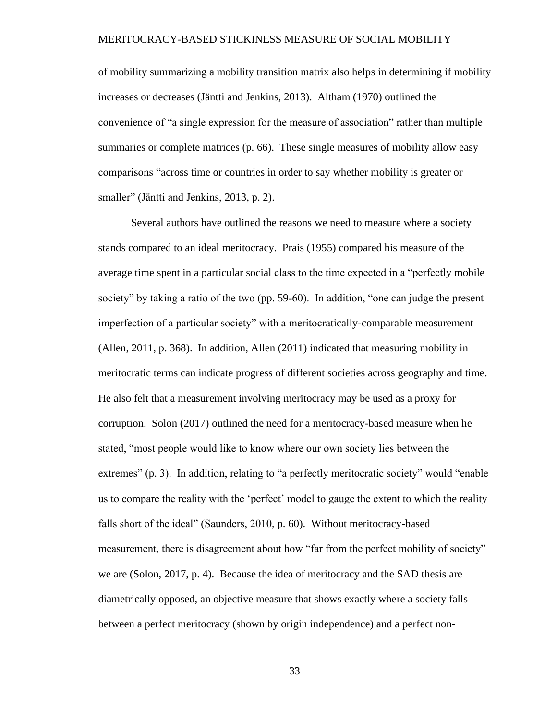of mobility summarizing a mobility transition matrix also helps in determining if mobility increases or decreases (Jäntti and Jenkins, 2013). Altham (1970) outlined the convenience of "a single expression for the measure of association" rather than multiple summaries or complete matrices (p. 66). These single measures of mobility allow easy comparisons "across time or countries in order to say whether mobility is greater or smaller" (Jäntti and Jenkins, 2013, p. 2).

Several authors have outlined the reasons we need to measure where a society stands compared to an ideal meritocracy. Prais (1955) compared his measure of the average time spent in a particular social class to the time expected in a "perfectly mobile society" by taking a ratio of the two (pp. 59-60). In addition, "one can judge the present imperfection of a particular society" with a meritocratically-comparable measurement (Allen, 2011, p. 368). In addition, Allen (2011) indicated that measuring mobility in meritocratic terms can indicate progress of different societies across geography and time. He also felt that a measurement involving meritocracy may be used as a proxy for corruption. Solon (2017) outlined the need for a meritocracy-based measure when he stated, "most people would like to know where our own society lies between the extremes" (p. 3). In addition, relating to "a perfectly meritocratic society" would "enable us to compare the reality with the 'perfect' model to gauge the extent to which the reality falls short of the ideal" (Saunders, 2010, p. 60). Without meritocracy-based measurement, there is disagreement about how "far from the perfect mobility of society" we are (Solon, 2017, p. 4). Because the idea of meritocracy and the SAD thesis are diametrically opposed, an objective measure that shows exactly where a society falls between a perfect meritocracy (shown by origin independence) and a perfect non-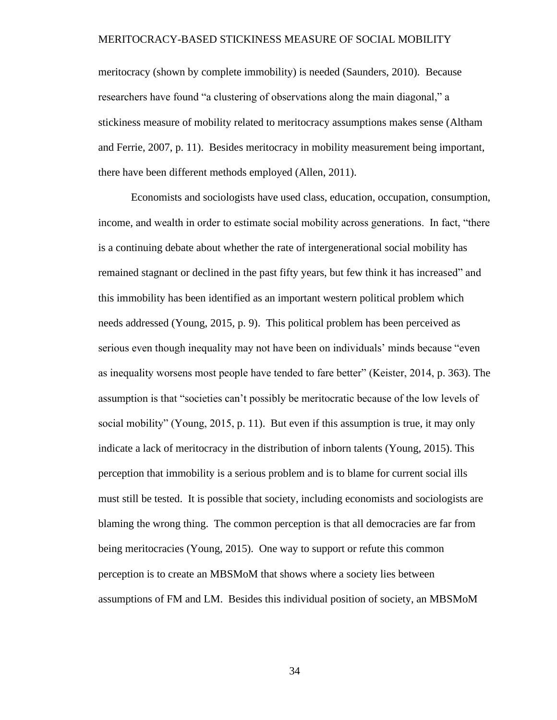meritocracy (shown by complete immobility) is needed (Saunders, 2010). Because researchers have found "a clustering of observations along the main diagonal," a stickiness measure of mobility related to meritocracy assumptions makes sense (Altham and Ferrie, 2007, p. 11). Besides meritocracy in mobility measurement being important, there have been different methods employed (Allen, 2011).

Economists and sociologists have used class, education, occupation, consumption, income, and wealth in order to estimate social mobility across generations. In fact, "there is a continuing debate about whether the rate of intergenerational social mobility has remained stagnant or declined in the past fifty years, but few think it has increased" and this immobility has been identified as an important western political problem which needs addressed (Young, 2015, p. 9). This political problem has been perceived as serious even though inequality may not have been on individuals' minds because "even as inequality worsens most people have tended to fare better" (Keister, 2014, p. 363). The assumption is that "societies can't possibly be meritocratic because of the low levels of social mobility" (Young, 2015, p. 11). But even if this assumption is true, it may only indicate a lack of meritocracy in the distribution of inborn talents (Young, 2015). This perception that immobility is a serious problem and is to blame for current social ills must still be tested. It is possible that society, including economists and sociologists are blaming the wrong thing. The common perception is that all democracies are far from being meritocracies (Young, 2015). One way to support or refute this common perception is to create an MBSMoM that shows where a society lies between assumptions of FM and LM. Besides this individual position of society, an MBSMoM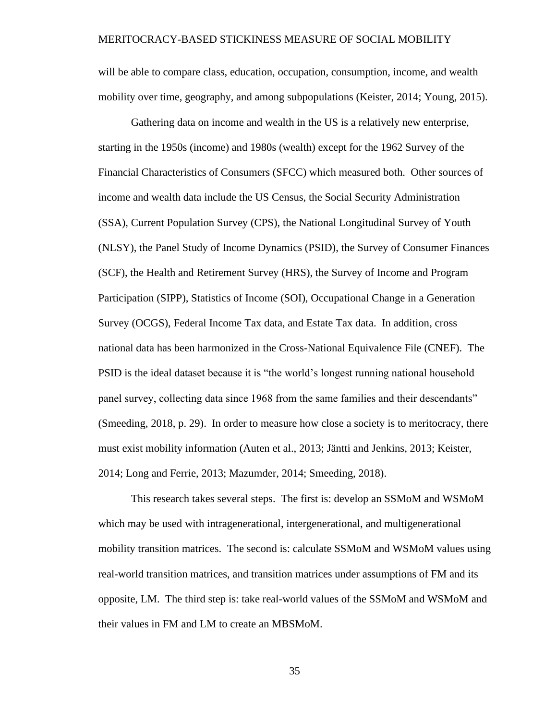will be able to compare class, education, occupation, consumption, income, and wealth mobility over time, geography, and among subpopulations (Keister, 2014; Young, 2015).

Gathering data on income and wealth in the US is a relatively new enterprise, starting in the 1950s (income) and 1980s (wealth) except for the 1962 Survey of the Financial Characteristics of Consumers (SFCC) which measured both. Other sources of income and wealth data include the US Census, the Social Security Administration (SSA), Current Population Survey (CPS), the National Longitudinal Survey of Youth (NLSY), the Panel Study of Income Dynamics (PSID), the Survey of Consumer Finances (SCF), the Health and Retirement Survey (HRS), the Survey of Income and Program Participation (SIPP), Statistics of Income (SOI), Occupational Change in a Generation Survey (OCGS), Federal Income Tax data, and Estate Tax data. In addition, cross national data has been harmonized in the Cross-National Equivalence File (CNEF). The PSID is the ideal dataset because it is "the world's longest running national household panel survey, collecting data since 1968 from the same families and their descendants" (Smeeding, 2018, p. 29). In order to measure how close a society is to meritocracy, there must exist mobility information (Auten et al., 2013; Jäntti and Jenkins, 2013; Keister, 2014; Long and Ferrie, 2013; Mazumder, 2014; Smeeding, 2018).

This research takes several steps. The first is: develop an SSMoM and WSMoM which may be used with intragenerational, intergenerational, and multigenerational mobility transition matrices. The second is: calculate SSMoM and WSMoM values using real-world transition matrices, and transition matrices under assumptions of FM and its opposite, LM. The third step is: take real-world values of the SSMoM and WSMoM and their values in FM and LM to create an MBSMoM.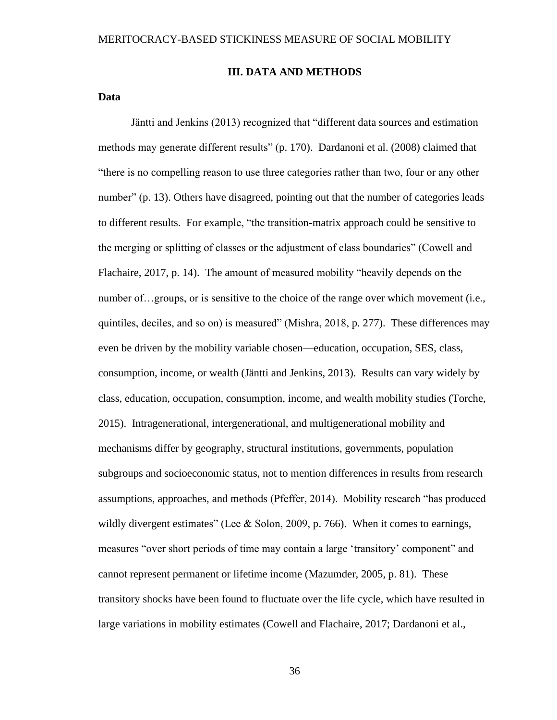#### **III. DATA AND METHODS**

# **Data**

Jäntti and Jenkins (2013) recognized that "different data sources and estimation methods may generate different results" (p. 170). Dardanoni et al. (2008) claimed that "there is no compelling reason to use three categories rather than two, four or any other number" (p. 13). Others have disagreed, pointing out that the number of categories leads to different results. For example, "the transition-matrix approach could be sensitive to the merging or splitting of classes or the adjustment of class boundaries" (Cowell and Flachaire, 2017, p. 14). The amount of measured mobility "heavily depends on the number of…groups, or is sensitive to the choice of the range over which movement (i.e., quintiles, deciles, and so on) is measured" (Mishra, 2018, p. 277). These differences may even be driven by the mobility variable chosen—education, occupation, SES, class, consumption, income, or wealth (Jäntti and Jenkins, 2013). Results can vary widely by class, education, occupation, consumption, income, and wealth mobility studies (Torche, 2015). Intragenerational, intergenerational, and multigenerational mobility and mechanisms differ by geography, structural institutions, governments, population subgroups and socioeconomic status, not to mention differences in results from research assumptions, approaches, and methods (Pfeffer, 2014). Mobility research "has produced wildly divergent estimates" (Lee & Solon, 2009, p. 766). When it comes to earnings, measures "over short periods of time may contain a large 'transitory' component" and cannot represent permanent or lifetime income (Mazumder, 2005, p. 81). These transitory shocks have been found to fluctuate over the life cycle, which have resulted in large variations in mobility estimates (Cowell and Flachaire, 2017; Dardanoni et al.,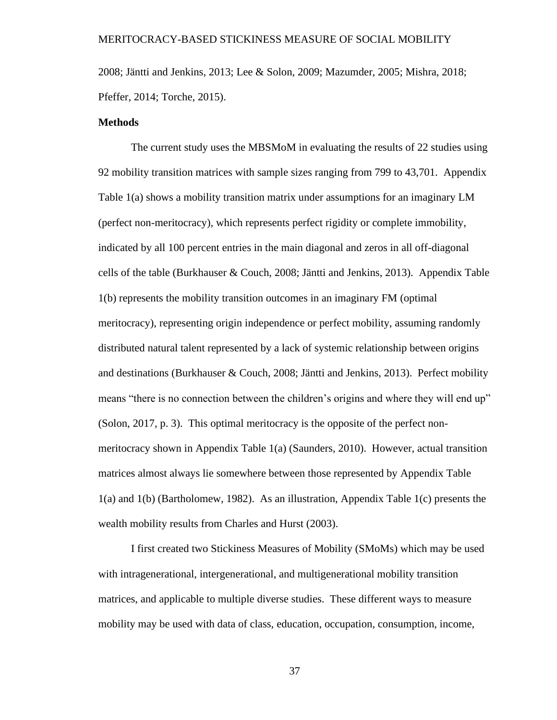2008; Jäntti and Jenkins, 2013; Lee & Solon, 2009; Mazumder, 2005; Mishra, 2018; Pfeffer, 2014; Torche, 2015).

#### **Methods**

The current study uses the MBSMoM in evaluating the results of 22 studies using 92 mobility transition matrices with sample sizes ranging from 799 to 43,701. Appendix Table 1(a) shows a mobility transition matrix under assumptions for an imaginary LM (perfect non-meritocracy), which represents perfect rigidity or complete immobility, indicated by all 100 percent entries in the main diagonal and zeros in all off-diagonal cells of the table (Burkhauser & Couch, 2008; Jäntti and Jenkins, 2013). Appendix Table 1(b) represents the mobility transition outcomes in an imaginary FM (optimal meritocracy), representing origin independence or perfect mobility, assuming randomly distributed natural talent represented by a lack of systemic relationship between origins and destinations (Burkhauser & Couch, 2008; Jäntti and Jenkins, 2013). Perfect mobility means "there is no connection between the children's origins and where they will end up" (Solon, 2017, p. 3). This optimal meritocracy is the opposite of the perfect nonmeritocracy shown in Appendix Table 1(a) (Saunders, 2010). However, actual transition matrices almost always lie somewhere between those represented by Appendix Table 1(a) and 1(b) (Bartholomew, 1982). As an illustration, Appendix Table 1(c) presents the wealth mobility results from Charles and Hurst (2003).

I first created two Stickiness Measures of Mobility (SMoMs) which may be used with intragenerational, intergenerational, and multigenerational mobility transition matrices, and applicable to multiple diverse studies. These different ways to measure mobility may be used with data of class, education, occupation, consumption, income,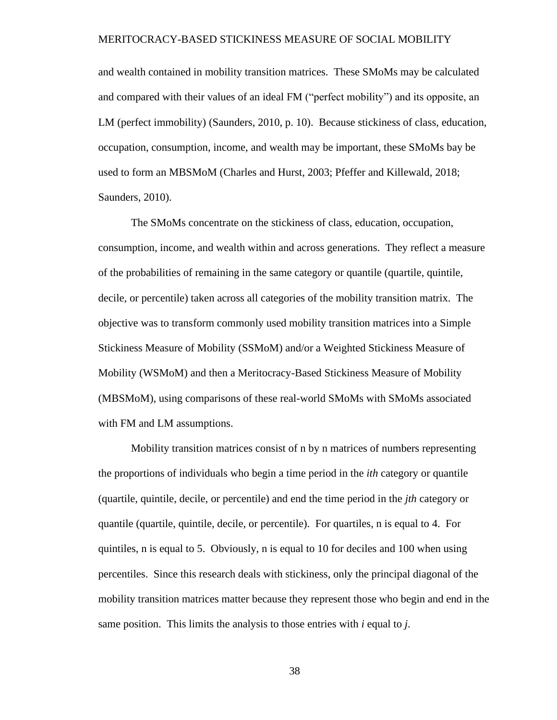and wealth contained in mobility transition matrices. These SMoMs may be calculated and compared with their values of an ideal FM ("perfect mobility") and its opposite, an LM (perfect immobility) (Saunders, 2010, p. 10). Because stickiness of class, education, occupation, consumption, income, and wealth may be important, these SMoMs bay be used to form an MBSMoM (Charles and Hurst, 2003; Pfeffer and Killewald, 2018; Saunders, 2010).

The SMoMs concentrate on the stickiness of class, education, occupation, consumption, income, and wealth within and across generations. They reflect a measure of the probabilities of remaining in the same category or quantile (quartile, quintile, decile, or percentile) taken across all categories of the mobility transition matrix. The objective was to transform commonly used mobility transition matrices into a Simple Stickiness Measure of Mobility (SSMoM) and/or a Weighted Stickiness Measure of Mobility (WSMoM) and then a Meritocracy-Based Stickiness Measure of Mobility (MBSMoM), using comparisons of these real-world SMoMs with SMoMs associated with FM and LM assumptions.

Mobility transition matrices consist of n by n matrices of numbers representing the proportions of individuals who begin a time period in the *ith* category or quantile (quartile, quintile, decile, or percentile) and end the time period in the *jth* category or quantile (quartile, quintile, decile, or percentile). For quartiles, n is equal to 4. For quintiles, n is equal to 5. Obviously, n is equal to 10 for deciles and 100 when using percentiles. Since this research deals with stickiness, only the principal diagonal of the mobility transition matrices matter because they represent those who begin and end in the same position. This limits the analysis to those entries with *i* equal to *j*.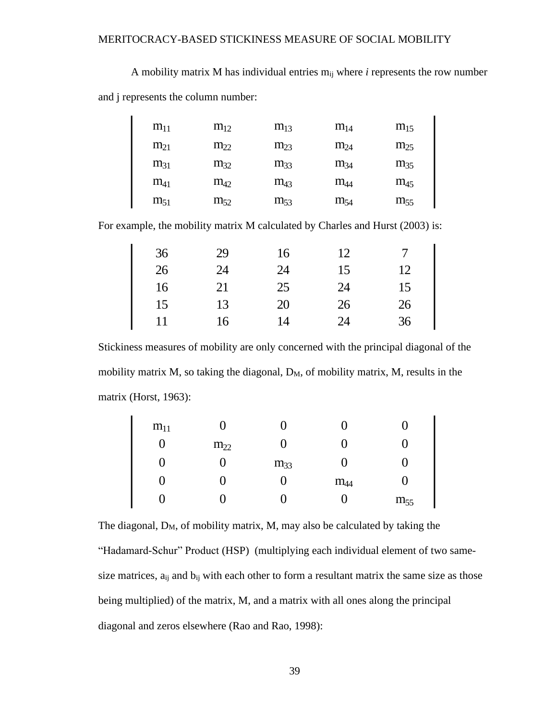A mobility matrix M has individual entries mij where *i* represents the row number and j represents the column number:

| $m_{11}$ | $m_{12}$ | $m_{13}$ | $m_{14}$ | $m_{15}$ |
|----------|----------|----------|----------|----------|
| $m_{21}$ | $m_{22}$ | $m_{23}$ | $m_{24}$ | $m_{25}$ |
| $m_{31}$ | $m_{32}$ | $m_{33}$ | $m_{34}$ | $m_{35}$ |
| $m_{41}$ | $m_{42}$ | $m_{43}$ | $m_{44}$ | $m_{45}$ |
| $m_{51}$ | $m_{52}$ | $m_{53}$ | $m_{54}$ | $m_{55}$ |

For example, the mobility matrix M calculated by Charles and Hurst (2003) is:

| 36 | 29 | 16 | 12 |    |
|----|----|----|----|----|
| 26 | 24 | 24 | 15 | 12 |
| 16 | 21 | 25 | 24 | 15 |
| 15 | 13 | 20 | 26 | 26 |
| 11 | 16 | 14 | 24 | 36 |

Stickiness measures of mobility are only concerned with the principal diagonal of the mobility matrix  $M$ , so taking the diagonal,  $D_M$ , of mobility matrix,  $M$ , results in the matrix (Horst, 1963):

| $m_{11}$ | U        | U        | U        |          |
|----------|----------|----------|----------|----------|
| 0        | $m_{22}$ | 0        | υ        | U        |
| 0        | U        | $m_{33}$ | U        | U        |
| 0        | U        | O        | $m_{44}$ | U        |
| O        | U        | U        | U        | $m_{55}$ |

The diagonal,  $D_M$ , of mobility matrix, M, may also be calculated by taking the "Hadamard-Schur" Product (HSP) (multiplying each individual element of two samesize matrices,  $a_{ii}$  and  $b_{ii}$  with each other to form a resultant matrix the same size as those being multiplied) of the matrix, M, and a matrix with all ones along the principal diagonal and zeros elsewhere (Rao and Rao, 1998):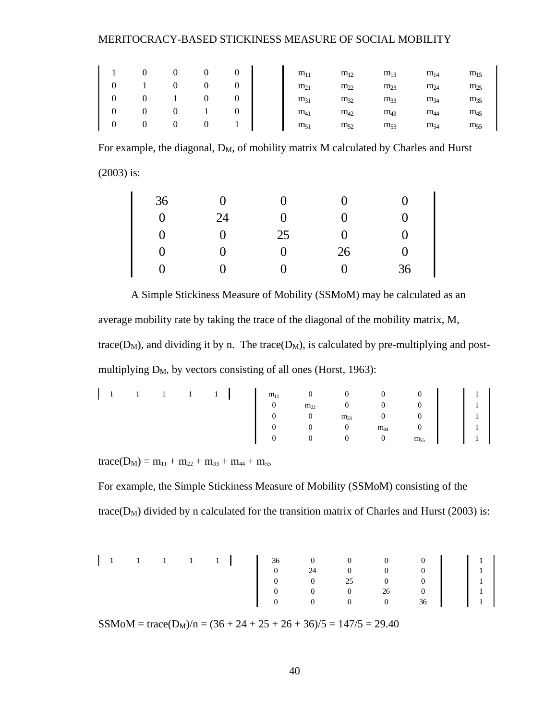|  | $\overline{0}$ | $\overline{0}$ | $\theta$ | $\theta$ | $m_{11}$ | $m_{12}$ | $m_{13}$ | $m_{14}$ |  |
|--|----------------|----------------|----------|----------|----------|----------|----------|----------|--|
|  |                |                |          |          | $m_{21}$ | $m_{22}$ | $m_{23}$ | $m_{24}$ |  |
|  |                |                |          |          | $m_{31}$ | $m_{32}$ | $m_{33}$ | $m_{34}$ |  |
|  |                |                |          |          | $m_{41}$ | $m_{42}$ | $m_{43}$ | $m_{44}$ |  |
|  |                |                |          |          | $m_{51}$ | $m_{52}$ | $m_{53}$ | $m_{54}$ |  |

For example, the diagonal, D<sub>M</sub>, of mobility matrix M calculated by Charles and Hurst (2003) is:

| $\theta$ |    | $\mathbf{\Omega}$ |     |
|----------|----|-------------------|-----|
| 24       | 0  | $\mathbf{\Omega}$ | ( ) |
| $\theta$ | 25 | $\left( \right)$  | 0   |
| 0        |    | 26                |     |
| 0        |    | 0                 | 36  |
|          |    |                   |     |

A Simple Stickiness Measure of Mobility (SSMoM) may be calculated as an average mobility rate by taking the trace of the diagonal of the mobility matrix, M, trace( $D_M$ ), and dividing it by n. The trace( $D_M$ ), is calculated by pre-multiplying and postmultiplying  $D_M$ , by vectors consisting of all ones (Horst, 1963):

 $trace(D_M) = m_{11} + m_{22} + m_{33} + m_{44} + m_{55}$ 

For example, the Simple Stickiness Measure of Mobility (SSMoM) consisting of the trace( $D_M$ ) divided by n calculated for the transition matrix of Charles and Hurst (2003) is:

 $SSMoM = trace(D<sub>M</sub>)/n = (36 + 24 + 25 + 26 + 36)/5 = 147/5 = 29.40$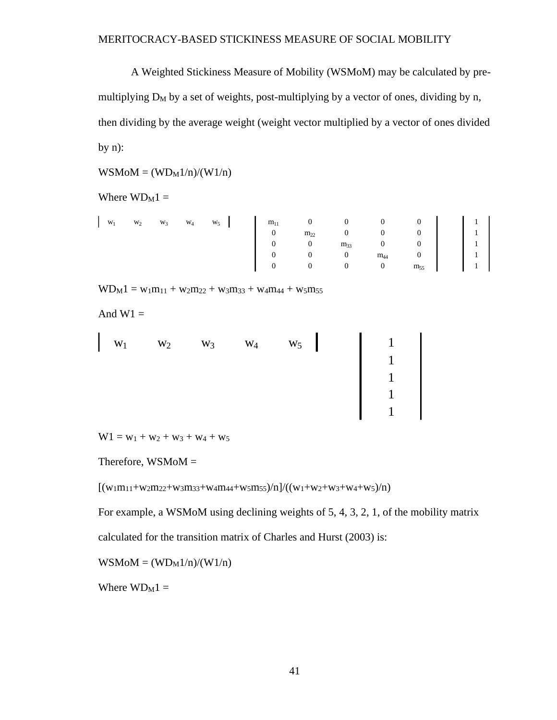A Weighted Stickiness Measure of Mobility (WSMoM) may be calculated by premultiplying  $D_M$  by a set of weights, post-multiplying by a vector of ones, dividing by n, then dividing by the average weight (weight vector multiplied by a vector of ones divided by  $n$ :

 $WSM oM = (WD<sub>M</sub>1/n)/(W1/n)$ 

Where  $WD_M1 =$ 

|  |  |  |  | $\begin{bmatrix} w_1 & w_2 & w_3 & w_4 & w_5 \end{bmatrix} \begin{bmatrix} m_{11} & 0 & 0 & 0 & 0 \ 0 & m_{22} & 0 & 0 & 0 \ 0 & 0 & m_{33} & 0 & 0 \ 0 & 0 & 0 & m_{44} & 0 \ 0 & 0 & 0 & 0 & m_{55} \end{bmatrix} \begin{bmatrix} 1 \ 1 \ 1 \ 1 \ 1 \ 1 \ 1 \ 1 \ 1 \end{bmatrix}$ |  |  |
|--|--|--|--|--------------------------------------------------------------------------------------------------------------------------------------------------------------------------------------------------------------------------------------------------------------------------------------|--|--|
|  |  |  |  |                                                                                                                                                                                                                                                                                      |  |  |
|  |  |  |  |                                                                                                                                                                                                                                                                                      |  |  |
|  |  |  |  |                                                                                                                                                                                                                                                                                      |  |  |
|  |  |  |  |                                                                                                                                                                                                                                                                                      |  |  |

 $WD_M1 = w_1m_{11} + w_2m_{22} + w_3m_{33} + w_4m_{44} + w_5m_{55}$ 

And  $W1 =$ 

| $\begin{vmatrix} w_1 & w_2 & w_3 & w_4 \end{vmatrix}$ |  | $W_5$ $\begin{array}{ c c c c }\n\hline\n1 & 1\n\end{array}$ |
|-------------------------------------------------------|--|--------------------------------------------------------------|
|                                                       |  |                                                              |
|                                                       |  |                                                              |
|                                                       |  |                                                              |
|                                                       |  |                                                              |

 $W1 = w_1 + w_2 + w_3 + w_4 + w_5$ 

Therefore,  $WSM oM =$ 

 $[(w_1m_{11}+w_2m_{22}+w_3m_{33}+w_4m_{44}+w_5m_{55})/n]/((w_1+w_2+w_3+w_4+w_5)/n)$ 

For example, a WSMoM using declining weights of 5, 4, 3, 2, 1, of the mobility matrix

calculated for the transition matrix of Charles and Hurst (2003) is:

 $WSM oM = (WD<sub>M</sub>1/n)/(W1/n)$ 

Where  $WD_M1 =$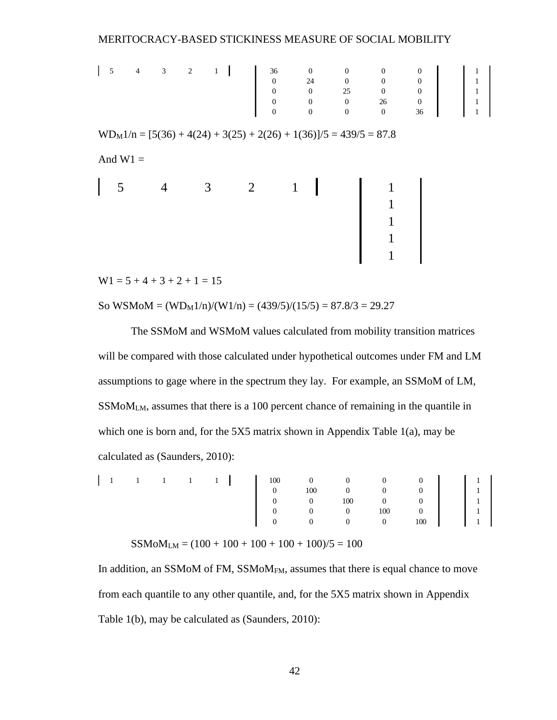$WD_M1/n = [5(36) + 4(24) + 3(25) + 2(26) + 1(36)]/5 = 439/5 = 87.8$ And  $W1 =$ 5 4 3 2 1 | 1 36 0 0 0 0 0 | 1 | 1 0 24 0 0 0 1 0 0 25 0 0 1 0 0 0 26 0 1 0 0 0 0 36 1 5 4 3 2 1 1 1 1 1 1

 $W1 = 5 + 4 + 3 + 2 + 1 = 15$ 

So WSMoM =  $(WD_M1/n)/(W1/n) = (439/5)/(15/5) = 87.8/3 = 29.27$ 

The SSMoM and WSMoM values calculated from mobility transition matrices will be compared with those calculated under hypothetical outcomes under FM and LM assumptions to gage where in the spectrum they lay. For example, an SSMoM of LM, SSMoMLM, assumes that there is a 100 percent chance of remaining in the quantile in which one is born and, for the 5X5 matrix shown in Appendix Table 1(a), may be calculated as (Saunders, 2010):

|  |  |  | $\begin{bmatrix} 1 & 1 & 1 & 1 & 1 & 1 \ 1 & & 1 & 1 & 1 & 1 \end{bmatrix}$ $\begin{bmatrix} 100 & 0 & 0 & 0 & 0 & 0 \ 0 & 100 & 0 & 0 & 0 & 0 \ 0 & 0 & 100 & 0 & 0 & 1 \ 0 & 0 & 0 & 0 & 100 & 0 \ 0 & 0 & 0 & 0 & 100 & 1 \end{bmatrix}$ $\begin{bmatrix} 1 \\ 1 \\ 1 \\ 1 \\ 1 \\ 1 \end{bmatrix}$ |  |  |  |  |
|--|--|--|--------------------------------------------------------------------------------------------------------------------------------------------------------------------------------------------------------------------------------------------------------------------------------------------------------|--|--|--|--|
|  |  |  |                                                                                                                                                                                                                                                                                                        |  |  |  |  |
|  |  |  |                                                                                                                                                                                                                                                                                                        |  |  |  |  |
|  |  |  |                                                                                                                                                                                                                                                                                                        |  |  |  |  |
|  |  |  |                                                                                                                                                                                                                                                                                                        |  |  |  |  |

$$
SSMoM_{LM} = (100 + 100 + 100 + 100 + 100)/5 = 100
$$

In addition, an SSMoM of FM, SSMoM<sub>FM</sub>, assumes that there is equal chance to move from each quantile to any other quantile, and, for the 5X5 matrix shown in Appendix Table 1(b), may be calculated as (Saunders, 2010):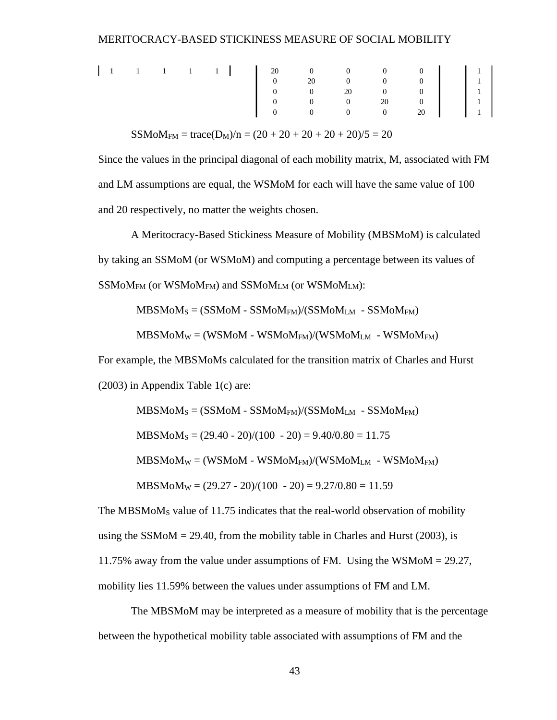$SSMoM<sub>FM</sub> = trace(D<sub>M</sub>)/n = (20 + 20 + 20 + 20 + 20)/5 = 20$ 

Since the values in the principal diagonal of each mobility matrix, M, associated with FM and LM assumptions are equal, the WSMoM for each will have the same value of 100 and 20 respectively, no matter the weights chosen.

A Meritocracy-Based Stickiness Measure of Mobility (MBSMoM) is calculated by taking an SSMoM (or WSMoM) and computing a percentage between its values of  $SSMoM<sub>FM</sub>$  (or WSMo $M<sub>FM</sub>$ ) and SSMo $M<sub>LM</sub>$  (or WSMo $M<sub>LM</sub>$ ):

 $MBSMoM<sub>S</sub> = (SSMoM - SSMoM<sub>FM</sub>)/(SSMoM<sub>LM</sub> - SSMoM<sub>FM</sub>)$ 

 $MBSMoM_W = (WSMoM - WSMoM<sub>FM</sub>)/(WSMoM<sub>LM</sub> - WSMoM<sub>FM</sub>)$ 

For example, the MBSMoMs calculated for the transition matrix of Charles and Hurst (2003) in Appendix Table 1(c) are:

 $MBSMoM<sub>S</sub> = (SSMoM - SSMoM<sub>FM</sub>)/(SSMoM<sub>LM</sub> - SSMoM<sub>FM</sub>)$  $MBSMoM<sub>S</sub> = (29.40 - 20)/(100 - 20) = 9.40/0.80 = 11.75$  $MBSMoM_W = (WSMoM - WSMoM<sub>FM</sub>)/(WSMoM<sub>LM</sub> - WSMoM<sub>FM</sub>)$  $MBSMoM<sub>W</sub> = (29.27 - 20)/(100 - 20) = 9.27/0.80 = 11.59$ 

The MBSMoM<sub>S</sub> value of 11.75 indicates that the real-world observation of mobility using the SSMoM  $=$  29.40, from the mobility table in Charles and Hurst (2003), is 11.75% away from the value under assumptions of FM. Using the WSMoM = 29.27, mobility lies 11.59% between the values under assumptions of FM and LM.

The MBSMoM may be interpreted as a measure of mobility that is the percentage between the hypothetical mobility table associated with assumptions of FM and the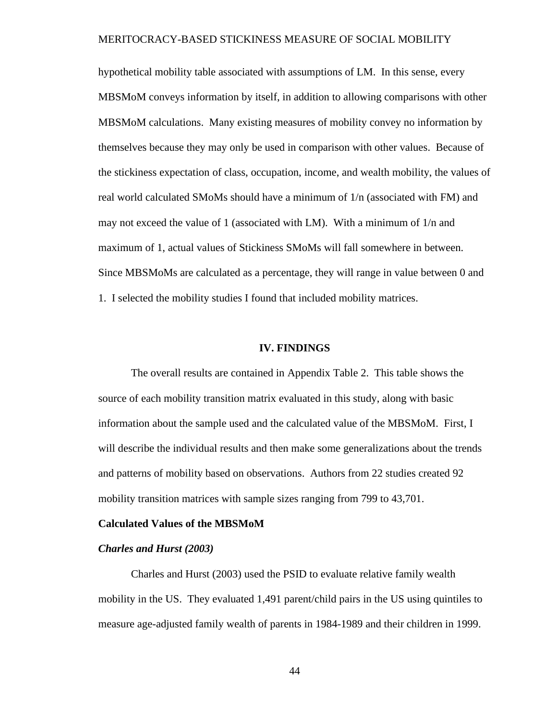hypothetical mobility table associated with assumptions of LM. In this sense, every MBSMoM conveys information by itself, in addition to allowing comparisons with other MBSMoM calculations. Many existing measures of mobility convey no information by themselves because they may only be used in comparison with other values. Because of the stickiness expectation of class, occupation, income, and wealth mobility, the values of real world calculated SMoMs should have a minimum of 1/n (associated with FM) and may not exceed the value of 1 (associated with LM). With a minimum of 1/n and maximum of 1, actual values of Stickiness SMoMs will fall somewhere in between. Since MBSMoMs are calculated as a percentage, they will range in value between 0 and 1. I selected the mobility studies I found that included mobility matrices.

#### **IV. FINDINGS**

The overall results are contained in Appendix Table 2. This table shows the source of each mobility transition matrix evaluated in this study, along with basic information about the sample used and the calculated value of the MBSMoM. First, I will describe the individual results and then make some generalizations about the trends and patterns of mobility based on observations. Authors from 22 studies created 92 mobility transition matrices with sample sizes ranging from 799 to 43,701.

#### **Calculated Values of the MBSMoM**

#### *Charles and Hurst (2003)*

Charles and Hurst (2003) used the PSID to evaluate relative family wealth mobility in the US. They evaluated 1,491 parent/child pairs in the US using quintiles to measure age-adjusted family wealth of parents in 1984-1989 and their children in 1999.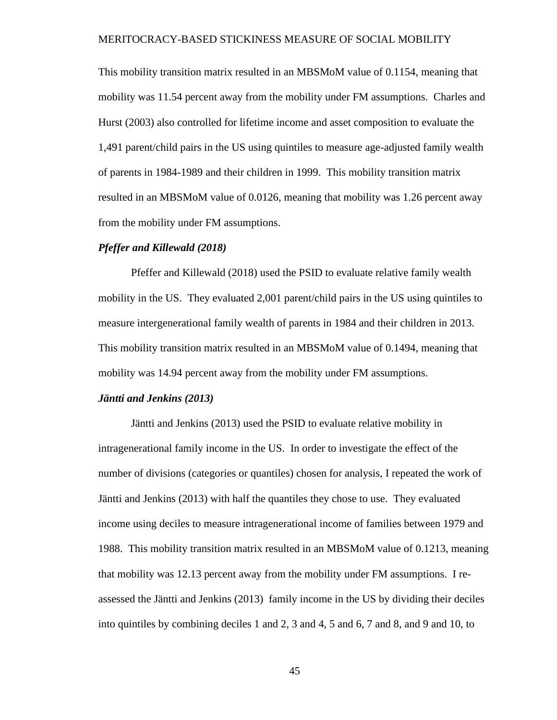This mobility transition matrix resulted in an MBSMoM value of 0.1154, meaning that mobility was 11.54 percent away from the mobility under FM assumptions. Charles and Hurst (2003) also controlled for lifetime income and asset composition to evaluate the 1,491 parent/child pairs in the US using quintiles to measure age-adjusted family wealth of parents in 1984-1989 and their children in 1999. This mobility transition matrix resulted in an MBSMoM value of 0.0126, meaning that mobility was 1.26 percent away from the mobility under FM assumptions.

#### *Pfeffer and Killewald (2018)*

Pfeffer and Killewald (2018) used the PSID to evaluate relative family wealth mobility in the US. They evaluated 2,001 parent/child pairs in the US using quintiles to measure intergenerational family wealth of parents in 1984 and their children in 2013. This mobility transition matrix resulted in an MBSMoM value of 0.1494, meaning that mobility was 14.94 percent away from the mobility under FM assumptions.

#### *Jäntti and Jenkins (2013)*

Jäntti and Jenkins (2013) used the PSID to evaluate relative mobility in intragenerational family income in the US. In order to investigate the effect of the number of divisions (categories or quantiles) chosen for analysis, I repeated the work of Jäntti and Jenkins (2013) with half the quantiles they chose to use. They evaluated income using deciles to measure intragenerational income of families between 1979 and 1988. This mobility transition matrix resulted in an MBSMoM value of 0.1213, meaning that mobility was 12.13 percent away from the mobility under FM assumptions. I reassessed the Jäntti and Jenkins (2013) family income in the US by dividing their deciles into quintiles by combining deciles 1 and 2, 3 and 4, 5 and 6, 7 and 8, and 9 and 10, to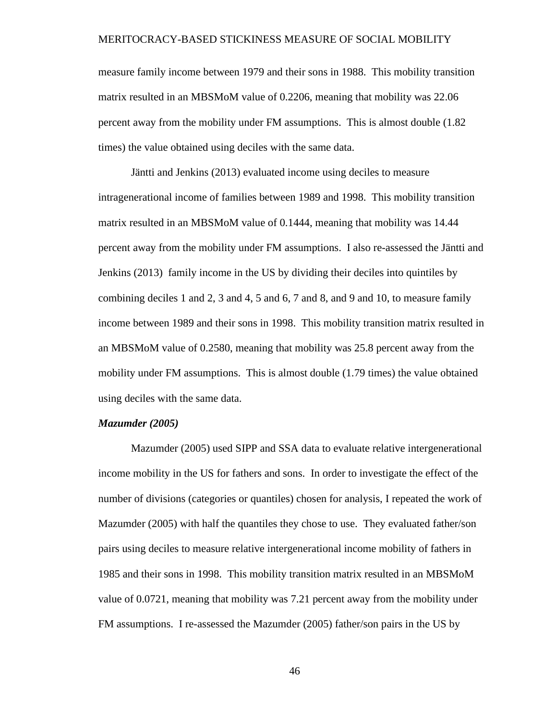measure family income between 1979 and their sons in 1988. This mobility transition matrix resulted in an MBSMoM value of 0.2206, meaning that mobility was 22.06 percent away from the mobility under FM assumptions. This is almost double (1.82 times) the value obtained using deciles with the same data.

Jäntti and Jenkins (2013) evaluated income using deciles to measure intragenerational income of families between 1989 and 1998. This mobility transition matrix resulted in an MBSMoM value of 0.1444, meaning that mobility was 14.44 percent away from the mobility under FM assumptions. I also re-assessed the Jäntti and Jenkins (2013) family income in the US by dividing their deciles into quintiles by combining deciles 1 and 2, 3 and 4, 5 and 6, 7 and 8, and 9 and 10, to measure family income between 1989 and their sons in 1998. This mobility transition matrix resulted in an MBSMoM value of 0.2580, meaning that mobility was 25.8 percent away from the mobility under FM assumptions. This is almost double (1.79 times) the value obtained using deciles with the same data.

#### *Mazumder (2005)*

Mazumder (2005) used SIPP and SSA data to evaluate relative intergenerational income mobility in the US for fathers and sons. In order to investigate the effect of the number of divisions (categories or quantiles) chosen for analysis, I repeated the work of Mazumder (2005) with half the quantiles they chose to use. They evaluated father/son pairs using deciles to measure relative intergenerational income mobility of fathers in 1985 and their sons in 1998. This mobility transition matrix resulted in an MBSMoM value of 0.0721, meaning that mobility was 7.21 percent away from the mobility under FM assumptions. I re-assessed the Mazumder (2005) father/son pairs in the US by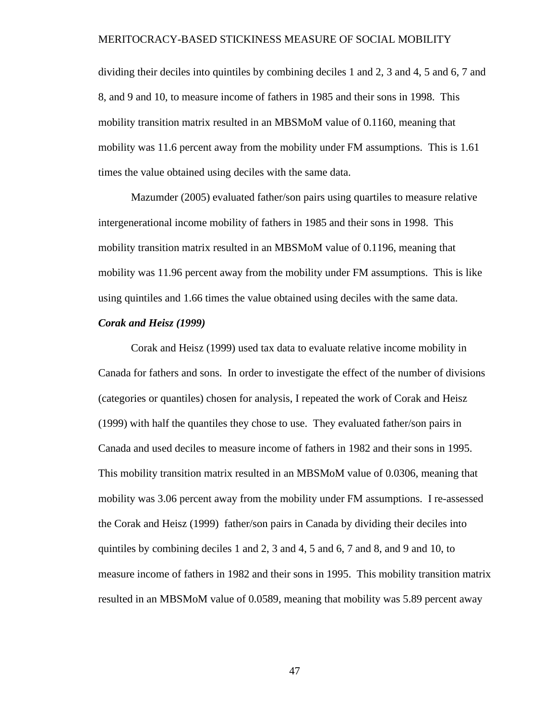dividing their deciles into quintiles by combining deciles 1 and 2, 3 and 4, 5 and 6, 7 and 8, and 9 and 10, to measure income of fathers in 1985 and their sons in 1998. This mobility transition matrix resulted in an MBSMoM value of 0.1160, meaning that mobility was 11.6 percent away from the mobility under FM assumptions. This is 1.61 times the value obtained using deciles with the same data.

Mazumder (2005) evaluated father/son pairs using quartiles to measure relative intergenerational income mobility of fathers in 1985 and their sons in 1998. This mobility transition matrix resulted in an MBSMoM value of 0.1196, meaning that mobility was 11.96 percent away from the mobility under FM assumptions. This is like using quintiles and 1.66 times the value obtained using deciles with the same data.

### *Corak and Heisz (1999)*

Corak and Heisz (1999) used tax data to evaluate relative income mobility in Canada for fathers and sons. In order to investigate the effect of the number of divisions (categories or quantiles) chosen for analysis, I repeated the work of Corak and Heisz (1999) with half the quantiles they chose to use. They evaluated father/son pairs in Canada and used deciles to measure income of fathers in 1982 and their sons in 1995. This mobility transition matrix resulted in an MBSMoM value of 0.0306, meaning that mobility was 3.06 percent away from the mobility under FM assumptions. I re-assessed the Corak and Heisz (1999) father/son pairs in Canada by dividing their deciles into quintiles by combining deciles 1 and 2, 3 and 4, 5 and 6, 7 and 8, and 9 and 10, to measure income of fathers in 1982 and their sons in 1995. This mobility transition matrix resulted in an MBSMoM value of 0.0589, meaning that mobility was 5.89 percent away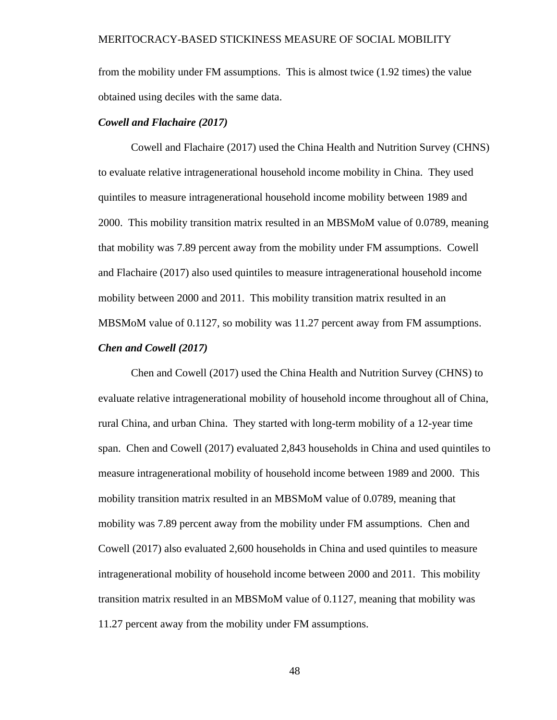from the mobility under FM assumptions. This is almost twice (1.92 times) the value obtained using deciles with the same data.

#### *Cowell and Flachaire (2017)*

Cowell and Flachaire (2017) used the China Health and Nutrition Survey (CHNS) to evaluate relative intragenerational household income mobility in China. They used quintiles to measure intragenerational household income mobility between 1989 and 2000. This mobility transition matrix resulted in an MBSMoM value of 0.0789, meaning that mobility was 7.89 percent away from the mobility under FM assumptions. Cowell and Flachaire (2017) also used quintiles to measure intragenerational household income mobility between 2000 and 2011. This mobility transition matrix resulted in an MBSMoM value of 0.1127, so mobility was 11.27 percent away from FM assumptions. *Chen and Cowell (2017)*

Chen and Cowell (2017) used the China Health and Nutrition Survey (CHNS) to evaluate relative intragenerational mobility of household income throughout all of China, rural China, and urban China. They started with long-term mobility of a 12-year time span. Chen and Cowell (2017) evaluated 2,843 households in China and used quintiles to measure intragenerational mobility of household income between 1989 and 2000. This mobility transition matrix resulted in an MBSMoM value of 0.0789, meaning that mobility was 7.89 percent away from the mobility under FM assumptions. Chen and Cowell (2017) also evaluated 2,600 households in China and used quintiles to measure intragenerational mobility of household income between 2000 and 2011. This mobility transition matrix resulted in an MBSMoM value of 0.1127, meaning that mobility was 11.27 percent away from the mobility under FM assumptions.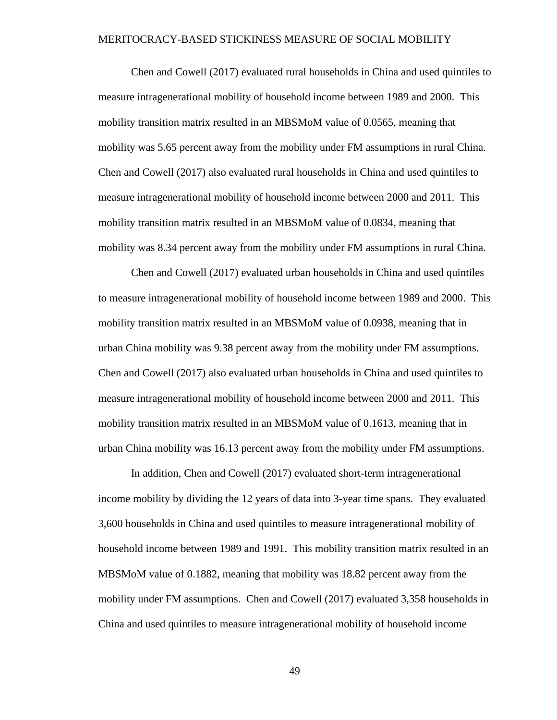Chen and Cowell (2017) evaluated rural households in China and used quintiles to measure intragenerational mobility of household income between 1989 and 2000. This mobility transition matrix resulted in an MBSMoM value of 0.0565, meaning that mobility was 5.65 percent away from the mobility under FM assumptions in rural China. Chen and Cowell (2017) also evaluated rural households in China and used quintiles to measure intragenerational mobility of household income between 2000 and 2011. This mobility transition matrix resulted in an MBSMoM value of 0.0834, meaning that mobility was 8.34 percent away from the mobility under FM assumptions in rural China.

Chen and Cowell (2017) evaluated urban households in China and used quintiles to measure intragenerational mobility of household income between 1989 and 2000. This mobility transition matrix resulted in an MBSMoM value of 0.0938, meaning that in urban China mobility was 9.38 percent away from the mobility under FM assumptions. Chen and Cowell (2017) also evaluated urban households in China and used quintiles to measure intragenerational mobility of household income between 2000 and 2011. This mobility transition matrix resulted in an MBSMoM value of 0.1613, meaning that in urban China mobility was 16.13 percent away from the mobility under FM assumptions.

In addition, Chen and Cowell (2017) evaluated short-term intragenerational income mobility by dividing the 12 years of data into 3-year time spans. They evaluated 3,600 households in China and used quintiles to measure intragenerational mobility of household income between 1989 and 1991. This mobility transition matrix resulted in an MBSMoM value of 0.1882, meaning that mobility was 18.82 percent away from the mobility under FM assumptions. Chen and Cowell (2017) evaluated 3,358 households in China and used quintiles to measure intragenerational mobility of household income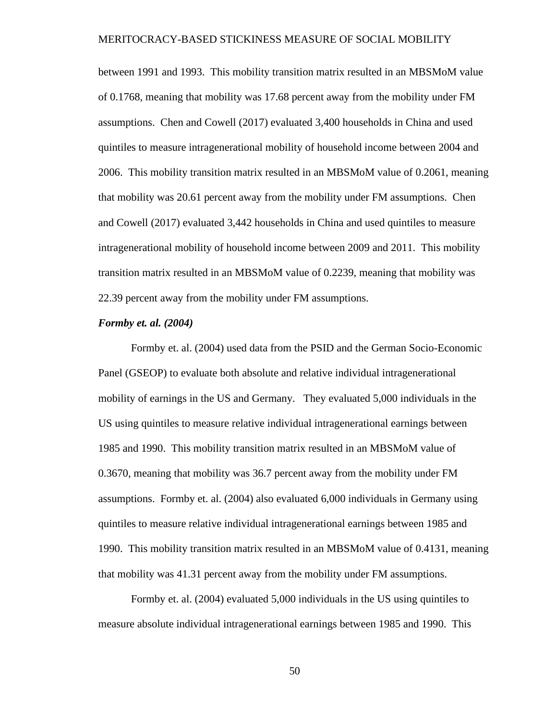between 1991 and 1993. This mobility transition matrix resulted in an MBSMoM value of 0.1768, meaning that mobility was 17.68 percent away from the mobility under FM assumptions. Chen and Cowell (2017) evaluated 3,400 households in China and used quintiles to measure intragenerational mobility of household income between 2004 and 2006. This mobility transition matrix resulted in an MBSMoM value of 0.2061, meaning that mobility was 20.61 percent away from the mobility under FM assumptions. Chen and Cowell (2017) evaluated 3,442 households in China and used quintiles to measure intragenerational mobility of household income between 2009 and 2011. This mobility transition matrix resulted in an MBSMoM value of 0.2239, meaning that mobility was 22.39 percent away from the mobility under FM assumptions.

#### *Formby et. al. (2004)*

Formby et. al. (2004) used data from the PSID and the German Socio-Economic Panel (GSEOP) to evaluate both absolute and relative individual intragenerational mobility of earnings in the US and Germany. They evaluated 5,000 individuals in the US using quintiles to measure relative individual intragenerational earnings between 1985 and 1990. This mobility transition matrix resulted in an MBSMoM value of 0.3670, meaning that mobility was 36.7 percent away from the mobility under FM assumptions. Formby et. al. (2004) also evaluated 6,000 individuals in Germany using quintiles to measure relative individual intragenerational earnings between 1985 and 1990. This mobility transition matrix resulted in an MBSMoM value of 0.4131, meaning that mobility was 41.31 percent away from the mobility under FM assumptions.

Formby et. al. (2004) evaluated 5,000 individuals in the US using quintiles to measure absolute individual intragenerational earnings between 1985 and 1990. This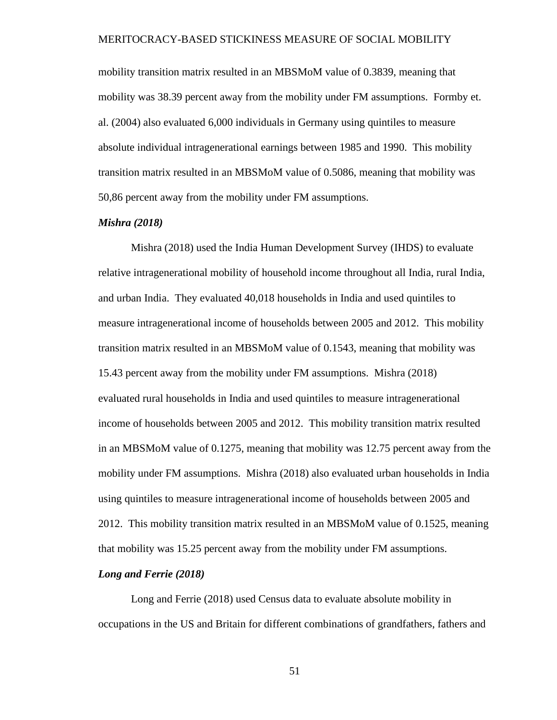mobility transition matrix resulted in an MBSMoM value of 0.3839, meaning that mobility was 38.39 percent away from the mobility under FM assumptions. Formby et. al. (2004) also evaluated 6,000 individuals in Germany using quintiles to measure absolute individual intragenerational earnings between 1985 and 1990. This mobility transition matrix resulted in an MBSMoM value of 0.5086, meaning that mobility was 50,86 percent away from the mobility under FM assumptions.

### *Mishra (2018)*

Mishra (2018) used the India Human Development Survey (IHDS) to evaluate relative intragenerational mobility of household income throughout all India, rural India, and urban India. They evaluated 40,018 households in India and used quintiles to measure intragenerational income of households between 2005 and 2012. This mobility transition matrix resulted in an MBSMoM value of 0.1543, meaning that mobility was 15.43 percent away from the mobility under FM assumptions. Mishra (2018) evaluated rural households in India and used quintiles to measure intragenerational income of households between 2005 and 2012. This mobility transition matrix resulted in an MBSMoM value of 0.1275, meaning that mobility was 12.75 percent away from the mobility under FM assumptions. Mishra (2018) also evaluated urban households in India using quintiles to measure intragenerational income of households between 2005 and 2012. This mobility transition matrix resulted in an MBSMoM value of 0.1525, meaning that mobility was 15.25 percent away from the mobility under FM assumptions.

#### *Long and Ferrie (2018)*

Long and Ferrie (2018) used Census data to evaluate absolute mobility in occupations in the US and Britain for different combinations of grandfathers, fathers and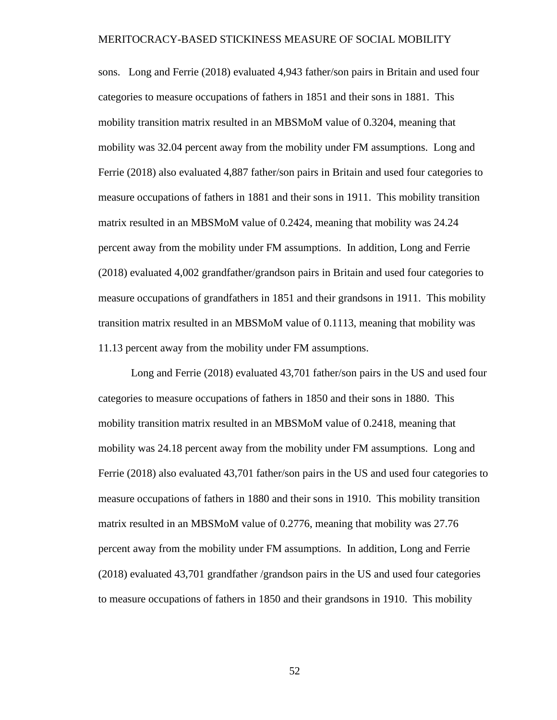sons. Long and Ferrie (2018) evaluated 4,943 father/son pairs in Britain and used four categories to measure occupations of fathers in 1851 and their sons in 1881. This mobility transition matrix resulted in an MBSMoM value of 0.3204, meaning that mobility was 32.04 percent away from the mobility under FM assumptions. Long and Ferrie (2018) also evaluated 4,887 father/son pairs in Britain and used four categories to measure occupations of fathers in 1881 and their sons in 1911. This mobility transition matrix resulted in an MBSMoM value of 0.2424, meaning that mobility was 24.24 percent away from the mobility under FM assumptions. In addition, Long and Ferrie (2018) evaluated 4,002 grandfather/grandson pairs in Britain and used four categories to measure occupations of grandfathers in 1851 and their grandsons in 1911. This mobility transition matrix resulted in an MBSMoM value of 0.1113, meaning that mobility was 11.13 percent away from the mobility under FM assumptions.

Long and Ferrie (2018) evaluated 43,701 father/son pairs in the US and used four categories to measure occupations of fathers in 1850 and their sons in 1880. This mobility transition matrix resulted in an MBSMoM value of 0.2418, meaning that mobility was 24.18 percent away from the mobility under FM assumptions. Long and Ferrie (2018) also evaluated 43,701 father/son pairs in the US and used four categories to measure occupations of fathers in 1880 and their sons in 1910. This mobility transition matrix resulted in an MBSMoM value of 0.2776, meaning that mobility was 27.76 percent away from the mobility under FM assumptions. In addition, Long and Ferrie (2018) evaluated 43,701 grandfather /grandson pairs in the US and used four categories to measure occupations of fathers in 1850 and their grandsons in 1910. This mobility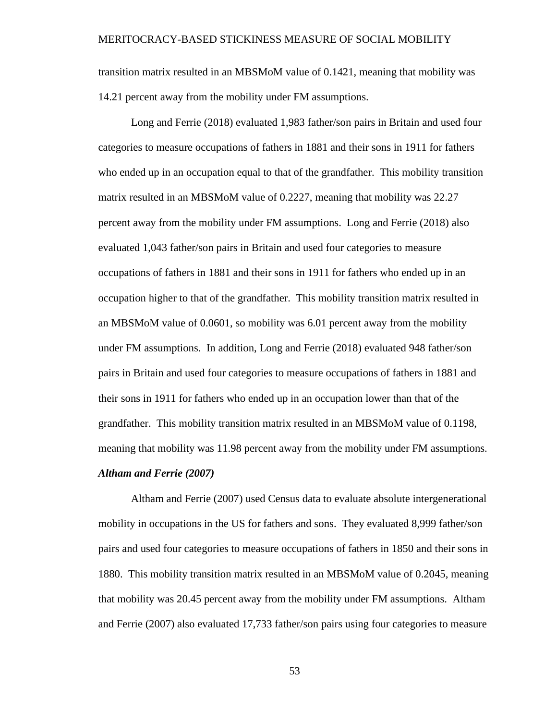transition matrix resulted in an MBSMoM value of 0.1421, meaning that mobility was 14.21 percent away from the mobility under FM assumptions.

Long and Ferrie (2018) evaluated 1,983 father/son pairs in Britain and used four categories to measure occupations of fathers in 1881 and their sons in 1911 for fathers who ended up in an occupation equal to that of the grandfather. This mobility transition matrix resulted in an MBSMoM value of 0.2227, meaning that mobility was 22.27 percent away from the mobility under FM assumptions. Long and Ferrie (2018) also evaluated 1,043 father/son pairs in Britain and used four categories to measure occupations of fathers in 1881 and their sons in 1911 for fathers who ended up in an occupation higher to that of the grandfather. This mobility transition matrix resulted in an MBSMoM value of 0.0601, so mobility was 6.01 percent away from the mobility under FM assumptions. In addition, Long and Ferrie (2018) evaluated 948 father/son pairs in Britain and used four categories to measure occupations of fathers in 1881 and their sons in 1911 for fathers who ended up in an occupation lower than that of the grandfather. This mobility transition matrix resulted in an MBSMoM value of 0.1198, meaning that mobility was 11.98 percent away from the mobility under FM assumptions. *Altham and Ferrie (2007)*

Altham and Ferrie (2007) used Census data to evaluate absolute intergenerational mobility in occupations in the US for fathers and sons. They evaluated 8,999 father/son pairs and used four categories to measure occupations of fathers in 1850 and their sons in 1880. This mobility transition matrix resulted in an MBSMoM value of 0.2045, meaning that mobility was 20.45 percent away from the mobility under FM assumptions. Altham and Ferrie (2007) also evaluated 17,733 father/son pairs using four categories to measure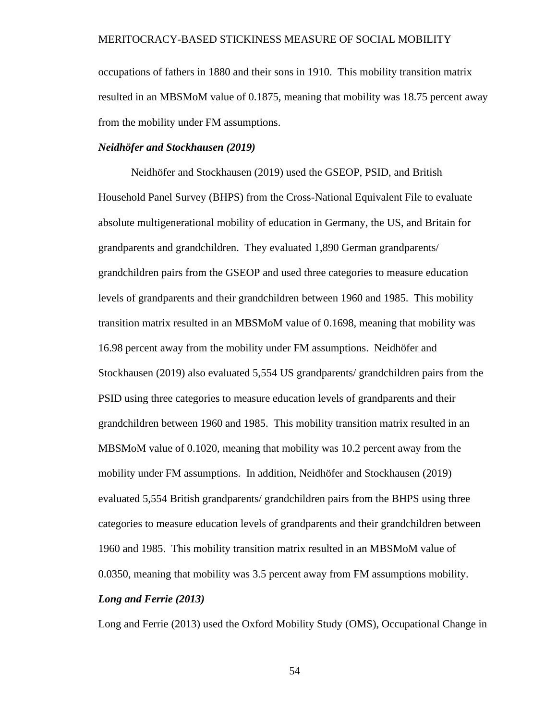occupations of fathers in 1880 and their sons in 1910. This mobility transition matrix resulted in an MBSMoM value of 0.1875, meaning that mobility was 18.75 percent away from the mobility under FM assumptions.

# *Neidhöfer and Stockhausen (2019)*

Neidhöfer and Stockhausen (2019) used the GSEOP, PSID, and British Household Panel Survey (BHPS) from the Cross-National Equivalent File to evaluate absolute multigenerational mobility of education in Germany, the US, and Britain for grandparents and grandchildren. They evaluated 1,890 German grandparents/ grandchildren pairs from the GSEOP and used three categories to measure education levels of grandparents and their grandchildren between 1960 and 1985. This mobility transition matrix resulted in an MBSMoM value of 0.1698, meaning that mobility was 16.98 percent away from the mobility under FM assumptions. Neidhöfer and Stockhausen (2019) also evaluated 5,554 US grandparents/ grandchildren pairs from the PSID using three categories to measure education levels of grandparents and their grandchildren between 1960 and 1985. This mobility transition matrix resulted in an MBSMoM value of 0.1020, meaning that mobility was 10.2 percent away from the mobility under FM assumptions. In addition, Neidhöfer and Stockhausen (2019) evaluated 5,554 British grandparents/ grandchildren pairs from the BHPS using three categories to measure education levels of grandparents and their grandchildren between 1960 and 1985. This mobility transition matrix resulted in an MBSMoM value of 0.0350, meaning that mobility was 3.5 percent away from FM assumptions mobility. *Long and Ferrie (2013)*

Long and Ferrie (2013) used the Oxford Mobility Study (OMS), Occupational Change in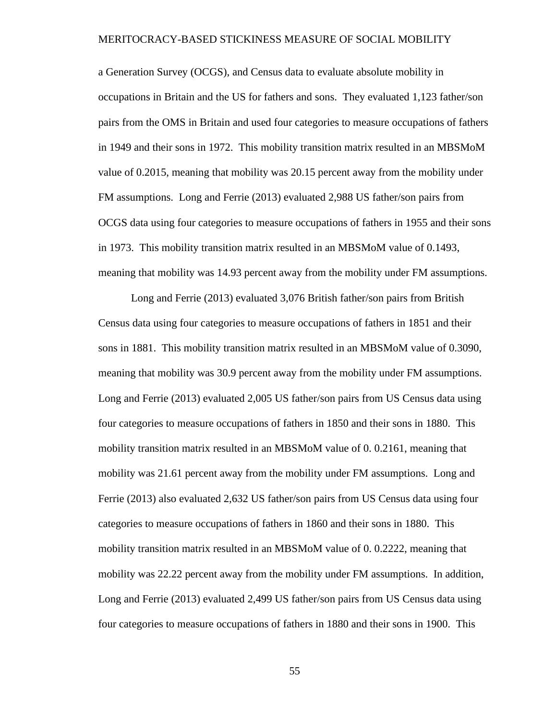a Generation Survey (OCGS), and Census data to evaluate absolute mobility in occupations in Britain and the US for fathers and sons. They evaluated 1,123 father/son pairs from the OMS in Britain and used four categories to measure occupations of fathers in 1949 and their sons in 1972. This mobility transition matrix resulted in an MBSMoM value of 0.2015, meaning that mobility was 20.15 percent away from the mobility under FM assumptions. Long and Ferrie (2013) evaluated 2,988 US father/son pairs from OCGS data using four categories to measure occupations of fathers in 1955 and their sons in 1973. This mobility transition matrix resulted in an MBSMoM value of 0.1493, meaning that mobility was 14.93 percent away from the mobility under FM assumptions.

Long and Ferrie (2013) evaluated 3,076 British father/son pairs from British Census data using four categories to measure occupations of fathers in 1851 and their sons in 1881. This mobility transition matrix resulted in an MBSMoM value of 0.3090, meaning that mobility was 30.9 percent away from the mobility under FM assumptions. Long and Ferrie (2013) evaluated 2,005 US father/son pairs from US Census data using four categories to measure occupations of fathers in 1850 and their sons in 1880. This mobility transition matrix resulted in an MBSMoM value of 0. 0.2161, meaning that mobility was 21.61 percent away from the mobility under FM assumptions. Long and Ferrie (2013) also evaluated 2,632 US father/son pairs from US Census data using four categories to measure occupations of fathers in 1860 and their sons in 1880. This mobility transition matrix resulted in an MBSMoM value of 0. 0.2222, meaning that mobility was 22.22 percent away from the mobility under FM assumptions. In addition, Long and Ferrie (2013) evaluated 2,499 US father/son pairs from US Census data using four categories to measure occupations of fathers in 1880 and their sons in 1900. This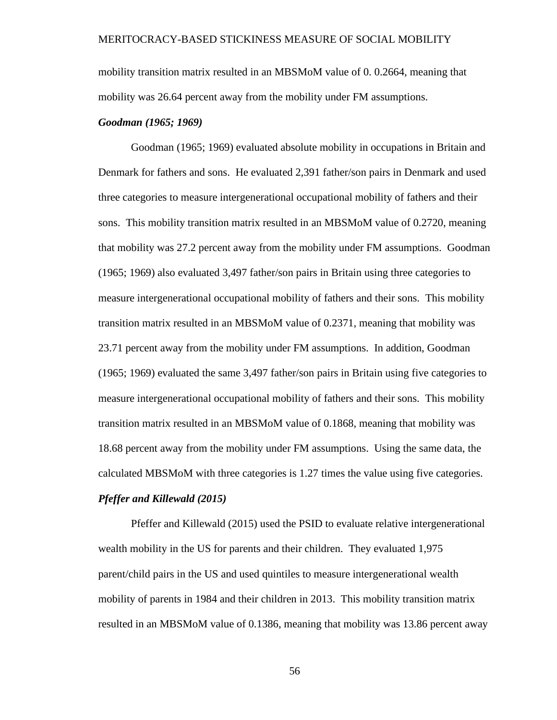mobility transition matrix resulted in an MBSMoM value of 0. 0.2664, meaning that mobility was 26.64 percent away from the mobility under FM assumptions.

#### *Goodman (1965; 1969)*

Goodman (1965; 1969) evaluated absolute mobility in occupations in Britain and Denmark for fathers and sons. He evaluated 2,391 father/son pairs in Denmark and used three categories to measure intergenerational occupational mobility of fathers and their sons. This mobility transition matrix resulted in an MBSMoM value of 0.2720, meaning that mobility was 27.2 percent away from the mobility under FM assumptions. Goodman (1965; 1969) also evaluated 3,497 father/son pairs in Britain using three categories to measure intergenerational occupational mobility of fathers and their sons. This mobility transition matrix resulted in an MBSMoM value of 0.2371, meaning that mobility was 23.71 percent away from the mobility under FM assumptions. In addition, Goodman (1965; 1969) evaluated the same 3,497 father/son pairs in Britain using five categories to measure intergenerational occupational mobility of fathers and their sons. This mobility transition matrix resulted in an MBSMoM value of 0.1868, meaning that mobility was 18.68 percent away from the mobility under FM assumptions. Using the same data, the calculated MBSMoM with three categories is 1.27 times the value using five categories.

## *Pfeffer and Killewald (2015)*

Pfeffer and Killewald (2015) used the PSID to evaluate relative intergenerational wealth mobility in the US for parents and their children. They evaluated 1,975 parent/child pairs in the US and used quintiles to measure intergenerational wealth mobility of parents in 1984 and their children in 2013. This mobility transition matrix resulted in an MBSMoM value of 0.1386, meaning that mobility was 13.86 percent away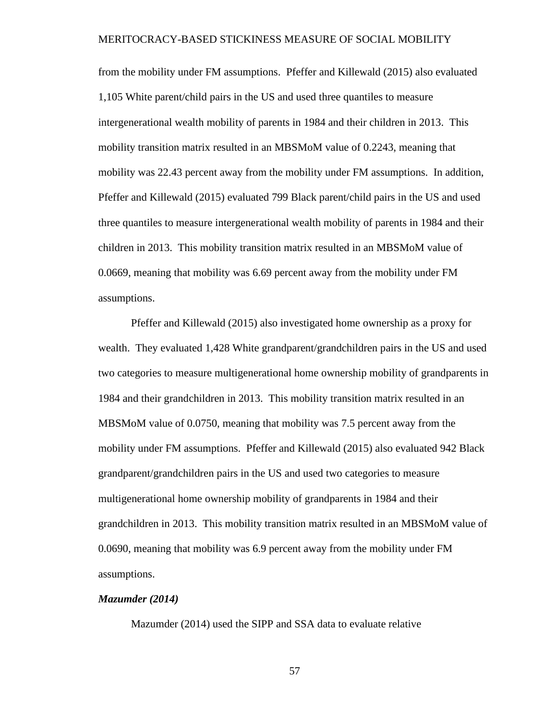from the mobility under FM assumptions. Pfeffer and Killewald (2015) also evaluated 1,105 White parent/child pairs in the US and used three quantiles to measure intergenerational wealth mobility of parents in 1984 and their children in 2013. This mobility transition matrix resulted in an MBSMoM value of 0.2243, meaning that mobility was 22.43 percent away from the mobility under FM assumptions. In addition, Pfeffer and Killewald (2015) evaluated 799 Black parent/child pairs in the US and used three quantiles to measure intergenerational wealth mobility of parents in 1984 and their children in 2013. This mobility transition matrix resulted in an MBSMoM value of 0.0669, meaning that mobility was 6.69 percent away from the mobility under FM assumptions.

Pfeffer and Killewald (2015) also investigated home ownership as a proxy for wealth. They evaluated 1,428 White grandparent/grandchildren pairs in the US and used two categories to measure multigenerational home ownership mobility of grandparents in 1984 and their grandchildren in 2013. This mobility transition matrix resulted in an MBSMoM value of 0.0750, meaning that mobility was 7.5 percent away from the mobility under FM assumptions. Pfeffer and Killewald (2015) also evaluated 942 Black grandparent/grandchildren pairs in the US and used two categories to measure multigenerational home ownership mobility of grandparents in 1984 and their grandchildren in 2013. This mobility transition matrix resulted in an MBSMoM value of 0.0690, meaning that mobility was 6.9 percent away from the mobility under FM assumptions.

### *Mazumder (2014)*

Mazumder (2014) used the SIPP and SSA data to evaluate relative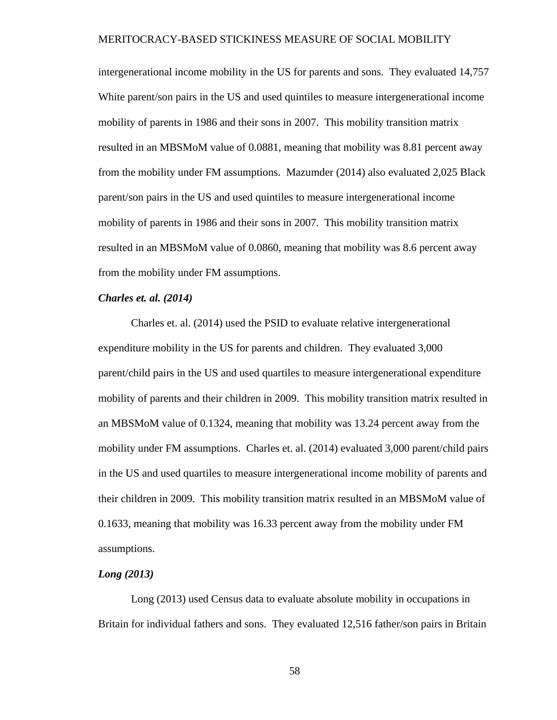intergenerational income mobility in the US for parents and sons. They evaluated 14,757 White parent/son pairs in the US and used quintiles to measure intergenerational income mobility of parents in 1986 and their sons in 2007. This mobility transition matrix resulted in an MBSMoM value of 0.0881, meaning that mobility was 8.81 percent away from the mobility under FM assumptions. Mazumder (2014) also evaluated 2,025 Black parent/son pairs in the US and used quintiles to measure intergenerational income mobility of parents in 1986 and their sons in 2007. This mobility transition matrix resulted in an MBSMoM value of 0.0860, meaning that mobility was 8.6 percent away from the mobility under FM assumptions.

#### *Charles et. al. (2014)*

Charles et. al. (2014) used the PSID to evaluate relative intergenerational expenditure mobility in the US for parents and children. They evaluated 3,000 parent/child pairs in the US and used quartiles to measure intergenerational expenditure mobility of parents and their children in 2009. This mobility transition matrix resulted in an MBSMoM value of 0.1324, meaning that mobility was 13.24 percent away from the mobility under FM assumptions. Charles et. al. (2014) evaluated 3,000 parent/child pairs in the US and used quartiles to measure intergenerational income mobility of parents and their children in 2009. This mobility transition matrix resulted in an MBSMoM value of 0.1633, meaning that mobility was 16.33 percent away from the mobility under FM assumptions.

#### *Long (2013)*

Long (2013) used Census data to evaluate absolute mobility in occupations in Britain for individual fathers and sons. They evaluated 12,516 father/son pairs in Britain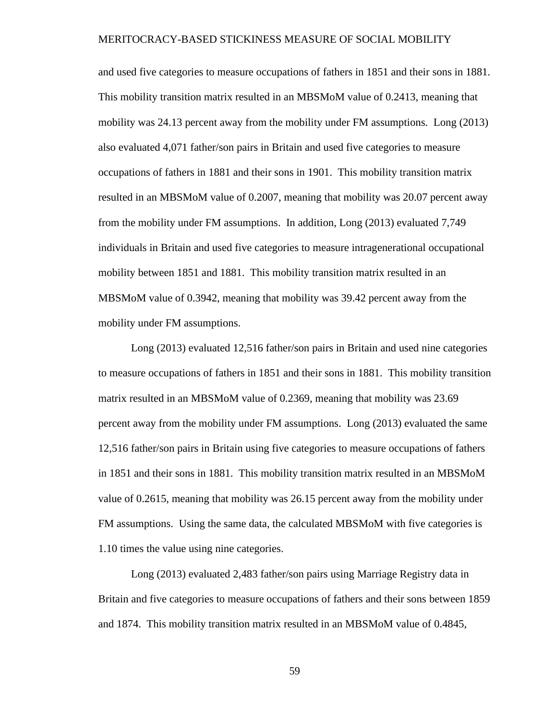and used five categories to measure occupations of fathers in 1851 and their sons in 1881. This mobility transition matrix resulted in an MBSMoM value of 0.2413, meaning that mobility was 24.13 percent away from the mobility under FM assumptions. Long (2013) also evaluated 4,071 father/son pairs in Britain and used five categories to measure occupations of fathers in 1881 and their sons in 1901. This mobility transition matrix resulted in an MBSMoM value of 0.2007, meaning that mobility was 20.07 percent away from the mobility under FM assumptions. In addition, Long (2013) evaluated 7,749 individuals in Britain and used five categories to measure intragenerational occupational mobility between 1851 and 1881. This mobility transition matrix resulted in an MBSMoM value of 0.3942, meaning that mobility was 39.42 percent away from the mobility under FM assumptions.

Long (2013) evaluated 12,516 father/son pairs in Britain and used nine categories to measure occupations of fathers in 1851 and their sons in 1881. This mobility transition matrix resulted in an MBSMoM value of 0.2369, meaning that mobility was 23.69 percent away from the mobility under FM assumptions. Long (2013) evaluated the same 12,516 father/son pairs in Britain using five categories to measure occupations of fathers in 1851 and their sons in 1881. This mobility transition matrix resulted in an MBSMoM value of 0.2615, meaning that mobility was 26.15 percent away from the mobility under FM assumptions. Using the same data, the calculated MBSMoM with five categories is 1.10 times the value using nine categories.

Long (2013) evaluated 2,483 father/son pairs using Marriage Registry data in Britain and five categories to measure occupations of fathers and their sons between 1859 and 1874. This mobility transition matrix resulted in an MBSMoM value of 0.4845,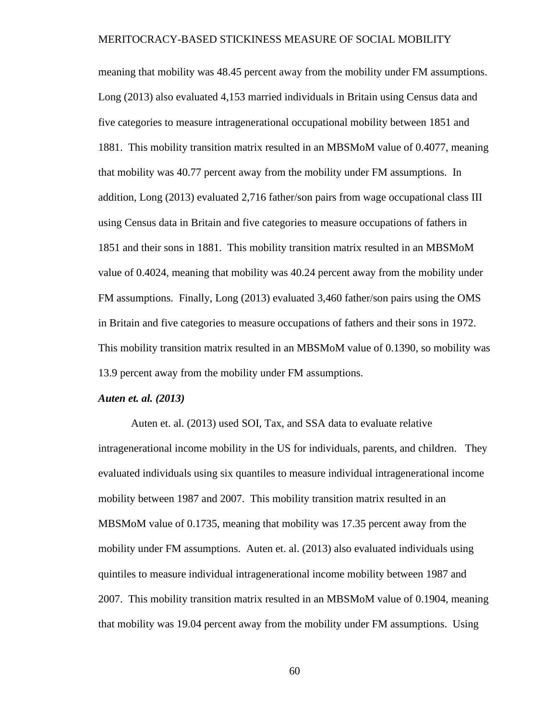meaning that mobility was 48.45 percent away from the mobility under FM assumptions. Long (2013) also evaluated 4,153 married individuals in Britain using Census data and five categories to measure intragenerational occupational mobility between 1851 and 1881. This mobility transition matrix resulted in an MBSMoM value of 0.4077, meaning that mobility was 40.77 percent away from the mobility under FM assumptions. In addition, Long (2013) evaluated 2,716 father/son pairs from wage occupational class III using Census data in Britain and five categories to measure occupations of fathers in 1851 and their sons in 1881. This mobility transition matrix resulted in an MBSMoM value of 0.4024, meaning that mobility was 40.24 percent away from the mobility under FM assumptions. Finally, Long (2013) evaluated 3,460 father/son pairs using the OMS in Britain and five categories to measure occupations of fathers and their sons in 1972. This mobility transition matrix resulted in an MBSMoM value of 0.1390, so mobility was 13.9 percent away from the mobility under FM assumptions.

#### *Auten et. al. (2013)*

Auten et. al. (2013) used SOI, Tax, and SSA data to evaluate relative intragenerational income mobility in the US for individuals, parents, and children. They evaluated individuals using six quantiles to measure individual intragenerational income mobility between 1987 and 2007. This mobility transition matrix resulted in an MBSMoM value of 0.1735, meaning that mobility was 17.35 percent away from the mobility under FM assumptions. Auten et. al. (2013) also evaluated individuals using quintiles to measure individual intragenerational income mobility between 1987 and 2007. This mobility transition matrix resulted in an MBSMoM value of 0.1904, meaning that mobility was 19.04 percent away from the mobility under FM assumptions. Using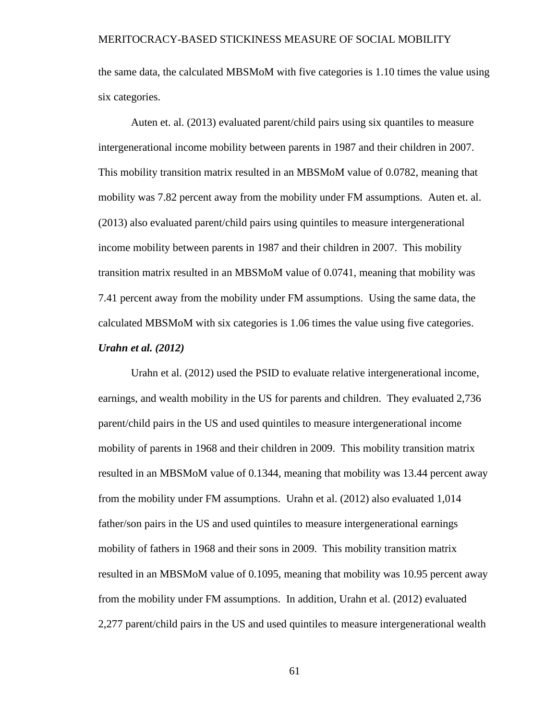the same data, the calculated MBSMoM with five categories is 1.10 times the value using six categories.

Auten et. al. (2013) evaluated parent/child pairs using six quantiles to measure intergenerational income mobility between parents in 1987 and their children in 2007. This mobility transition matrix resulted in an MBSMoM value of 0.0782, meaning that mobility was 7.82 percent away from the mobility under FM assumptions. Auten et. al. (2013) also evaluated parent/child pairs using quintiles to measure intergenerational income mobility between parents in 1987 and their children in 2007. This mobility transition matrix resulted in an MBSMoM value of 0.0741, meaning that mobility was 7.41 percent away from the mobility under FM assumptions. Using the same data, the calculated MBSMoM with six categories is 1.06 times the value using five categories.

#### *Urahn et al. (2012)*

Urahn et al. (2012) used the PSID to evaluate relative intergenerational income, earnings, and wealth mobility in the US for parents and children. They evaluated 2,736 parent/child pairs in the US and used quintiles to measure intergenerational income mobility of parents in 1968 and their children in 2009. This mobility transition matrix resulted in an MBSMoM value of 0.1344, meaning that mobility was 13.44 percent away from the mobility under FM assumptions. Urahn et al. (2012) also evaluated 1,014 father/son pairs in the US and used quintiles to measure intergenerational earnings mobility of fathers in 1968 and their sons in 2009. This mobility transition matrix resulted in an MBSMoM value of 0.1095, meaning that mobility was 10.95 percent away from the mobility under FM assumptions. In addition, Urahn et al. (2012) evaluated 2,277 parent/child pairs in the US and used quintiles to measure intergenerational wealth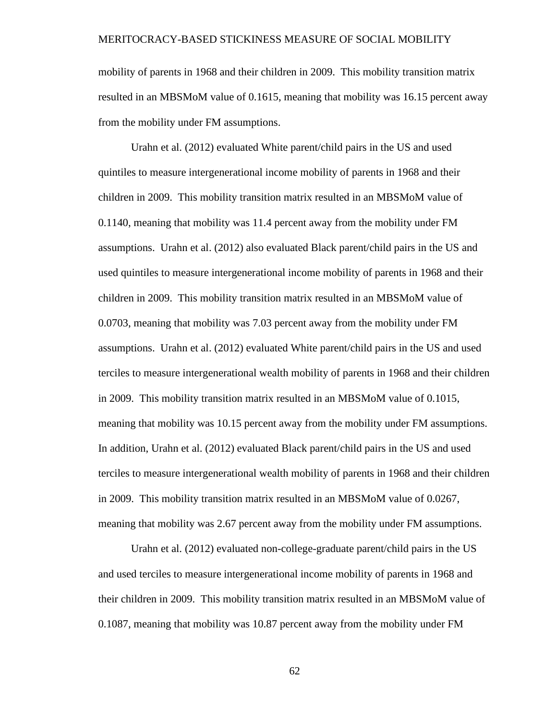mobility of parents in 1968 and their children in 2009. This mobility transition matrix resulted in an MBSMoM value of 0.1615, meaning that mobility was 16.15 percent away from the mobility under FM assumptions.

Urahn et al. (2012) evaluated White parent/child pairs in the US and used quintiles to measure intergenerational income mobility of parents in 1968 and their children in 2009. This mobility transition matrix resulted in an MBSMoM value of 0.1140, meaning that mobility was 11.4 percent away from the mobility under FM assumptions. Urahn et al. (2012) also evaluated Black parent/child pairs in the US and used quintiles to measure intergenerational income mobility of parents in 1968 and their children in 2009. This mobility transition matrix resulted in an MBSMoM value of 0.0703, meaning that mobility was 7.03 percent away from the mobility under FM assumptions. Urahn et al. (2012) evaluated White parent/child pairs in the US and used terciles to measure intergenerational wealth mobility of parents in 1968 and their children in 2009. This mobility transition matrix resulted in an MBSMoM value of 0.1015, meaning that mobility was 10.15 percent away from the mobility under FM assumptions. In addition, Urahn et al. (2012) evaluated Black parent/child pairs in the US and used terciles to measure intergenerational wealth mobility of parents in 1968 and their children in 2009. This mobility transition matrix resulted in an MBSMoM value of 0.0267, meaning that mobility was 2.67 percent away from the mobility under FM assumptions.

Urahn et al. (2012) evaluated non-college-graduate parent/child pairs in the US and used terciles to measure intergenerational income mobility of parents in 1968 and their children in 2009. This mobility transition matrix resulted in an MBSMoM value of 0.1087, meaning that mobility was 10.87 percent away from the mobility under FM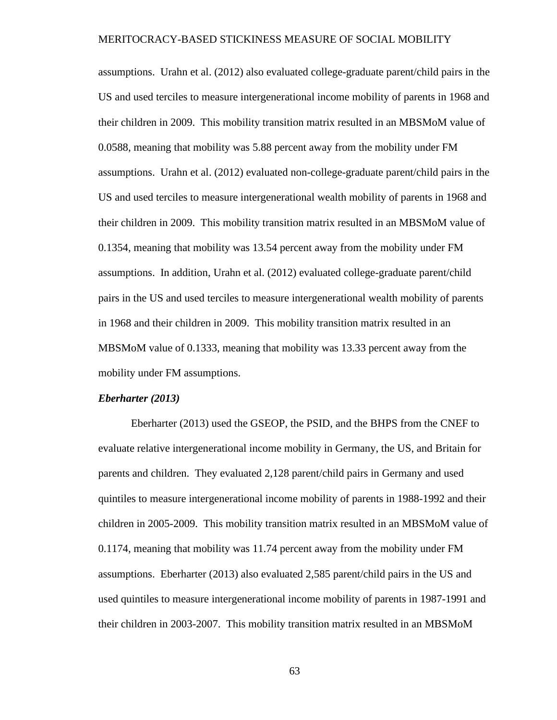assumptions. Urahn et al. (2012) also evaluated college-graduate parent/child pairs in the US and used terciles to measure intergenerational income mobility of parents in 1968 and their children in 2009. This mobility transition matrix resulted in an MBSMoM value of 0.0588, meaning that mobility was 5.88 percent away from the mobility under FM assumptions. Urahn et al. (2012) evaluated non-college-graduate parent/child pairs in the US and used terciles to measure intergenerational wealth mobility of parents in 1968 and their children in 2009. This mobility transition matrix resulted in an MBSMoM value of 0.1354, meaning that mobility was 13.54 percent away from the mobility under FM assumptions. In addition, Urahn et al. (2012) evaluated college-graduate parent/child pairs in the US and used terciles to measure intergenerational wealth mobility of parents in 1968 and their children in 2009. This mobility transition matrix resulted in an MBSMoM value of 0.1333, meaning that mobility was 13.33 percent away from the mobility under FM assumptions.

#### *Eberharter (2013)*

Eberharter (2013) used the GSEOP, the PSID, and the BHPS from the CNEF to evaluate relative intergenerational income mobility in Germany, the US, and Britain for parents and children. They evaluated 2,128 parent/child pairs in Germany and used quintiles to measure intergenerational income mobility of parents in 1988-1992 and their children in 2005-2009. This mobility transition matrix resulted in an MBSMoM value of 0.1174, meaning that mobility was 11.74 percent away from the mobility under FM assumptions. Eberharter (2013) also evaluated 2,585 parent/child pairs in the US and used quintiles to measure intergenerational income mobility of parents in 1987-1991 and their children in 2003-2007. This mobility transition matrix resulted in an MBSMoM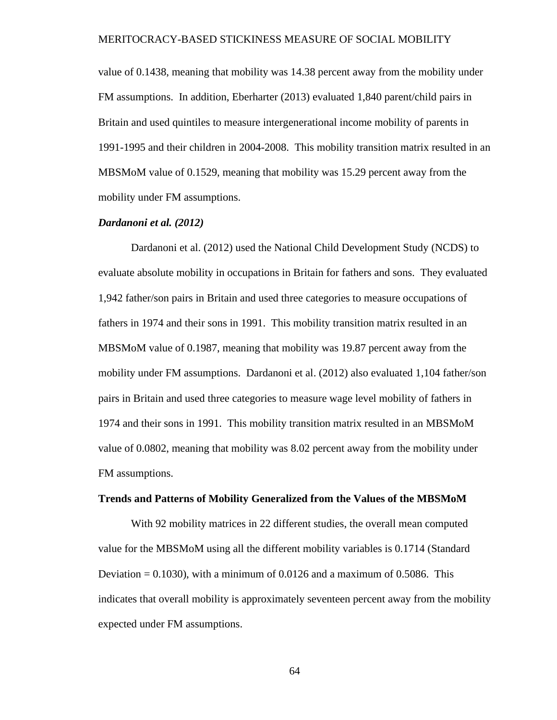value of 0.1438, meaning that mobility was 14.38 percent away from the mobility under FM assumptions. In addition, Eberharter (2013) evaluated 1,840 parent/child pairs in Britain and used quintiles to measure intergenerational income mobility of parents in 1991-1995 and their children in 2004-2008. This mobility transition matrix resulted in an MBSMoM value of 0.1529, meaning that mobility was 15.29 percent away from the mobility under FM assumptions.

#### *Dardanoni et al. (2012)*

Dardanoni et al. (2012) used the National Child Development Study (NCDS) to evaluate absolute mobility in occupations in Britain for fathers and sons. They evaluated 1,942 father/son pairs in Britain and used three categories to measure occupations of fathers in 1974 and their sons in 1991. This mobility transition matrix resulted in an MBSMoM value of 0.1987, meaning that mobility was 19.87 percent away from the mobility under FM assumptions. Dardanoni et al. (2012) also evaluated 1,104 father/son pairs in Britain and used three categories to measure wage level mobility of fathers in 1974 and their sons in 1991. This mobility transition matrix resulted in an MBSMoM value of 0.0802, meaning that mobility was 8.02 percent away from the mobility under FM assumptions.

### **Trends and Patterns of Mobility Generalized from the Values of the MBSMoM**

With 92 mobility matrices in 22 different studies, the overall mean computed value for the MBSMoM using all the different mobility variables is 0.1714 (Standard Deviation  $= 0.1030$ , with a minimum of 0.0126 and a maximum of 0.5086. This indicates that overall mobility is approximately seventeen percent away from the mobility expected under FM assumptions.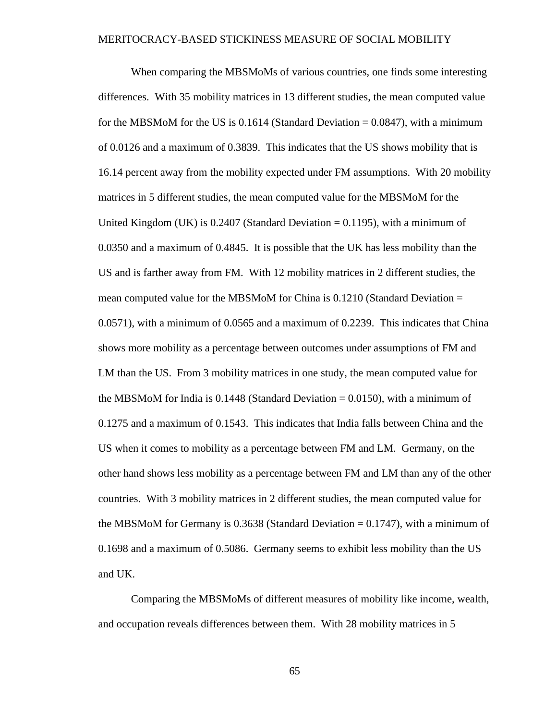When comparing the MBSMoMs of various countries, one finds some interesting differences. With 35 mobility matrices in 13 different studies, the mean computed value for the MBSMoM for the US is  $0.1614$  (Standard Deviation = 0.0847), with a minimum of 0.0126 and a maximum of 0.3839. This indicates that the US shows mobility that is 16.14 percent away from the mobility expected under FM assumptions. With 20 mobility matrices in 5 different studies, the mean computed value for the MBSMoM for the United Kingdom (UK) is  $0.2407$  (Standard Deviation = 0.1195), with a minimum of 0.0350 and a maximum of 0.4845. It is possible that the UK has less mobility than the US and is farther away from FM. With 12 mobility matrices in 2 different studies, the mean computed value for the MBSMoM for China is  $0.1210$  (Standard Deviation  $=$ 0.0571), with a minimum of 0.0565 and a maximum of 0.2239. This indicates that China shows more mobility as a percentage between outcomes under assumptions of FM and LM than the US. From 3 mobility matrices in one study, the mean computed value for the MBSMoM for India is  $0.1448$  (Standard Deviation = 0.0150), with a minimum of 0.1275 and a maximum of 0.1543. This indicates that India falls between China and the US when it comes to mobility as a percentage between FM and LM. Germany, on the other hand shows less mobility as a percentage between FM and LM than any of the other countries. With 3 mobility matrices in 2 different studies, the mean computed value for the MBSMoM for Germany is  $0.3638$  (Standard Deviation = 0.1747), with a minimum of 0.1698 and a maximum of 0.5086. Germany seems to exhibit less mobility than the US and UK.

Comparing the MBSMoMs of different measures of mobility like income, wealth, and occupation reveals differences between them. With 28 mobility matrices in 5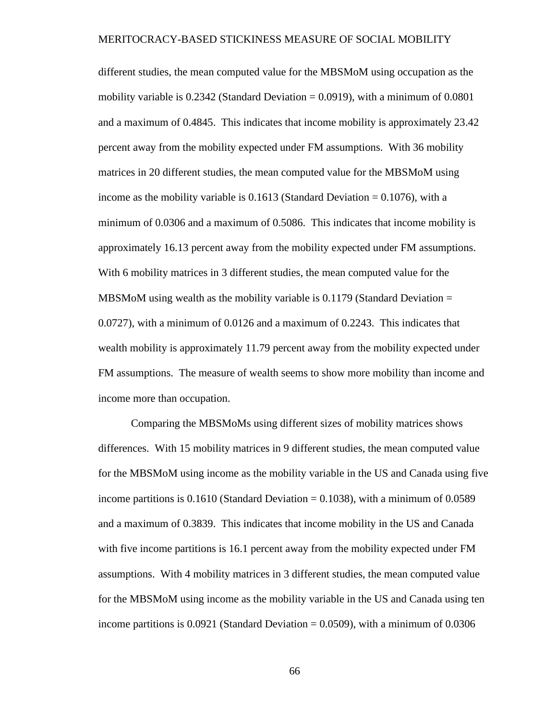different studies, the mean computed value for the MBSMoM using occupation as the mobility variable is  $0.2342$  (Standard Deviation = 0.0919), with a minimum of  $0.0801$ and a maximum of 0.4845. This indicates that income mobility is approximately 23.42 percent away from the mobility expected under FM assumptions. With 36 mobility matrices in 20 different studies, the mean computed value for the MBSMoM using income as the mobility variable is  $0.1613$  (Standard Deviation =  $0.1076$ ), with a minimum of 0.0306 and a maximum of 0.5086. This indicates that income mobility is approximately 16.13 percent away from the mobility expected under FM assumptions. With 6 mobility matrices in 3 different studies, the mean computed value for the MBSMoM using wealth as the mobility variable is  $0.1179$  (Standard Deviation  $=$ 0.0727), with a minimum of 0.0126 and a maximum of 0.2243. This indicates that wealth mobility is approximately 11.79 percent away from the mobility expected under FM assumptions. The measure of wealth seems to show more mobility than income and income more than occupation.

Comparing the MBSMoMs using different sizes of mobility matrices shows differences. With 15 mobility matrices in 9 different studies, the mean computed value for the MBSMoM using income as the mobility variable in the US and Canada using five income partitions is  $0.1610$  (Standard Deviation = 0.1038), with a minimum of 0.0589 and a maximum of 0.3839. This indicates that income mobility in the US and Canada with five income partitions is 16.1 percent away from the mobility expected under FM assumptions. With 4 mobility matrices in 3 different studies, the mean computed value for the MBSMoM using income as the mobility variable in the US and Canada using ten income partitions is  $0.0921$  (Standard Deviation = 0.0509), with a minimum of 0.0306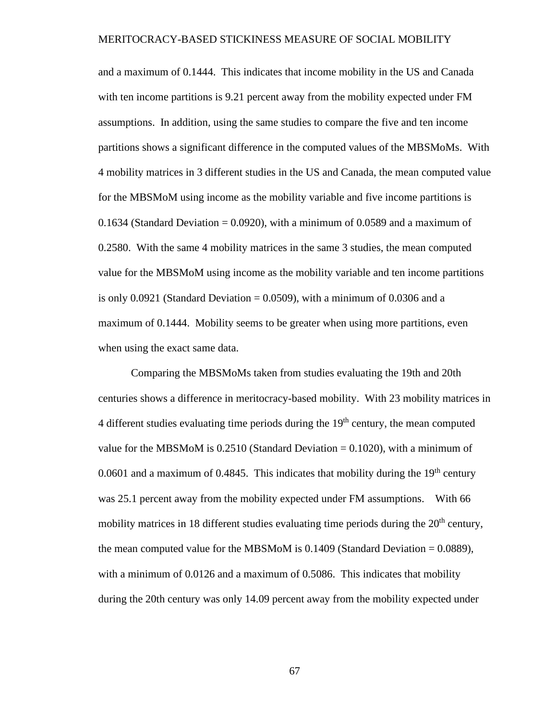and a maximum of 0.1444. This indicates that income mobility in the US and Canada with ten income partitions is 9.21 percent away from the mobility expected under FM assumptions. In addition, using the same studies to compare the five and ten income partitions shows a significant difference in the computed values of the MBSMoMs. With 4 mobility matrices in 3 different studies in the US and Canada, the mean computed value for the MBSMoM using income as the mobility variable and five income partitions is 0.1634 (Standard Deviation =  $0.0920$ ), with a minimum of 0.0589 and a maximum of 0.2580. With the same 4 mobility matrices in the same 3 studies, the mean computed value for the MBSMoM using income as the mobility variable and ten income partitions is only  $0.0921$  (Standard Deviation = 0.0509), with a minimum of 0.0306 and a maximum of 0.1444. Mobility seems to be greater when using more partitions, even when using the exact same data.

Comparing the MBSMoMs taken from studies evaluating the 19th and 20th centuries shows a difference in meritocracy-based mobility. With 23 mobility matrices in 4 different studies evaluating time periods during the  $19<sup>th</sup>$  century, the mean computed value for the MBSMoM is  $0.2510$  (Standard Deviation = 0.1020), with a minimum of 0.0601 and a maximum of 0.4845. This indicates that mobility during the  $19<sup>th</sup>$  century was 25.1 percent away from the mobility expected under FM assumptions. With 66 mobility matrices in 18 different studies evaluating time periods during the  $20<sup>th</sup>$  century, the mean computed value for the MBSMoM is 0.1409 (Standard Deviation = 0.0889), with a minimum of 0.0126 and a maximum of 0.5086. This indicates that mobility during the 20th century was only 14.09 percent away from the mobility expected under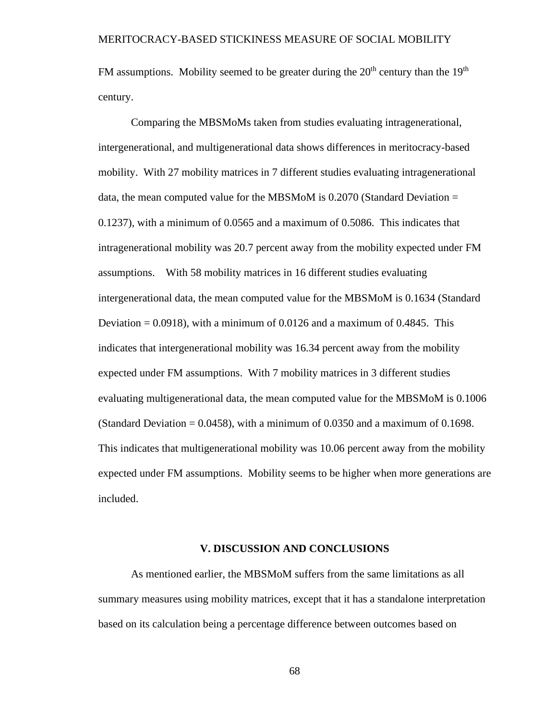FM assumptions. Mobility seemed to be greater during the  $20<sup>th</sup>$  century than the  $19<sup>th</sup>$ century.

Comparing the MBSMoMs taken from studies evaluating intragenerational, intergenerational, and multigenerational data shows differences in meritocracy-based mobility. With 27 mobility matrices in 7 different studies evaluating intragenerational data, the mean computed value for the MBSMoM is  $0.2070$  (Standard Deviation = 0.1237), with a minimum of 0.0565 and a maximum of 0.5086. This indicates that intragenerational mobility was 20.7 percent away from the mobility expected under FM assumptions. With 58 mobility matrices in 16 different studies evaluating intergenerational data, the mean computed value for the MBSMoM is 0.1634 (Standard Deviation  $= 0.0918$ , with a minimum of 0.0126 and a maximum of 0.4845. This indicates that intergenerational mobility was 16.34 percent away from the mobility expected under FM assumptions. With 7 mobility matrices in 3 different studies evaluating multigenerational data, the mean computed value for the MBSMoM is 0.1006 (Standard Deviation  $= 0.0458$ ), with a minimum of 0.0350 and a maximum of 0.1698. This indicates that multigenerational mobility was 10.06 percent away from the mobility expected under FM assumptions. Mobility seems to be higher when more generations are included.

#### **V. DISCUSSION AND CONCLUSIONS**

As mentioned earlier, the MBSMoM suffers from the same limitations as all summary measures using mobility matrices, except that it has a standalone interpretation based on its calculation being a percentage difference between outcomes based on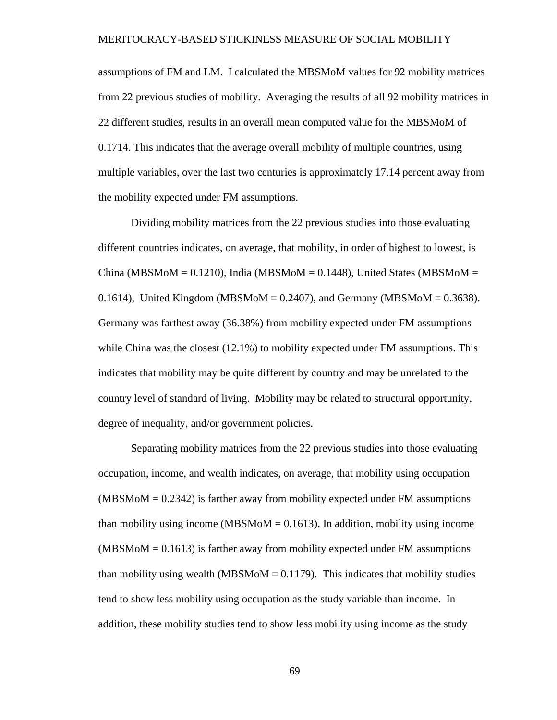assumptions of FM and LM. I calculated the MBSMoM values for 92 mobility matrices from 22 previous studies of mobility. Averaging the results of all 92 mobility matrices in 22 different studies, results in an overall mean computed value for the MBSMoM of 0.1714. This indicates that the average overall mobility of multiple countries, using multiple variables, over the last two centuries is approximately 17.14 percent away from the mobility expected under FM assumptions.

Dividing mobility matrices from the 22 previous studies into those evaluating different countries indicates, on average, that mobility, in order of highest to lowest, is China (MBSMoM =  $0.1210$ ), India (MBSMoM =  $0.1448$ ), United States (MBSMoM = 0.1614), United Kingdom (MBSMoM =  $0.2407$ ), and Germany (MBSMoM =  $0.3638$ ). Germany was farthest away (36.38%) from mobility expected under FM assumptions while China was the closest (12.1%) to mobility expected under FM assumptions. This indicates that mobility may be quite different by country and may be unrelated to the country level of standard of living. Mobility may be related to structural opportunity, degree of inequality, and/or government policies.

Separating mobility matrices from the 22 previous studies into those evaluating occupation, income, and wealth indicates, on average, that mobility using occupation  $(MBSM<sub>o</sub>M = 0.2342)$  is farther away from mobility expected under FM assumptions than mobility using income (MBSMoM  $= 0.1613$ ). In addition, mobility using income  $(MBSM<sub>o</sub>M = 0.1613)$  is farther away from mobility expected under FM assumptions than mobility using wealth (MBSMoM  $= 0.1179$ ). This indicates that mobility studies tend to show less mobility using occupation as the study variable than income. In addition, these mobility studies tend to show less mobility using income as the study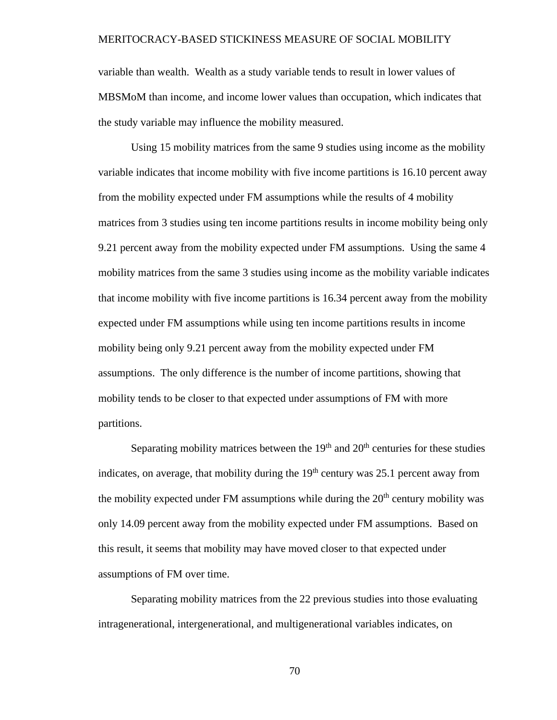variable than wealth. Wealth as a study variable tends to result in lower values of MBSMoM than income, and income lower values than occupation, which indicates that the study variable may influence the mobility measured.

Using 15 mobility matrices from the same 9 studies using income as the mobility variable indicates that income mobility with five income partitions is 16.10 percent away from the mobility expected under FM assumptions while the results of 4 mobility matrices from 3 studies using ten income partitions results in income mobility being only 9.21 percent away from the mobility expected under FM assumptions. Using the same 4 mobility matrices from the same 3 studies using income as the mobility variable indicates that income mobility with five income partitions is 16.34 percent away from the mobility expected under FM assumptions while using ten income partitions results in income mobility being only 9.21 percent away from the mobility expected under FM assumptions. The only difference is the number of income partitions, showing that mobility tends to be closer to that expected under assumptions of FM with more partitions.

Separating mobility matrices between the  $19<sup>th</sup>$  and  $20<sup>th</sup>$  centuries for these studies indicates, on average, that mobility during the  $19<sup>th</sup>$  century was 25.1 percent away from the mobility expected under FM assumptions while during the  $20<sup>th</sup>$  century mobility was only 14.09 percent away from the mobility expected under FM assumptions. Based on this result, it seems that mobility may have moved closer to that expected under assumptions of FM over time.

Separating mobility matrices from the 22 previous studies into those evaluating intragenerational, intergenerational, and multigenerational variables indicates, on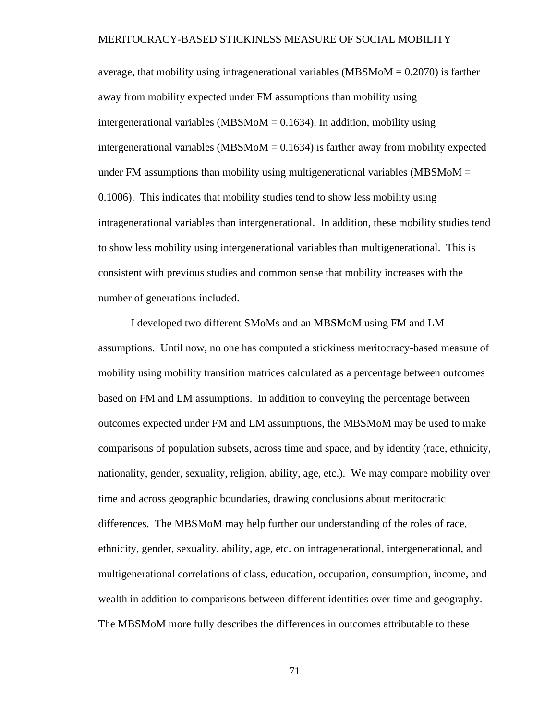average, that mobility using intragenerational variables (MBSMoM = 0.2070) is farther away from mobility expected under FM assumptions than mobility using intergenerational variables (MBSMoM  $= 0.1634$ ). In addition, mobility using intergenerational variables (MBSMoM  $= 0.1634$ ) is farther away from mobility expected under FM assumptions than mobility using multigenerational variables (MBSMoM  $=$ 0.1006). This indicates that mobility studies tend to show less mobility using intragenerational variables than intergenerational. In addition, these mobility studies tend to show less mobility using intergenerational variables than multigenerational. This is consistent with previous studies and common sense that mobility increases with the number of generations included.

I developed two different SMoMs and an MBSMoM using FM and LM assumptions. Until now, no one has computed a stickiness meritocracy-based measure of mobility using mobility transition matrices calculated as a percentage between outcomes based on FM and LM assumptions. In addition to conveying the percentage between outcomes expected under FM and LM assumptions, the MBSMoM may be used to make comparisons of population subsets, across time and space, and by identity (race, ethnicity, nationality, gender, sexuality, religion, ability, age, etc.). We may compare mobility over time and across geographic boundaries, drawing conclusions about meritocratic differences. The MBSMoM may help further our understanding of the roles of race, ethnicity, gender, sexuality, ability, age, etc. on intragenerational, intergenerational, and multigenerational correlations of class, education, occupation, consumption, income, and wealth in addition to comparisons between different identities over time and geography. The MBSMoM more fully describes the differences in outcomes attributable to these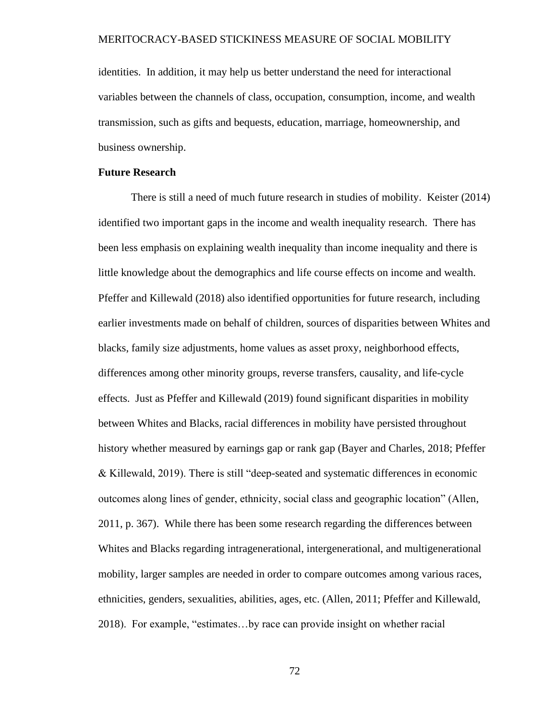identities. In addition, it may help us better understand the need for interactional variables between the channels of class, occupation, consumption, income, and wealth transmission, such as gifts and bequests, education, marriage, homeownership, and business ownership.

#### **Future Research**

There is still a need of much future research in studies of mobility. Keister (2014) identified two important gaps in the income and wealth inequality research. There has been less emphasis on explaining wealth inequality than income inequality and there is little knowledge about the demographics and life course effects on income and wealth. Pfeffer and Killewald (2018) also identified opportunities for future research, including earlier investments made on behalf of children, sources of disparities between Whites and blacks, family size adjustments, home values as asset proxy, neighborhood effects, differences among other minority groups, reverse transfers, causality, and life-cycle effects. Just as Pfeffer and Killewald (2019) found significant disparities in mobility between Whites and Blacks, racial differences in mobility have persisted throughout history whether measured by earnings gap or rank gap (Bayer and Charles, 2018; Pfeffer & Killewald, 2019). There is still "deep-seated and systematic differences in economic outcomes along lines of gender, ethnicity, social class and geographic location" (Allen, 2011, p. 367). While there has been some research regarding the differences between Whites and Blacks regarding intragenerational, intergenerational, and multigenerational mobility, larger samples are needed in order to compare outcomes among various races, ethnicities, genders, sexualities, abilities, ages, etc. (Allen, 2011; Pfeffer and Killewald, 2018). For example, "estimates…by race can provide insight on whether racial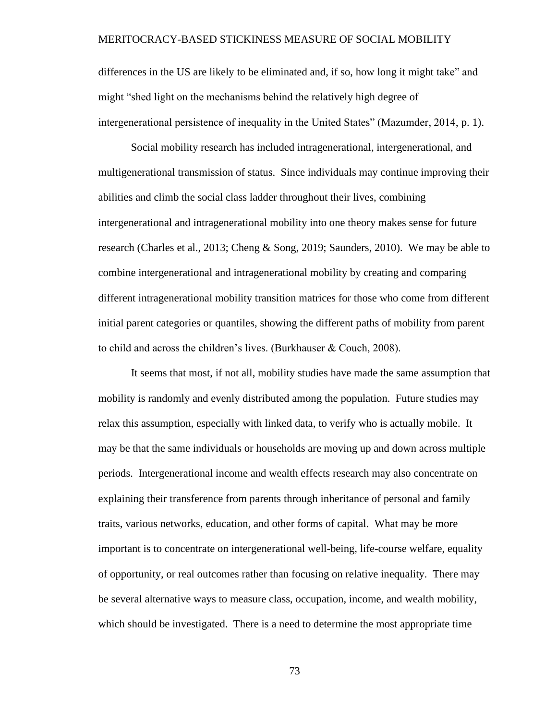differences in the US are likely to be eliminated and, if so, how long it might take" and might "shed light on the mechanisms behind the relatively high degree of intergenerational persistence of inequality in the United States" (Mazumder, 2014, p. 1).

Social mobility research has included intragenerational, intergenerational, and multigenerational transmission of status. Since individuals may continue improving their abilities and climb the social class ladder throughout their lives, combining intergenerational and intragenerational mobility into one theory makes sense for future research (Charles et al., 2013; Cheng & Song, 2019; Saunders, 2010). We may be able to combine intergenerational and intragenerational mobility by creating and comparing different intragenerational mobility transition matrices for those who come from different initial parent categories or quantiles, showing the different paths of mobility from parent to child and across the children's lives. (Burkhauser & Couch, 2008).

It seems that most, if not all, mobility studies have made the same assumption that mobility is randomly and evenly distributed among the population. Future studies may relax this assumption, especially with linked data, to verify who is actually mobile. It may be that the same individuals or households are moving up and down across multiple periods. Intergenerational income and wealth effects research may also concentrate on explaining their transference from parents through inheritance of personal and family traits, various networks, education, and other forms of capital. What may be more important is to concentrate on intergenerational well-being, life-course welfare, equality of opportunity, or real outcomes rather than focusing on relative inequality. There may be several alternative ways to measure class, occupation, income, and wealth mobility, which should be investigated. There is a need to determine the most appropriate time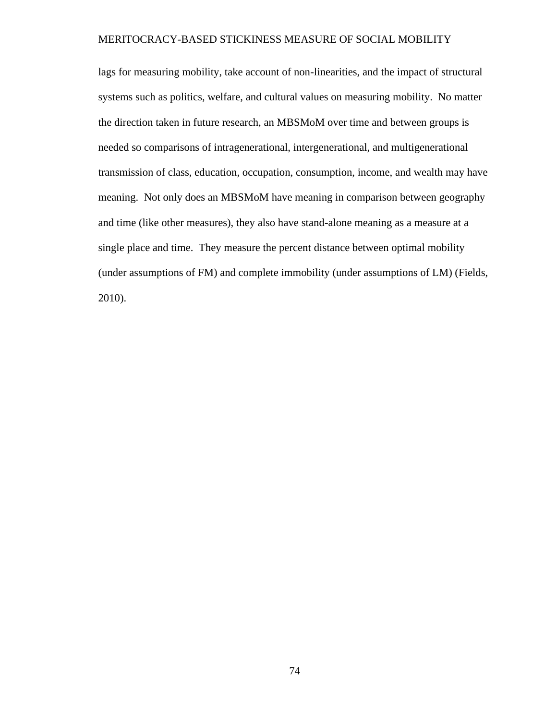lags for measuring mobility, take account of non-linearities, and the impact of structural systems such as politics, welfare, and cultural values on measuring mobility. No matter the direction taken in future research, an MBSMoM over time and between groups is needed so comparisons of intragenerational, intergenerational, and multigenerational transmission of class, education, occupation, consumption, income, and wealth may have meaning. Not only does an MBSMoM have meaning in comparison between geography and time (like other measures), they also have stand-alone meaning as a measure at a single place and time. They measure the percent distance between optimal mobility (under assumptions of FM) and complete immobility (under assumptions of LM) (Fields, 2010).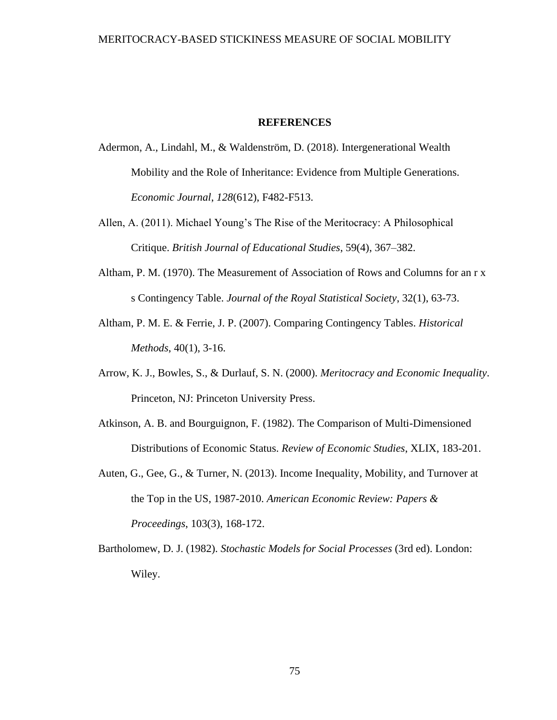#### **REFERENCES**

- Adermon, A., Lindahl, M., & Waldenström, D. (2018). Intergenerational Wealth Mobility and the Role of Inheritance: Evidence from Multiple Generations. *Economic Journal*, *128*(612), F482-F513.
- Allen, A. (2011). Michael Young's The Rise of the Meritocracy: A Philosophical Critique. *British Journal of Educational Studies*, 59(4), 367–382.
- Altham, P. M. (1970). The Measurement of Association of Rows and Columns for an r x s Contingency Table. *Journal of the Royal Statistical Society*, 32(1), 63-73.
- Altham, P. M. E. & Ferrie, J. P. (2007). Comparing Contingency Tables. *Historical Methods*, 40(1), 3-16.
- Arrow, K. J., Bowles, S., & Durlauf, S. N. (2000). *Meritocracy and Economic Inequality*. Princeton, NJ: Princeton University Press.
- Atkinson, A. B. and Bourguignon, F. (1982). The Comparison of Multi-Dimensioned Distributions of Economic Status. *Review of Economic Studies*, XLIX, 183-201.
- Auten, G., Gee, G., & Turner, N. (2013). Income Inequality, Mobility, and Turnover at the Top in the US, 1987-2010. *American Economic Review: Papers & Proceedings*, 103(3), 168-172.
- Bartholomew, D. J. (1982). *Stochastic Models for Social Processes* (3rd ed). London: Wiley.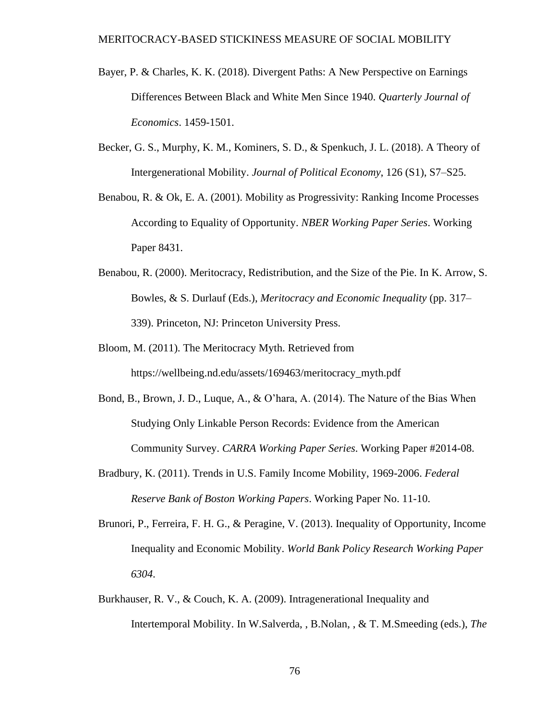- Bayer, P. & Charles, K. K. (2018). Divergent Paths: A New Perspective on Earnings Differences Between Black and White Men Since 1940. *Quarterly Journal of Economics*. 1459-1501.
- Becker, G. S., Murphy, K. M., Kominers, S. D., & Spenkuch, J. L. (2018). A Theory of Intergenerational Mobility. *Journal of Political Economy*, 126 (S1), S7–S25.
- Benabou, R. & Ok, E. A. (2001). Mobility as Progressivity: Ranking Income Processes According to Equality of Opportunity. *NBER Working Paper Series*. Working Paper 8431.
- Benabou, R. (2000). Meritocracy, Redistribution, and the Size of the Pie. In K. Arrow, S. Bowles, & S. Durlauf (Eds.), *Meritocracy and Economic Inequality* (pp. 317– 339). Princeton, NJ: Princeton University Press.
- Bloom, M. (2011). The Meritocracy Myth. Retrieved from https://wellbeing.nd.edu/assets/169463/meritocracy\_myth.pdf
- Bond, B., Brown, J. D., Luque, A., & O'hara, A. (2014). The Nature of the Bias When Studying Only Linkable Person Records: Evidence from the American Community Survey. *CARRA Working Paper Series*. Working Paper #2014-08.
- Bradbury, K. (2011). Trends in U.S. Family Income Mobility, 1969-2006. *Federal Reserve Bank of Boston Working Papers*. Working Paper No. 11-10.
- Brunori, P., Ferreira, F. H. G., & Peragine, V. (2013). Inequality of Opportunity, Income Inequality and Economic Mobility. *World Bank Policy Research Working Paper 6304*.
- Burkhauser, R. V., & Couch, K. A. (2009). Intragenerational Inequality and Intertemporal Mobility. In W.Salverda, , B.Nolan, , & T. M.Smeeding (eds.), *The*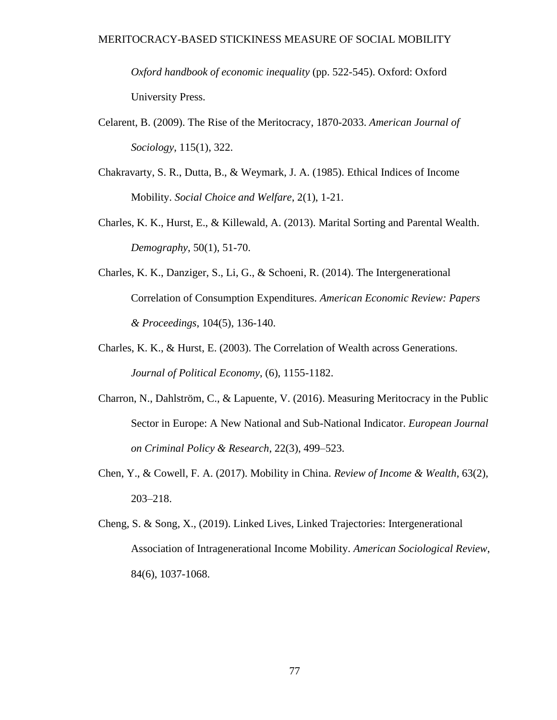*Oxford handbook of economic inequality* (pp. 522-545). Oxford: Oxford University Press.

- Celarent, B. (2009). The Rise of the Meritocracy, 1870-2033. *American Journal of Sociology*, 115(1), 322.
- Chakravarty, S. R., Dutta, B., & Weymark, J. A. (1985). Ethical Indices of Income Mobility. *Social Choice and Welfare*, 2(1), 1-21.
- Charles, K. K., Hurst, E., & Killewald, A. (2013). Marital Sorting and Parental Wealth. *Demography*, 50(1), 51-70.
- Charles, K. K., Danziger, S., Li, G., & Schoeni, R. (2014). The Intergenerational Correlation of Consumption Expenditures. *American Economic Review: Papers & Proceedings*, 104(5), 136-140.
- Charles, K. K., & Hurst, E. (2003). The Correlation of Wealth across Generations. *Journal of Political Economy*, (6), 1155-1182.
- Charron, N., Dahlström, C., & Lapuente, V. (2016). Measuring Meritocracy in the Public Sector in Europe: A New National and Sub-National Indicator. *European Journal on Criminal Policy & Research*, 22(3), 499–523.
- Chen, Y., & Cowell, F. A. (2017). Mobility in China. *Review of Income & Wealth*, 63(2), 203–218.
- Cheng, S. & Song, X., (2019). Linked Lives, Linked Trajectories: Intergenerational Association of Intragenerational Income Mobility. *American Sociological Review*, 84(6), 1037-1068.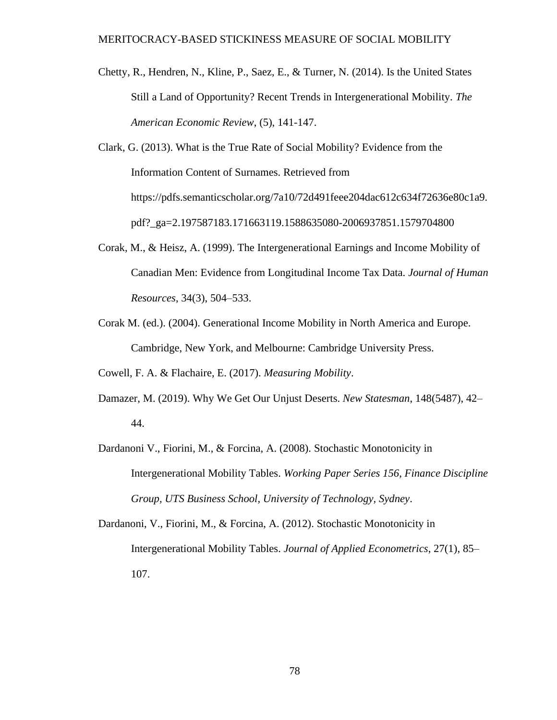- Chetty, R., Hendren, N., Kline, P., Saez, E., & Turner, N. (2014). Is the United States Still a Land of Opportunity? Recent Trends in Intergenerational Mobility. *The American Economic Review*, (5), 141-147.
- Clark, G. (2013). What is the True Rate of Social Mobility? Evidence from the Information Content of Surnames. Retrieved from https://pdfs.semanticscholar.org/7a10/72d491feee204dac612c634f72636e80c1a9. pdf?\_ga=2.197587183.171663119.1588635080-2006937851.1579704800
- Corak, M., & Heisz, A. (1999). The Intergenerational Earnings and Income Mobility of Canadian Men: Evidence from Longitudinal Income Tax Data. *Journal of Human Resources*, 34(3), 504–533.
- Corak M. (ed.). (2004). Generational Income Mobility in North America and Europe. Cambridge, New York, and Melbourne: Cambridge University Press.

Cowell, F. A. & Flachaire, E. (2017). *Measuring Mobility*.

- Damazer, M. (2019). Why We Get Our Unjust Deserts. *New Statesman*, 148(5487), 42– 44.
- Dardanoni V., Fiorini, M., & Forcina, A. (2008). Stochastic Monotonicity in Intergenerational Mobility Tables. *Working Paper Series 156, Finance Discipline Group, UTS Business School, University of Technology, Sydney*.
- Dardanoni, V., Fiorini, M., & Forcina, A. (2012). Stochastic Monotonicity in Intergenerational Mobility Tables. *Journal of Applied Econometrics*, 27(1), 85– 107.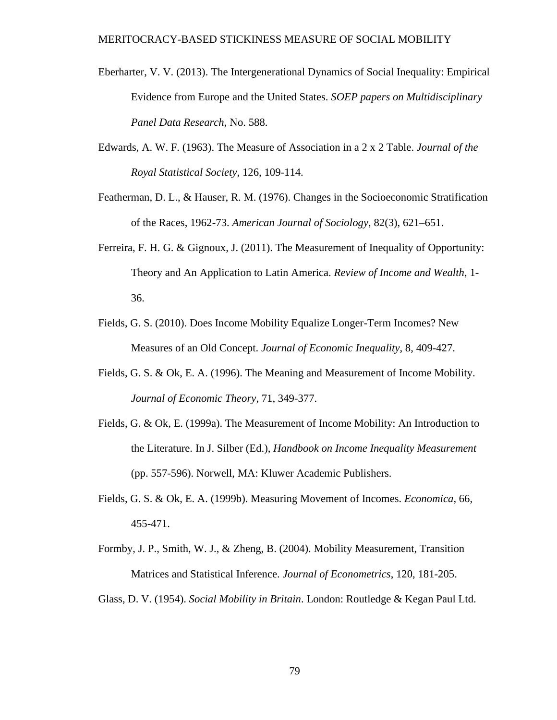- Eberharter, V. V. (2013). The Intergenerational Dynamics of Social Inequality: Empirical Evidence from Europe and the United States. *SOEP papers on Multidisciplinary Panel Data Research*, No. 588.
- Edwards, A. W. F. (1963). The Measure of Association in a 2 x 2 Table. *Journal of the Royal Statistical Society*, 126, 109-114.
- Featherman, D. L., & Hauser, R. M. (1976). Changes in the Socioeconomic Stratification of the Races, 1962-73. *American Journal of Sociology*, 82(3), 621–651.
- Ferreira, F. H. G. & Gignoux, J. (2011). The Measurement of Inequality of Opportunity: Theory and An Application to Latin America. *Review of Income and Wealth*, 1- 36.
- Fields, G. S. (2010). Does Income Mobility Equalize Longer-Term Incomes? New Measures of an Old Concept. *Journal of Economic Inequality*, 8, 409-427.
- Fields, G. S. & Ok, E. A. (1996). The Meaning and Measurement of Income Mobility. *Journal of Economic Theory*, 71, 349-377.
- Fields, G. & Ok, E. (1999a). The Measurement of Income Mobility: An Introduction to the Literature. In J. Silber (Ed.), *Handbook on Income Inequality Measurement* (pp. 557-596). Norwell, MA: Kluwer Academic Publishers.
- Fields, G. S. & Ok, E. A. (1999b). Measuring Movement of Incomes. *Economica*, 66, 455-471.
- Formby, J. P., Smith, W. J., & Zheng, B. (2004). Mobility Measurement, Transition Matrices and Statistical Inference. *Journal of Econometrics*, 120, 181-205.

Glass, D. V. (1954). *Social Mobility in Britain*. London: Routledge & Kegan Paul Ltd.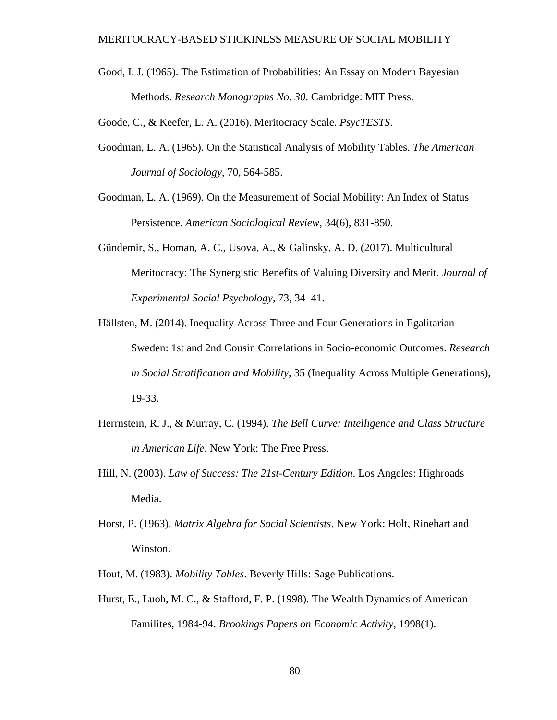Good, I. J. (1965). The Estimation of Probabilities: An Essay on Modern Bayesian Methods. *Research Monographs No. 30*. Cambridge: MIT Press.

Goode, C., & Keefer, L. A. (2016). Meritocracy Scale. *PsycTESTS*.

- Goodman, L. A. (1965). On the Statistical Analysis of Mobility Tables. *The American Journal of Sociology*, 70, 564-585.
- Goodman, L. A. (1969). On the Measurement of Social Mobility: An Index of Status Persistence. *American Sociological Review*, 34(6), 831-850.
- Gündemir, S., Homan, A. C., Usova, A., & Galinsky, A. D. (2017). Multicultural Meritocracy: The Synergistic Benefits of Valuing Diversity and Merit. *Journal of Experimental Social Psychology*, 73, 34–41.
- Hällsten, M. (2014). Inequality Across Three and Four Generations in Egalitarian Sweden: 1st and 2nd Cousin Correlations in Socio-economic Outcomes. *Research in Social Stratification and Mobility*, 35 (Inequality Across Multiple Generations), 19-33.
- Herrnstein, R. J., & Murray, C. (1994). *The Bell Curve: Intelligence and Class Structure in American Life*. New York: The Free Press.
- Hill, N. (2003). *Law of Success: The 21st-Century Edition*. Los Angeles: Highroads Media.
- Horst, P. (1963). *Matrix Algebra for Social Scientists*. New York: Holt, Rinehart and Winston.
- Hout, M. (1983). *Mobility Tables*. Beverly Hills: Sage Publications.
- Hurst, E., Luoh, M. C., & Stafford, F. P. (1998). The Wealth Dynamics of American Familites, 1984-94. *Brookings Papers on Economic Activity*, 1998(1).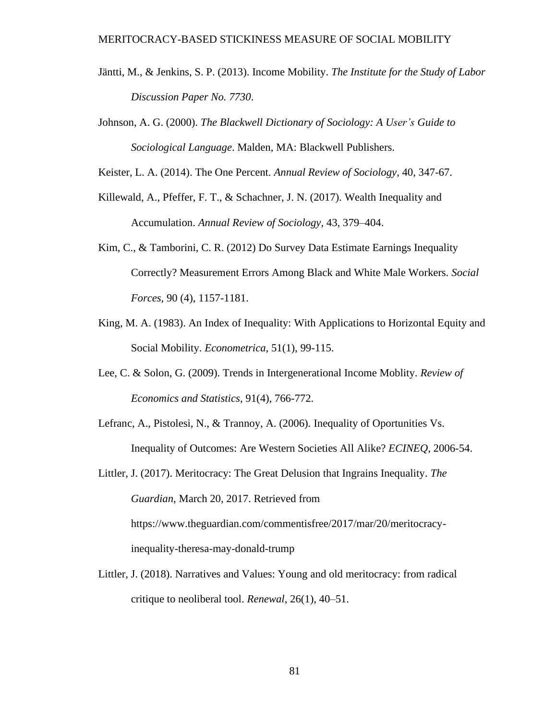- Jäntti, M., & Jenkins, S. P. (2013). Income Mobility. *The Institute for the Study of Labor Discussion Paper No. 7730*.
- Johnson, A. G. (2000). *The Blackwell Dictionary of Sociology: A User's Guide to Sociological Language*. Malden, MA: Blackwell Publishers.

Keister, L. A. (2014). The One Percent. *Annual Review of Sociology*, 40, 347-67.

- Killewald, A., Pfeffer, F. T., & Schachner, J. N. (2017). Wealth Inequality and Accumulation. *Annual Review of Sociology*, 43, 379–404.
- Kim, C., & Tamborini, C. R. (2012) Do Survey Data Estimate Earnings Inequality Correctly? Measurement Errors Among Black and White Male Workers. *Social Forces*, 90 (4), 1157-1181.
- King, M. A. (1983). An Index of Inequality: With Applications to Horizontal Equity and Social Mobility. *Econometrica*, 51(1), 99-115.
- Lee, C. & Solon, G. (2009). Trends in Intergenerational Income Moblity. *Review of Economics and Statistics*, 91(4), 766-772.
- Lefranc, A., Pistolesi, N., & Trannoy, A. (2006). Inequality of Oportunities Vs. Inequality of Outcomes: Are Western Societies All Alike? *ECINEQ*, 2006-54.
- Littler, J. (2017). Meritocracy: The Great Delusion that Ingrains Inequality. *The Guardian*, March 20, 2017. Retrieved from https://www.theguardian.com/commentisfree/2017/mar/20/meritocracyinequality-theresa-may-donald-trump
- Littler, J. (2018). Narratives and Values: Young and old meritocracy: from radical critique to neoliberal tool. *Renewal*, 26(1), 40–51.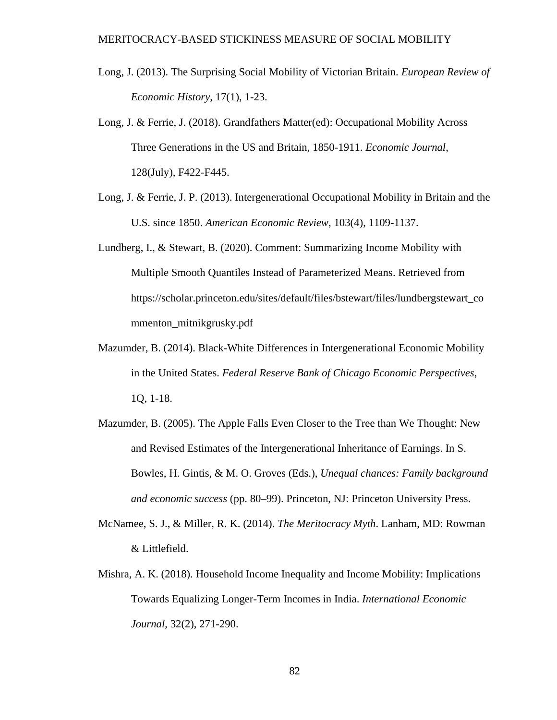- Long, J. (2013). The Surprising Social Mobility of Victorian Britain. *European Review of Economic History*, 17(1), 1-23.
- Long, J. & Ferrie, J. (2018). Grandfathers Matter(ed): Occupational Mobility Across Three Generations in the US and Britain, 1850-1911. *Economic Journal*, 128(July), F422-F445.
- Long, J. & Ferrie, J. P. (2013). Intergenerational Occupational Mobility in Britain and the U.S. since 1850. *American Economic Review*, 103(4), 1109-1137.
- Lundberg, I., & Stewart, B. (2020). Comment: Summarizing Income Mobility with Multiple Smooth Quantiles Instead of Parameterized Means. Retrieved from https://scholar.princeton.edu/sites/default/files/bstewart/files/lundbergstewart\_co mmenton\_mitnikgrusky.pdf
- Mazumder, B. (2014). Black-White Differences in Intergenerational Economic Mobility in the United States. *Federal Reserve Bank of Chicago Economic Perspectives*, 1Q, 1-18.
- Mazumder, B. (2005). The Apple Falls Even Closer to the Tree than We Thought: New and Revised Estimates of the Intergenerational Inheritance of Earnings. In S. Bowles, H. Gintis, & M. O. Groves (Eds.), *Unequal chances: Family background and economic success* (pp. 80–99). Princeton, NJ: Princeton University Press.
- McNamee, S. J., & Miller, R. K. (2014). *The Meritocracy Myth*. Lanham, MD: Rowman & Littlefield.
- Mishra, A. K. (2018). Household Income Inequality and Income Mobility: Implications Towards Equalizing Longer-Term Incomes in India. *International Economic Journal*, 32(2), 271-290.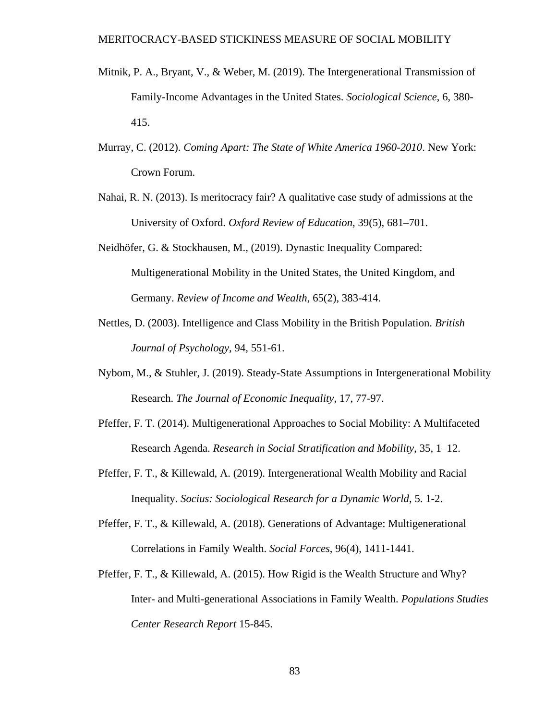- Mitnik, P. A., Bryant, V., & Weber, M. (2019). The Intergenerational Transmission of Family-Income Advantages in the United States. *Sociological Science*, 6, 380- 415.
- Murray, C. (2012). *Coming Apart: The State of White America 1960-2010*. New York: Crown Forum.
- Nahai, R. N. (2013). Is meritocracy fair? A qualitative case study of admissions at the University of Oxford. *Oxford Review of Education*, 39(5), 681–701.
- Neidhöfer, G. & Stockhausen, M., (2019). Dynastic Inequality Compared: Multigenerational Mobility in the United States, the United Kingdom, and Germany. *Review of Income and Wealth*, 65(2), 383-414.
- Nettles, D. (2003). Intelligence and Class Mobility in the British Population. *British Journal of Psychology*, 94, 551-61.
- Nybom, M., & Stuhler, J. (2019). Steady-State Assumptions in Intergenerational Mobility Research. *The Journal of Economic Inequality*, 17, 77-97.
- Pfeffer, F. T. (2014). Multigenerational Approaches to Social Mobility: A Multifaceted Research Agenda. *Research in Social Stratification and Mobility*, 35, 1–12.
- Pfeffer, F. T., & Killewald, A. (2019). Intergenerational Wealth Mobility and Racial Inequality. *Socius: Sociological Research for a Dynamic World*, 5. 1-2.
- Pfeffer, F. T., & Killewald, A. (2018). Generations of Advantage: Multigenerational Correlations in Family Wealth. *Social Forces*, 96(4), 1411-1441.
- Pfeffer, F. T., & Killewald, A. (2015). How Rigid is the Wealth Structure and Why? Inter- and Multi-generational Associations in Family Wealth. *Populations Studies Center Research Report* 15-845.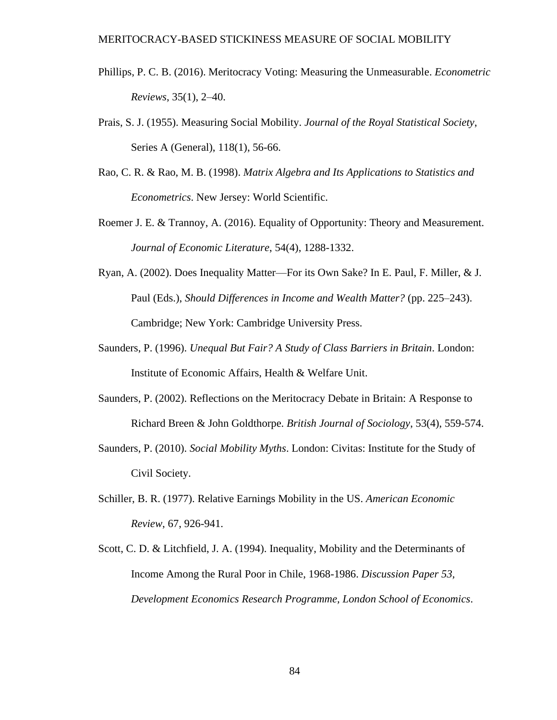- Phillips, P. C. B. (2016). Meritocracy Voting: Measuring the Unmeasurable. *Econometric Reviews*, 35(1), 2–40.
- Prais, S. J. (1955). Measuring Social Mobility. *Journal of the Royal Statistical Society*, Series A (General), 118(1), 56-66.
- Rao, C. R. & Rao, M. B. (1998). *Matrix Algebra and Its Applications to Statistics and Econometrics*. New Jersey: World Scientific.
- Roemer J. E. & Trannoy, A. (2016). Equality of Opportunity: Theory and Measurement. *Journal of Economic Literature*, 54(4), 1288-1332.
- Ryan, A. (2002). Does Inequality Matter—For its Own Sake? In E. Paul, F. Miller, & J. Paul (Eds.), *Should Differences in Income and Wealth Matter?* (pp. 225–243). Cambridge; New York: Cambridge University Press.
- Saunders, P. (1996). *Unequal But Fair? A Study of Class Barriers in Britain*. London: Institute of Economic Affairs, Health & Welfare Unit.
- Saunders, P. (2002). Reflections on the Meritocracy Debate in Britain: A Response to Richard Breen & John Goldthorpe. *British Journal of Sociology*, 53(4), 559-574.
- Saunders, P. (2010). *Social Mobility Myths*. London: Civitas: Institute for the Study of Civil Society.
- Schiller, B. R. (1977). Relative Earnings Mobility in the US. *American Economic Review*, 67, 926-941.
- Scott, C. D. & Litchfield, J. A. (1994). Inequality, Mobility and the Determinants of Income Among the Rural Poor in Chile, 1968-1986. *Discussion Paper 53, Development Economics Research Programme, London School of Economics*.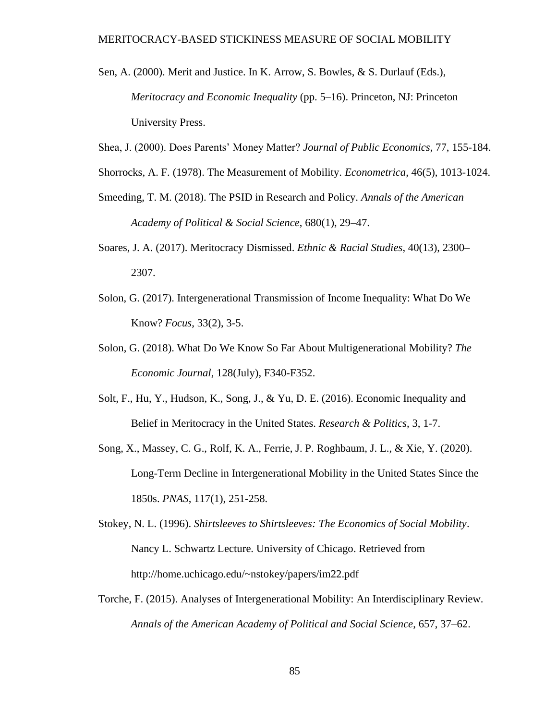- Sen, A. (2000). Merit and Justice. In K. Arrow, S. Bowles, & S. Durlauf (Eds.), *Meritocracy and Economic Inequality* (pp. 5–16). Princeton, NJ: Princeton University Press.
- Shea, J. (2000). Does Parents' Money Matter? *Journal of Public Economics*, 77, 155-184.
- Shorrocks, A. F. (1978). The Measurement of Mobility. *Econometrica*, 46(5), 1013-1024.
- Smeeding, T. M. (2018). The PSID in Research and Policy. *Annals of the American Academy of Political & Social Science*, 680(1), 29–47.
- Soares, J. A. (2017). Meritocracy Dismissed. *Ethnic & Racial Studies*, 40(13), 2300– 2307.
- Solon, G. (2017). Intergenerational Transmission of Income Inequality: What Do We Know? *Focus*, 33(2), 3-5.
- Solon, G. (2018). What Do We Know So Far About Multigenerational Mobility? *The Economic Journal*, 128(July), F340-F352.
- Solt, F., Hu, Y., Hudson, K., Song, J., & Yu, D. E. (2016). Economic Inequality and Belief in Meritocracy in the United States. *Research & Politics*, 3, 1-7.
- Song, X., Massey, C. G., Rolf, K. A., Ferrie, J. P. Roghbaum, J. L., & Xie, Y. (2020). Long-Term Decline in Intergenerational Mobility in the United States Since the 1850s. *PNAS*, 117(1), 251-258.
- Stokey, N. L. (1996). *Shirtsleeves to Shirtsleeves: The Economics of Social Mobility*. Nancy L. Schwartz Lecture. University of Chicago. Retrieved from http://home.uchicago.edu/~nstokey/papers/im22.pdf
- Torche, F. (2015). Analyses of Intergenerational Mobility: An Interdisciplinary Review. *Annals of the American Academy of Political and Social Science*, 657, 37–62.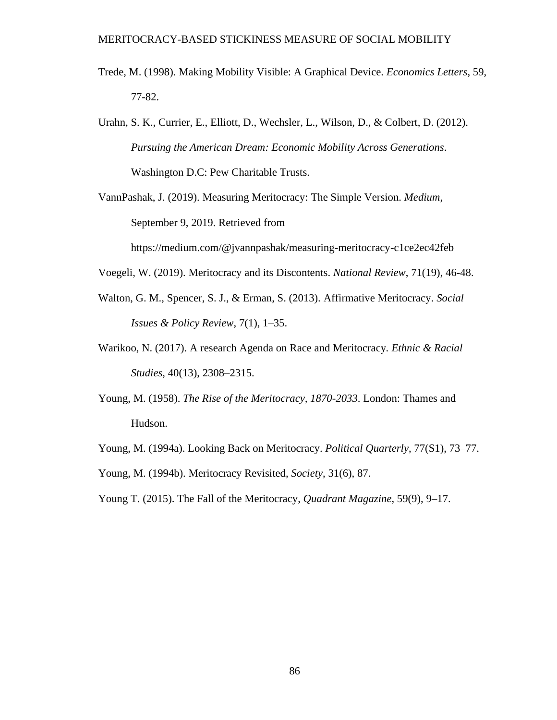- Trede, M. (1998). Making Mobility Visible: A Graphical Device. *Economics Letters*, 59, 77-82.
- Urahn, S. K., Currier, E., Elliott, D., Wechsler, L., Wilson, D., & Colbert, D. (2012). *Pursuing the American Dream: Economic Mobility Across Generations*. Washington D.C: Pew Charitable Trusts.

VannPashak, J. (2019). Measuring Meritocracy: The Simple Version. *Medium*, September 9, 2019. Retrieved from

https://medium.com/@jvannpashak/measuring-meritocracy-c1ce2ec42feb

Voegeli, W. (2019). Meritocracy and its Discontents. *National Review*, 71(19), 46-48.

- Walton, G. M., Spencer, S. J., & Erman, S. (2013). Affirmative Meritocracy. *Social Issues & Policy Review*, 7(1), 1–35.
- Warikoo, N. (2017). A research Agenda on Race and Meritocracy*. Ethnic & Racial Studies*, 40(13), 2308–2315.
- Young, M. (1958). *The Rise of the Meritocracy, 1870-2033*. London: Thames and Hudson.
- Young, M. (1994a). Looking Back on Meritocracy. *Political Quarterly*, 77(S1), 73–77. Young, M. (1994b). Meritocracy Revisited, *Society*, 31(6), 87.
- Young T. (2015). The Fall of the Meritocracy, *Quadrant Magazine*, 59(9), 9–17.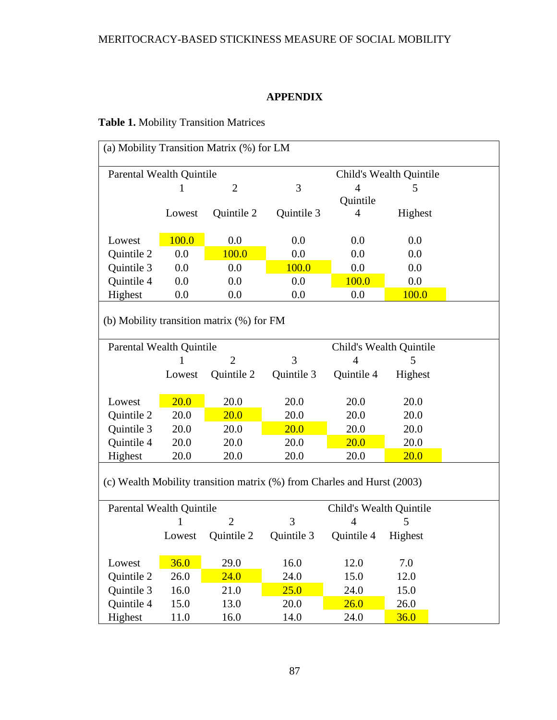### **APPENDIX**

# **Table 1.** Mobility Transition Matrices

| (a) Mobility Transition Matrix (%) for LM                               |        |                |            |                         |              |  |  |  |  |  |  |
|-------------------------------------------------------------------------|--------|----------------|------------|-------------------------|--------------|--|--|--|--|--|--|
| <b>Parental Wealth Quintile</b><br>Child's Wealth Quintile              |        |                |            |                         |              |  |  |  |  |  |  |
|                                                                         | 1      | $\overline{2}$ | 3          | $\overline{4}$          | 5            |  |  |  |  |  |  |
|                                                                         |        |                |            | Quintile                |              |  |  |  |  |  |  |
|                                                                         | Lowest | Quintile 2     | Quintile 3 | 4                       | Highest      |  |  |  |  |  |  |
|                                                                         |        |                |            |                         |              |  |  |  |  |  |  |
| Lowest                                                                  | 100.0  | 0.0            | 0.0        | 0.0                     | 0.0          |  |  |  |  |  |  |
| Quintile 2                                                              | 0.0    | 100.0          | 0.0        | 0.0                     | 0.0          |  |  |  |  |  |  |
| Quintile 3                                                              | 0.0    | 0.0            | 100.0      | 0.0                     | 0.0          |  |  |  |  |  |  |
| Quintile 4                                                              | 0.0    | 0.0            | $0.0\,$    |                         | 0.0          |  |  |  |  |  |  |
| Highest                                                                 | 0.0    | 0.0            | 0.0        | 0.0                     | <b>100.0</b> |  |  |  |  |  |  |
| (b) Mobility transition matrix (%) for FM                               |        |                |            |                         |              |  |  |  |  |  |  |
|                                                                         |        |                |            |                         |              |  |  |  |  |  |  |
| Parental Wealth Quintile                                                |        | $\overline{2}$ |            | Child's Wealth Quintile |              |  |  |  |  |  |  |
|                                                                         |        |                | 3          | $\overline{4}$          | 5            |  |  |  |  |  |  |
|                                                                         | Lowest | Quintile 2     | Quintile 3 | Quintile 4              | Highest      |  |  |  |  |  |  |
|                                                                         |        |                |            |                         |              |  |  |  |  |  |  |
| Lowest                                                                  | 20.0   | 20.0           | 20.0       | 20.0                    | 20.0         |  |  |  |  |  |  |
| Quintile 2                                                              | 20.0   | 20.0           | 20.0       | 20.0                    | 20.0         |  |  |  |  |  |  |
| Quintile 3                                                              | 20.0   | 20.0           | 20.0       | 20.0                    | 20.0         |  |  |  |  |  |  |
| Quintile 4                                                              | 20.0   | 20.0           | 20.0       | 20.0                    | 20.0         |  |  |  |  |  |  |
| Highest                                                                 | 20.0   | 20.0           | 20.0       | 20.0                    | 20.0         |  |  |  |  |  |  |
| (c) Wealth Mobility transition matrix (%) from Charles and Hurst (2003) |        |                |            |                         |              |  |  |  |  |  |  |
| Parental Wealth Quintile                                                |        |                |            | Child's Wealth Quintile |              |  |  |  |  |  |  |
|                                                                         | 1      |                | 3          | $\overline{4}$          | 5            |  |  |  |  |  |  |
|                                                                         | Lowest | Quintile 2     | Quintile 3 | Quintile 4              | Highest      |  |  |  |  |  |  |
| Lowest                                                                  | 36.0   | 29.0           | 16.0       | 12.0                    | 7.0          |  |  |  |  |  |  |
| Quintile 2                                                              | 26.0   | 24.0           | 24.0       | 15.0                    | 12.0         |  |  |  |  |  |  |
| Quintile 3                                                              | 16.0   | 21.0           | 25.0       | 24.0                    | 15.0         |  |  |  |  |  |  |
| Quintile 4                                                              | 15.0   | 13.0           | 20.0       | 26.0                    | 26.0         |  |  |  |  |  |  |
| Highest                                                                 | 11.0   | 16.0           | 14.0       | 24.0                    | 36.0         |  |  |  |  |  |  |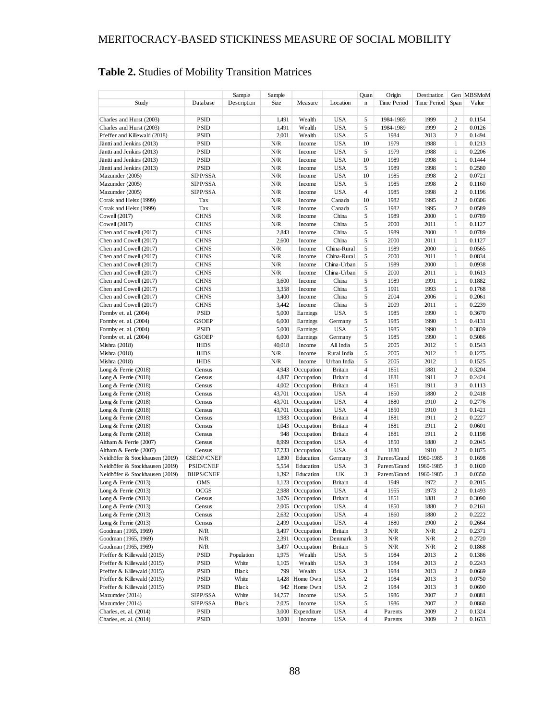|                                |                   | Sample      | Sample         |                  |                | Quan                    | Origin       | Destination |                         | Gen MBSMoM       |
|--------------------------------|-------------------|-------------|----------------|------------------|----------------|-------------------------|--------------|-------------|-------------------------|------------------|
| Study                          | Database          | Description | Size           | Measure          | Location       | $\mathbf n$             | Time Period  | Time Period | Span                    | Value            |
|                                |                   |             |                |                  |                |                         |              |             |                         |                  |
| Charles and Hurst (2003)       | PSID              |             | 1,491          | Wealth           | <b>USA</b>     | 5                       | 1984-1989    | 1999        | 2                       | 0.1154           |
| Charles and Hurst (2003)       | <b>PSID</b>       |             | 1,491          | Wealth           | <b>USA</b>     | 5                       | 1984-1989    | 1999        | $\overline{c}$          | 0.0126           |
| Pfeffer and Killewald (2018)   | PSID              |             | 2,001          | Wealth           | <b>USA</b>     | 5                       | 1984         | 2013        | $\overline{c}$          | 0.1494           |
| Jäntti and Jenkins (2013)      | PSID              |             | N/R            | Income           | <b>USA</b>     | 10                      | 1979         | 1988        | $\mathbf{1}$            | 0.1213           |
| Jäntti and Jenkins (2013)      | PSID              |             | N/R            | Income           | <b>USA</b>     | 5                       | 1979         | 1988        | $\mathbf{1}$            | 0.2206           |
| Jäntti and Jenkins (2013)      | PSID              |             | N/R            | Income           | <b>USA</b>     | 10                      | 1989         | 1998        | $\mathbf{1}$            | 0.1444           |
|                                |                   |             | N/R            |                  | <b>USA</b>     | 5                       | 1989         | 1998        | $\mathbf{1}$            | 0.2580           |
| Jäntti and Jenkins (2013)      | PSID              |             | N/R            | Income           | <b>USA</b>     | 10                      |              | 1998        | 2                       |                  |
| Mazumder (2005)                | SIPP/SSA          |             |                | Income           |                |                         | 1985         |             |                         | 0.0721           |
| Mazumder (2005)                | SIPP/SSA          |             | N/R            | Income           | <b>USA</b>     | 5                       | 1985         | 1998        | 2                       | 0.1160           |
| Mazumder (2005)                | SIPP/SSA          |             | N/R            | Income           | <b>USA</b>     | 4                       | 1985         | 1998        | 2                       | 0.1196           |
| Corak and Heisz (1999)         | Tax               |             | N/R            | Income           | Canada         | 10                      | 1982         | 1995        | 2                       | 0.0306           |
| Corak and Heisz (1999)         | Tax               |             | N/R            | Income           | Canada         | 5                       | 1982         | 1995        | $\overline{c}$          | 0.0589           |
| Cowell (2017)                  | <b>CHNS</b>       |             | N/R            | Income           | China          | 5                       | 1989         | 2000        | 1                       | 0.0789           |
| Cowell (2017)                  | <b>CHNS</b>       |             | N/R            | Income           | China          | 5                       | 2000         | 2011        | 1                       | 0.1127           |
| Chen and Cowell (2017)         | <b>CHNS</b>       |             | 2,843          | Income           | China          | 5                       | 1989         | 2000        | 1                       | 0.0789           |
| Chen and Cowell (2017)         | <b>CHNS</b>       |             | 2,600          | Income           | China          | 5                       | 2000         | 2011        | 1                       | 0.1127           |
| Chen and Cowell (2017)         | <b>CHNS</b>       |             | N/R            | Income           | China-Rural    | 5                       | 1989         | 2000        | 1                       | 0.0565           |
| Chen and Cowell (2017)         | <b>CHNS</b>       |             | N/R            | Income           | China-Rural    | 5                       | 2000         | 2011        | 1                       | 0.0834           |
| Chen and Cowell (2017)         | <b>CHNS</b>       |             | N/R            | Income           | China-Urban    | 5                       | 1989         | 2000        | 1                       | 0.0938           |
| Chen and Cowell (2017)         | <b>CHNS</b>       |             | N/R            | Income           | China-Urban    | 5                       | 2000         | 2011        | 1                       | 0.1613           |
| Chen and Cowell (2017)         | <b>CHNS</b>       |             | 3,600          | Income           | China          | 5                       | 1989         | 1991        | 1                       | 0.1882           |
| Chen and Cowell (2017)         | <b>CHNS</b>       |             | 3,358          | Income           | China          | 5                       | 1991         | 1993        | 1                       | 0.1768           |
| Chen and Cowell (2017)         | <b>CHNS</b>       |             | 3,400          | Income           | China          | 5                       | 2004         | 2006        | 1                       | 0.2061           |
| Chen and Cowell (2017)         | <b>CHNS</b>       |             | 3,442          | Income           | China          | 5                       | 2009         | 2011        | 1                       | 0.2239           |
| Formby et. al. (2004)          | <b>PSID</b>       |             | 5,000          | Earnings         | <b>USA</b>     | 5                       | 1985         | 1990        | 1                       | 0.3670           |
| Formby et. al. (2004)          | GSOEP             |             | 6,000          | Earnings         | Germany        | 5                       | 1985         | 1990        | 1                       | 0.4131           |
| Formby et. al. (2004)          | <b>PSID</b>       |             | 5,000          | Earnings         | <b>USA</b>     | 5                       | 1985         | 1990        | $\mathbf{1}$            | 0.3839           |
|                                | <b>GSOEP</b>      |             |                |                  |                | 5                       | 1985         | 1990        | 1                       | 0.5086           |
| Formby et. al. (2004)          |                   |             | 6,000          | Earnings         | Germany        |                         |              |             |                         |                  |
| Mishra (2018)                  | <b>IHDS</b>       |             | 40,018         | Income           | All India      | 5                       | 2005         | 2012        | $\mathbf{1}$            | 0.1543           |
| Mishra (2018)                  | <b>IHDS</b>       |             | N/R            | Income           | Rural India    | 5                       | 2005         | 2012        | $\mathbf{1}$            | 0.1275           |
| Mishra (2018)                  | <b>IHDS</b>       |             | N/R            | Income           | Urban India    | 5                       | 2005         | 2012        | $\mathbf{1}$            | 0.1525           |
| Long & Ferrie $(2018)$         | Census            |             | 4.943          | Occupation       | Britain        | $\overline{4}$          | 1851         | 1881        | 2                       | 0.3204           |
| Long & Ferrie (2018)           | Census            |             | 4,887          | Occupation       | Britain        | $\overline{4}$          | 1881         | 1911        | 2                       | 0.2424           |
| Long & Ferrie $(2018)$         | Census            |             | 4,002          | Occupation       | Britain        | 4                       | 1851         | 1911        | 3                       | 0.1113           |
| Long & Ferrie $(2018)$         | Census            |             | 43,701         | Occupation       | <b>USA</b>     | $\overline{4}$          | 1850         | 1880        | $\overline{c}$          | 0.2418           |
| Long & Ferrie $(2018)$         | Census            |             | 43,701         | Occupation       | <b>USA</b>     | $\overline{4}$          | 1880         | 1910        | 2                       | 0.2776           |
| Long $&$ Ferrie (2018)         | Census            |             | 43,701         | Occupation       | <b>USA</b>     | $\overline{4}$          | 1850         | 1910        | 3                       | 0.1421           |
| Long $&$ Ferrie $(2018)$       | Census            |             | 1,983          | Occupation       | Britain        | $\overline{4}$          | 1881         | 1911        | $\overline{c}$          | 0.2227           |
| Long $&$ Ferrie $(2018)$       | Census            |             | 1,043          | Occupation       | Britain        | $\overline{4}$          | 1881         | 1911        | $\overline{c}$          | 0.0601           |
| Long & Ferrie $(2018)$         | Census            |             | 948            | Occupation       | Britain        | 4                       | 1881         | 1911        | $\overline{c}$          | 0.1198           |
| Altham & Ferrie (2007)         | Census            |             | 8.999          | Occupation       | <b>USA</b>     | $\overline{4}$          | 1850         | 1880        | $\overline{c}$          | 0.2045           |
| Altham & Ferrie (2007)         | Census            |             | 17,733         | Occupation       | <b>USA</b>     | 4                       | 1880         | 1910        | 2                       | 0.1875           |
| Neidhöfer & Stockhausen (2019) | <b>GSEOP/CNEF</b> |             | 1,890          | Education        | Germany        | 3                       | Parent/Grand | 1960-1985   | 3                       | 0.1698           |
| Neidhöfer & Stockhausen (2019) | <b>PSID/CNEF</b>  |             | 5,554          | Education        | <b>USA</b>     | 3                       | Parent/Grand | 1960-1985   | 3                       | 0.1020           |
| Neidhöfer & Stockhausen (2019) | <b>BHPS/CNEF</b>  |             | 1,392          | Education        | UK             | 3                       | Parent/Grand | 1960-1985   | 3                       | 0.0350           |
| Long & Ferrie $(2013)$         | OMS               |             | 1,123          | Occupation       | Britain        | $\overline{4}$          | 1949         | 1972        | $\overline{c}$          | 0.2015           |
| Long & Ferrie $(2013)$         | OCGS              |             | 2,988          | Occupation       | <b>USA</b>     | $\overline{4}$          | 1955         | 1973        | $\overline{2}$          | 0.1493           |
| Long & Ferrie (2013)           | Census            |             |                | 3,076 Occupation | Britain        | 4                       | 1851         | 1881        | $\overline{\mathbf{c}}$ | 0.3090           |
| Long & Ferrie (2013)           | Census            |             |                | 2,005 Occupation | USA            | 4                       | 1850         | 1880        | 2                       | 0.2161           |
| Long & Ferrie $(2013)$         | Census            |             |                | 2,632 Occupation | USA            | 4                       | 1860         | 1880        | 2                       | 0.2222           |
| Long & Ferrie $(2013)$         | Census            |             | 2,499          | Occupation       | USA            | 4                       | 1880         | 1900        | 2                       | 0.2664           |
| Goodman (1965, 1969)           | N/R               |             | 3,497          | Occupation       | Britain        | 3                       | N/R          | N/R         | 2                       | 0.2371           |
| Goodman (1965, 1969)           | N/R               |             |                | Occupation       | Denmark        |                         |              |             | 2                       |                  |
| Goodman (1965, 1969)           | N/R               |             | 2,391<br>3,497 | Occupation       | <b>Britain</b> | 3<br>5                  | N/R<br>N/R   | N/R<br>N/R  | $\overline{\mathbf{c}}$ | 0.2720<br>0.1868 |
|                                |                   |             |                |                  |                |                         |              |             |                         |                  |
| Pfeffer & Killewald (2015)     | PSID              | Population  | 1,975          | Wealth           | USA            | 5                       | 1984         | 2013        | 2                       | 0.1386           |
| Pfeffer & Killewald (2015)     | PSID              | White       | 1,105          | Wealth           | <b>USA</b>     | 3                       | 1984         | 2013        | $\overline{\mathbf{c}}$ | 0.2243           |
| Pfeffer & Killewald (2015)     | PSID              | Black       | 799            | Wealth           | USA            | 3                       | 1984         | 2013        | $\overline{\mathbf{c}}$ | 0.0669           |
| Pfeffer & Killewald (2015)     | PSID              | White       |                | 1,428 Home Own   | <b>USA</b>     | $\boldsymbol{2}$        | 1984         | 2013        | 3                       | 0.0750           |
| Pfeffer & Killewald (2015)     | PSID              | Black       | 942            | Home Own         | <b>USA</b>     | $\boldsymbol{2}$        | 1984         | 2013        | 3                       | 0.0690           |
| Mazumder (2014)                | SIPP/SSA          | White       | 14,757         | Income           | USA            | 5                       | 1986         | 2007        | $\overline{c}$          | 0.0881           |
| Mazumder (2014)                | SIPP/SSA          | Black       | 2,025          | Income           | <b>USA</b>     | 5                       | 1986         | 2007        | $\overline{c}$          | 0.0860           |
| Charles, et. al. (2014)        | PSID              |             | 3,000          | Expenditure      | USA            | $\overline{\mathbf{4}}$ | Parents      | 2009        | 2                       | 0.1324           |
| Charles, et. al. (2014)        | PSID              |             | 3,000          | Income           | <b>USA</b>     | 4                       | Parents      | 2009        | 2                       | 0.1633           |